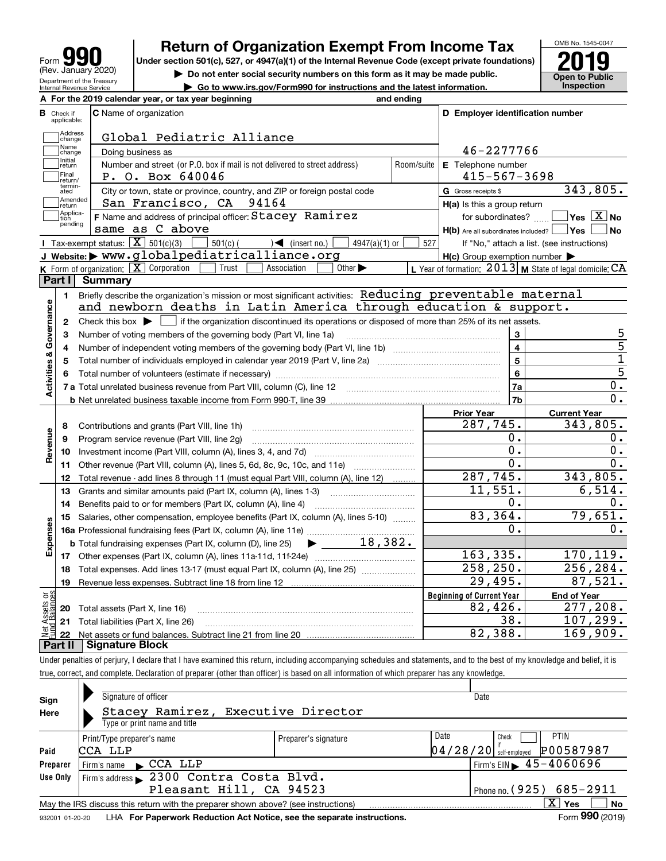| <b>er</b><br>Form                                      |
|--------------------------------------------------------|
| (Rev. January 2020)                                    |
| Department of the Treasury<br>Internal Revenue Service |

# **Return of Organization Exempt From Income Tax**

**Under section 501(c), 527, or 4947(a)(1) of the Internal Revenue Code (except private foundations) 2019**

**| Do not enter social security numbers on this form as it may be made public.**

OMB No. 1545-0047 **Open to Public** 

| $\blacktriangleright$ Do not enter social security numbers on this form as it may be made public. | Open to Pub |
|---------------------------------------------------------------------------------------------------|-------------|
| Go to www.irs.gov/Form990 for instructions and the latest information.                            | Inspection  |

|                         |                                  | A For the 2019 calendar year, or tax year beginning                                                                                         | and ending |                                                     |                                                           |
|-------------------------|----------------------------------|---------------------------------------------------------------------------------------------------------------------------------------------|------------|-----------------------------------------------------|-----------------------------------------------------------|
|                         | <b>B</b> Check if<br>applicable: | <b>C</b> Name of organization                                                                                                               |            | D Employer identification number                    |                                                           |
|                         | Address<br>Change                | Global Pediatric Alliance                                                                                                                   |            |                                                     |                                                           |
|                         | -<br> Name<br> change            | Doing business as                                                                                                                           |            | 46-2277766                                          |                                                           |
|                         | Initial<br>return                | Number and street (or P.O. box if mail is not delivered to street address)                                                                  | Room/suite | E Telephone number                                  |                                                           |
|                         | Final<br>Ireturn/                | P. O. Box 640046                                                                                                                            |            | $415 - 567 - 3698$                                  |                                                           |
|                         | termin-<br>ated                  | City or town, state or province, country, and ZIP or foreign postal code                                                                    |            | G Gross receipts \$                                 | 343,805.                                                  |
|                         | Amended<br> return               | San Francisco, CA 94164                                                                                                                     |            | $H(a)$ is this a group return                       |                                                           |
|                         | Applica-<br>tion                 | F Name and address of principal officer: Stacey Ramirez                                                                                     |            | for subordinates?                                   | $\sqrt{}$ Yes $\sqrt{}$ X $\sqrt{}$ No                    |
|                         | pending                          | same as C above                                                                                                                             |            | $H(b)$ Are all subordinates included? $\Box$ Yes    | <b>No</b>                                                 |
|                         |                                  | Tax-exempt status: $\boxed{\mathbf{X}}$ 501(c)(3)<br>$\sqrt{\frac{1}{1}}$ (insert no.)<br>$501(c)$ (<br>4947(a)(1) or                       | 527        |                                                     | If "No," attach a list. (see instructions)                |
|                         |                                  | J Website: > www.globalpediatricalliance.org                                                                                                |            | $H(c)$ Group exemption number $\blacktriangleright$ |                                                           |
|                         |                                  | K Form of organization: $X$ Corporation<br>Trust<br>Association<br>Other $\blacktriangleright$                                              |            |                                                     | L Year of formation: $2013$ M State of legal domicile: CA |
|                         | Part I                           | <b>Summary</b>                                                                                                                              |            |                                                     |                                                           |
|                         | 1.                               | Briefly describe the organization's mission or most significant activities: Reducing preventable maternal                                   |            |                                                     |                                                           |
|                         |                                  | and newborn deaths in Latin America through education & support.                                                                            |            |                                                     |                                                           |
| Activities & Governance | $\mathbf{2}$                     | Check this box $\blacktriangleright$ $\Box$ if the organization discontinued its operations or disposed of more than 25% of its net assets. |            |                                                     |                                                           |
|                         | з                                | Number of voting members of the governing body (Part VI, line 1a)                                                                           |            | 3                                                   | 5                                                         |
|                         | 4                                |                                                                                                                                             |            | $\overline{4}$                                      | 5                                                         |
|                         | 5                                |                                                                                                                                             |            | $5\phantom{a}$                                      | $\overline{1}$                                            |
|                         | 6                                |                                                                                                                                             |            | 6                                                   | $\overline{5}$                                            |
|                         |                                  |                                                                                                                                             |            | 7a                                                  | 0.                                                        |
|                         |                                  |                                                                                                                                             |            | 7b                                                  | 0.                                                        |
|                         |                                  |                                                                                                                                             |            | <b>Prior Year</b>                                   | <b>Current Year</b>                                       |
|                         | 8                                | Contributions and grants (Part VIII, line 1h)                                                                                               |            | 287,745.                                            | 343,805.                                                  |
|                         | 9                                | Program service revenue (Part VIII, line 2g)                                                                                                |            | $0$ .                                               | 0.                                                        |
| Revenue                 | 10                               |                                                                                                                                             |            | $\overline{0}$ .                                    | 0.                                                        |
|                         | 11                               |                                                                                                                                             |            | $\overline{0}$ .                                    | 0.                                                        |
|                         | 12                               | Total revenue - add lines 8 through 11 (must equal Part VIII, column (A), line 12)                                                          |            | 287,745.                                            | 343,805.                                                  |
|                         | 13                               | Grants and similar amounts paid (Part IX, column (A), lines 1-3)                                                                            |            | 11,551.                                             | 6,514.                                                    |
|                         | 14                               | Benefits paid to or for members (Part IX, column (A), line 4)                                                                               |            | 0.                                                  | 0.                                                        |
|                         | 15                               | Salaries, other compensation, employee benefits (Part IX, column (A), lines 5-10)                                                           |            | 83,364.                                             | 79,651.                                                   |
| Expenses                |                                  |                                                                                                                                             |            | 0.                                                  | $0$ .                                                     |
|                         |                                  | $\blacktriangleright$ 18,382.<br><b>b</b> Total fundraising expenses (Part IX, column (D), line 25)                                         |            |                                                     |                                                           |
|                         |                                  |                                                                                                                                             |            | 163, 335.                                           | 170, 119.                                                 |
|                         | 18                               | Total expenses. Add lines 13-17 (must equal Part IX, column (A), line 25) <i></i>                                                           |            | 258, 250.                                           | 256, 284.                                                 |
|                         | 19                               |                                                                                                                                             |            | 29,495.                                             | 87,521.                                                   |
| ăğ                      |                                  |                                                                                                                                             |            | <b>Beginning of Current Year</b>                    | <b>End of Year</b>                                        |
| Assets                  |                                  | 20 Total assets (Part X, line 16)                                                                                                           |            | 82,426.                                             | 277,208.                                                  |
|                         |                                  | 21 Total liabilities (Part X, line 26)                                                                                                      |            | 38.                                                 | 107, 299.                                                 |
|                         | 22                               |                                                                                                                                             |            | 82,388.                                             | 169,909.                                                  |
|                         | Part II                          | <b>Signature Block</b>                                                                                                                      |            |                                                     |                                                           |

Under penalties of perjury, I declare that I have examined this return, including accompanying schedules and statements, and to the best of my knowledge and belief, it is

true, correct, and complete. Declaration of preparer (other than officer) is based on all information of which preparer has any knowledge.

| Sign            | Signature of officer                                                              |                      | Date                                        |
|-----------------|-----------------------------------------------------------------------------------|----------------------|---------------------------------------------|
| Here            | Stacey Ramirez, Executive Director                                                |                      |                                             |
|                 | Type or print name and title                                                      |                      |                                             |
|                 | Print/Type preparer's name                                                        | Preparer's signature | Date<br><b>PTIN</b><br>Check                |
| Paid            | CCA LLP                                                                           |                      | P00587987<br>$04/28/20$ self-employed       |
| Preparer        | $\blacktriangleright$ CCA LLP<br>Firm's name                                      |                      | Firm's EIN $\blacktriangleright$ 45-4060696 |
| Use Only        | Firm's address > 2300 Contra Costa Blvd.                                          |                      |                                             |
|                 | Pleasant Hill, CA 94523                                                           |                      | Phone no. $(925) 685 - 2911$                |
|                 | May the IRS discuss this return with the preparer shown above? (see instructions) |                      | $\mathbf{x}$<br><b>No</b><br>Yes            |
| 932001 01-20-20 | LHA For Paperwork Reduction Act Notice, see the separate instructions.            |                      | Form 990 (2019)                             |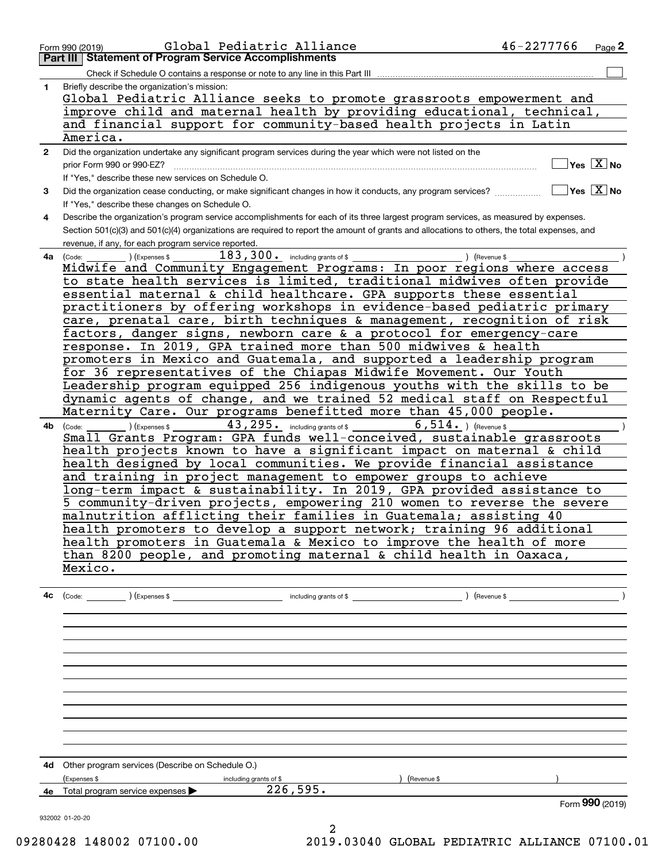|              | Global Pediatric Alliance<br>46-2277766<br>Page $2$<br>Form 990 (2019)                                                                                 |
|--------------|--------------------------------------------------------------------------------------------------------------------------------------------------------|
|              | <b>Part III Statement of Program Service Accomplishments</b>                                                                                           |
|              | Check if Schedule O contains a response or note to any line in this Part III                                                                           |
| 1            | Briefly describe the organization's mission:                                                                                                           |
|              | Global Pediatric Alliance seeks to promote grassroots empowerment and                                                                                  |
|              | improve child and maternal health by providing educational, technical,                                                                                 |
|              | and financial support for community-based health projects in Latin                                                                                     |
|              | America.                                                                                                                                               |
| $\mathbf{2}$ | Did the organization undertake any significant program services during the year which were not listed on the                                           |
|              | $\overline{\ }$ Yes $\overline{\phantom{X}}$ No<br>prior Form 990 or 990-EZ?                                                                           |
|              | If "Yes," describe these new services on Schedule O.                                                                                                   |
| 3            | $\sqrt{}$ Yes $\sqrt{}$ X $\sqrt{}$ No<br>Did the organization cease conducting, or make significant changes in how it conducts, any program services? |
|              | If "Yes," describe these changes on Schedule O.                                                                                                        |
| 4            | Describe the organization's program service accomplishments for each of its three largest program services, as measured by expenses.                   |
|              | Section 501(c)(3) and 501(c)(4) organizations are required to report the amount of grants and allocations to others, the total expenses, and           |
|              | revenue, if any, for each program service reported.                                                                                                    |
| 4a           | 183, 300. including grants of \$<br>) (Expenses \$<br>) (Revenue \$<br>(Code:                                                                          |
|              | Midwife and Community Engagement Programs: In poor regions where access                                                                                |
|              | to state health services is limited, traditional midwives often provide                                                                                |
|              | essential maternal & child healthcare. GPA supports these essential                                                                                    |
|              | practitioners by offering workshops in evidence-based pediatric primary                                                                                |
|              | care, prenatal care, birth techniques & management, recognition of risk                                                                                |
|              | factors, danger signs, newborn care & a protocol for emergency-care                                                                                    |
|              | response. In 2019, GPA trained more than 500 midwives & health                                                                                         |
|              | promoters in Mexico and Guatemala, and supported a leadership program                                                                                  |
|              | for 36 representatives of the Chiapas Midwife Movement. Our Youth                                                                                      |
|              | Leadership program equipped 256 indigenous youths with the skills to be                                                                                |
|              | dynamic agents of change, and we trained 52 medical staff on Respectful                                                                                |
|              | Maternity Care. Our programs benefitted more than 45,000 people.                                                                                       |
| 4b           | 43, 295. including grants of \$<br>$\overline{6}$ , $514 \underline{\bullet}$ ) (Revenue \$<br>(Expenses \$<br>(Code:                                  |
|              | Small Grants Program: GPA funds well-conceived, sustainable grassroots                                                                                 |
|              | health projects known to have a significant impact on maternal & child                                                                                 |
|              | health designed by local communities. We provide financial assistance                                                                                  |
|              | and training in project management to empower groups to achieve                                                                                        |
|              | long-term impact & sustainability. In 2019, GPA provided assistance to                                                                                 |
|              | 5 community-driven projects, empowering 210 women to reverse the severe                                                                                |
|              | malnutrition afflicting their families in Guatemala; assisting 40                                                                                      |
|              | health promoters to develop a support network; training 96 additional                                                                                  |
|              | health promoters in Guatemala & Mexico to improve the health of more                                                                                   |
|              | than 8200 people, and promoting maternal & child health in Oaxaca,                                                                                     |
|              | Mexico.                                                                                                                                                |
|              |                                                                                                                                                        |
|              |                                                                                                                                                        |
|              |                                                                                                                                                        |
|              |                                                                                                                                                        |
|              |                                                                                                                                                        |
|              |                                                                                                                                                        |
|              |                                                                                                                                                        |

| 4d | Other program services (Describe on Schedule O.) |                        |            |                 |
|----|--------------------------------------------------|------------------------|------------|-----------------|
|    | (Expenses \$                                     | including grants of \$ | Revenue \$ |                 |
| 4е | Total program service expenses                   | 226,595.               |            |                 |
|    |                                                  |                        |            | Form 990 (2019) |

932002 01-20-20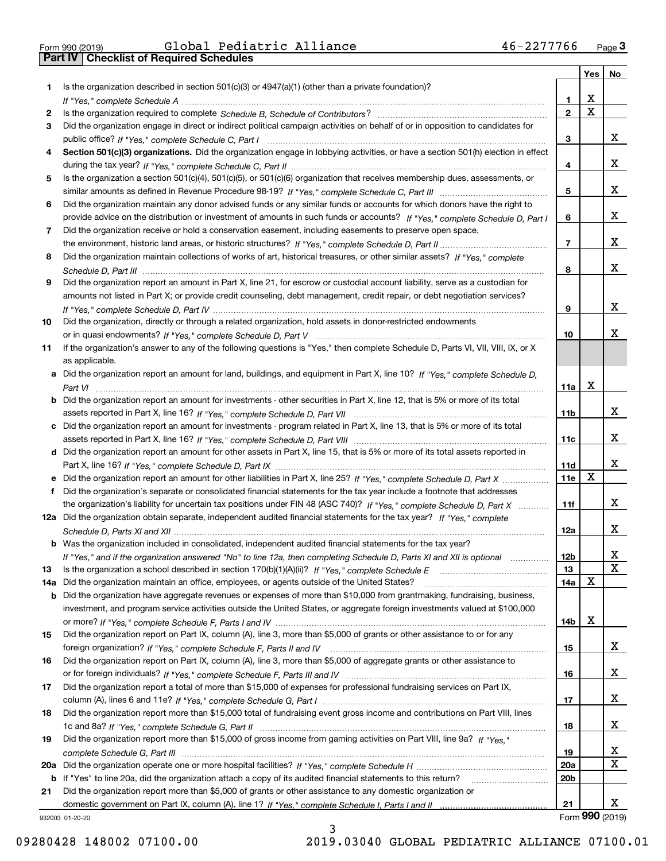| Form 990 (2019) |  |  |
|-----------------|--|--|

|     |                                                                                                                                  |                          | Yes         | No              |
|-----|----------------------------------------------------------------------------------------------------------------------------------|--------------------------|-------------|-----------------|
| 1.  | Is the organization described in section 501(c)(3) or 4947(a)(1) (other than a private foundation)?                              |                          |             |                 |
|     |                                                                                                                                  | 1                        | X           |                 |
| 2   |                                                                                                                                  | $\overline{2}$           | $\mathbf X$ |                 |
| 3.  | Did the organization engage in direct or indirect political campaign activities on behalf of or in opposition to candidates for  |                          |             |                 |
|     |                                                                                                                                  | 3                        |             | x               |
| 4   | Section 501(c)(3) organizations. Did the organization engage in lobbying activities, or have a section 501(h) election in effect |                          |             |                 |
|     |                                                                                                                                  | 4                        |             | x               |
| 5   | Is the organization a section 501(c)(4), 501(c)(5), or 501(c)(6) organization that receives membership dues, assessments, or     |                          |             |                 |
|     |                                                                                                                                  | 5                        |             | x               |
| 6   | Did the organization maintain any donor advised funds or any similar funds or accounts for which donors have the right to        |                          |             |                 |
|     | provide advice on the distribution or investment of amounts in such funds or accounts? If "Yes," complete Schedule D, Part I     | 6                        |             | x               |
| 7   | Did the organization receive or hold a conservation easement, including easements to preserve open space,                        |                          |             |                 |
|     |                                                                                                                                  | $\overline{\phantom{a}}$ |             | x               |
| 8   | Did the organization maintain collections of works of art, historical treasures, or other similar assets? If "Yes," complete     |                          |             |                 |
|     |                                                                                                                                  | 8                        |             | x               |
| 9   | Did the organization report an amount in Part X, line 21, for escrow or custodial account liability, serve as a custodian for    |                          |             |                 |
|     | amounts not listed in Part X; or provide credit counseling, debt management, credit repair, or debt negotiation services?        |                          |             |                 |
|     |                                                                                                                                  | 9                        |             | x               |
| 10  | Did the organization, directly or through a related organization, hold assets in donor-restricted endowments                     |                          |             | x               |
|     |                                                                                                                                  | 10                       |             |                 |
| 11  | If the organization's answer to any of the following questions is "Yes," then complete Schedule D, Parts VI, VII, VIII, IX, or X |                          |             |                 |
|     | as applicable.                                                                                                                   |                          |             |                 |
|     | a Did the organization report an amount for land, buildings, and equipment in Part X, line 10? If "Yes," complete Schedule D.    |                          | X           |                 |
|     | Did the organization report an amount for investments - other securities in Part X, line 12, that is 5% or more of its total     | 11a                      |             |                 |
| b   |                                                                                                                                  | 11 <sub>b</sub>          |             | х               |
| c   | Did the organization report an amount for investments - program related in Part X, line 13, that is 5% or more of its total      |                          |             |                 |
|     |                                                                                                                                  | 11c                      |             | x               |
|     | d Did the organization report an amount for other assets in Part X, line 15, that is 5% or more of its total assets reported in  |                          |             |                 |
|     |                                                                                                                                  | 11d                      |             | x               |
|     | Did the organization report an amount for other liabilities in Part X, line 25? If "Yes," complete Schedule D, Part X            | 11e                      | X           |                 |
| f   | Did the organization's separate or consolidated financial statements for the tax year include a footnote that addresses          |                          |             |                 |
|     | the organization's liability for uncertain tax positions under FIN 48 (ASC 740)? If "Yes," complete Schedule D, Part X           | 11f                      |             | x               |
|     | 12a Did the organization obtain separate, independent audited financial statements for the tax year? If "Yes," complete          |                          |             |                 |
|     |                                                                                                                                  | 12a                      |             | x               |
|     | <b>b</b> Was the organization included in consolidated, independent audited financial statements for the tax year?               |                          |             |                 |
|     | If "Yes," and if the organization answered "No" to line 12a, then completing Schedule D, Parts XI and XII is optional            | 12D                      |             | ᅀ               |
| 13  | Is the organization a school described in section $170(b)(1)(A)(ii)?$ If "Yes," complete Schedule E                              | 13                       |             | X               |
| 14a | Did the organization maintain an office, employees, or agents outside of the United States?                                      | 14a                      | х           |                 |
| b   | Did the organization have aggregate revenues or expenses of more than \$10,000 from grantmaking, fundraising, business,          |                          |             |                 |
|     | investment, and program service activities outside the United States, or aggregate foreign investments valued at \$100,000       |                          |             |                 |
|     |                                                                                                                                  | 14b                      | X           |                 |
| 15  | Did the organization report on Part IX, column (A), line 3, more than \$5,000 of grants or other assistance to or for any        |                          |             |                 |
|     |                                                                                                                                  | 15                       |             | x               |
| 16  | Did the organization report on Part IX, column (A), line 3, more than \$5,000 of aggregate grants or other assistance to         |                          |             |                 |
|     |                                                                                                                                  | 16                       |             | x               |
| 17  | Did the organization report a total of more than \$15,000 of expenses for professional fundraising services on Part IX,          |                          |             |                 |
|     |                                                                                                                                  | 17                       |             | x               |
| 18  | Did the organization report more than \$15,000 total of fundraising event gross income and contributions on Part VIII, lines     |                          |             |                 |
|     |                                                                                                                                  | 18                       |             | x               |
| 19  | Did the organization report more than \$15,000 of gross income from gaming activities on Part VIII, line 9a? If "Yes."           |                          |             |                 |
|     |                                                                                                                                  | 19                       |             | х               |
| 20a |                                                                                                                                  | 20a                      |             | X               |
| b   | If "Yes" to line 20a, did the organization attach a copy of its audited financial statements to this return?                     | 20 <sub>b</sub>          |             |                 |
| 21  | Did the organization report more than \$5,000 of grants or other assistance to any domestic organization or                      |                          |             |                 |
|     |                                                                                                                                  | 21                       |             | x               |
|     | 932003 01-20-20                                                                                                                  |                          |             | Form 990 (2019) |

932003 01-20-20

3 09280428 148002 07100.00 2019.03040 GLOBAL PEDIATRIC ALLIANCE 07100.01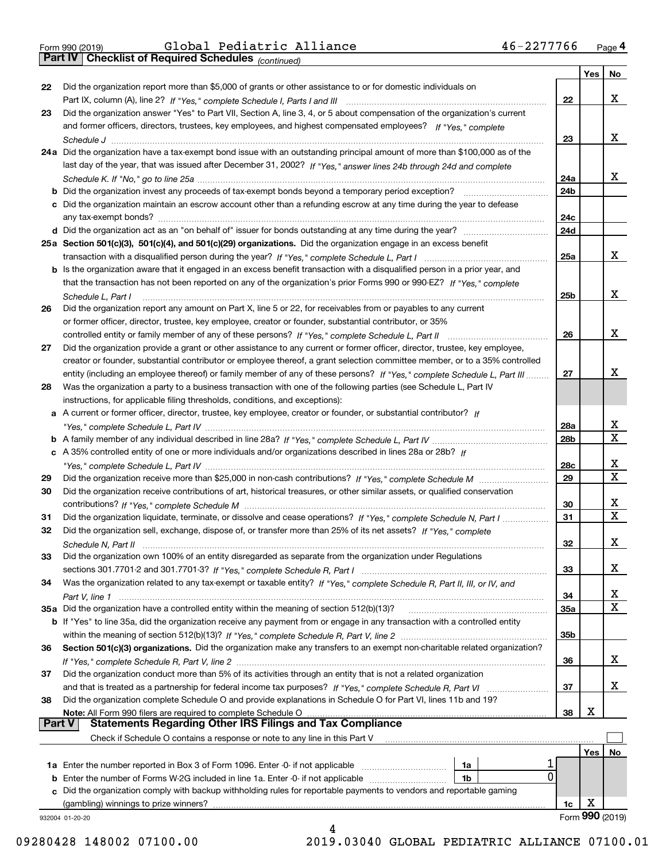|  | Form 990 (2019) |  |
|--|-----------------|--|

*(continued)*

|               |                                                                                                                              |                 | Yes | No.             |
|---------------|------------------------------------------------------------------------------------------------------------------------------|-----------------|-----|-----------------|
| 22            | Did the organization report more than \$5,000 of grants or other assistance to or for domestic individuals on                |                 |     |                 |
|               |                                                                                                                              | 22              |     | x               |
| 23            | Did the organization answer "Yes" to Part VII, Section A, line 3, 4, or 5 about compensation of the organization's current   |                 |     |                 |
|               | and former officers, directors, trustees, key employees, and highest compensated employees? If "Yes," complete               |                 |     |                 |
|               |                                                                                                                              | 23              |     | х               |
|               | 24a Did the organization have a tax-exempt bond issue with an outstanding principal amount of more than \$100,000 as of the  |                 |     |                 |
|               | last day of the year, that was issued after December 31, 2002? If "Yes," answer lines 24b through 24d and complete           |                 |     |                 |
|               |                                                                                                                              | 24a             |     | x               |
|               | b Did the organization invest any proceeds of tax-exempt bonds beyond a temporary period exception?                          | 24b             |     |                 |
|               | c Did the organization maintain an escrow account other than a refunding escrow at any time during the year to defease       |                 |     |                 |
|               |                                                                                                                              | 24c             |     |                 |
|               |                                                                                                                              | 24d             |     |                 |
|               | 25a Section 501(c)(3), 501(c)(4), and 501(c)(29) organizations. Did the organization engage in an excess benefit             |                 |     |                 |
|               |                                                                                                                              | 25a             |     | х               |
|               | b Is the organization aware that it engaged in an excess benefit transaction with a disqualified person in a prior year, and |                 |     |                 |
|               | that the transaction has not been reported on any of the organization's prior Forms 990 or 990-EZ? If "Yes," complete        |                 |     |                 |
|               | Schedule L, Part I                                                                                                           | 25 <sub>b</sub> |     | х               |
| 26            | Did the organization report any amount on Part X, line 5 or 22, for receivables from or payables to any current              |                 |     |                 |
|               | or former officer, director, trustee, key employee, creator or founder, substantial contributor, or 35%                      |                 |     |                 |
|               |                                                                                                                              | 26              |     | х               |
| 27            | Did the organization provide a grant or other assistance to any current or former officer, director, trustee, key employee,  |                 |     |                 |
|               | creator or founder, substantial contributor or employee thereof, a grant selection committee member, or to a 35% controlled  |                 |     |                 |
|               | entity (including an employee thereof) or family member of any of these persons? If "Yes," complete Schedule L, Part III     | 27              |     | х               |
| 28            | Was the organization a party to a business transaction with one of the following parties (see Schedule L, Part IV            |                 |     |                 |
|               | instructions, for applicable filing thresholds, conditions, and exceptions):                                                 |                 |     |                 |
|               | a A current or former officer, director, trustee, key employee, creator or founder, or substantial contributor? If           |                 |     |                 |
|               |                                                                                                                              | 28a             |     | x               |
|               |                                                                                                                              | 28b             |     | $\mathbf X$     |
|               | c A 35% controlled entity of one or more individuals and/or organizations described in lines 28a or 28b? If                  |                 |     |                 |
|               |                                                                                                                              | 28c             |     | х               |
| 29            |                                                                                                                              | 29              |     | $\mathbf X$     |
| 30            | Did the organization receive contributions of art, historical treasures, or other similar assets, or qualified conservation  |                 |     |                 |
|               |                                                                                                                              | 30              |     | x               |
| 31            | Did the organization liquidate, terminate, or dissolve and cease operations? If "Yes," complete Schedule N, Part I           | 31              |     | $\mathbf x$     |
| 32            | Did the organization sell, exchange, dispose of, or transfer more than 25% of its net assets? If "Yes," complete             |                 |     |                 |
|               | Schedule N, Part II                                                                                                          | 32              |     | х               |
| 33            | Did the organization own 100% of an entity disregarded as separate from the organization under Regulations                   |                 |     |                 |
|               |                                                                                                                              | 33              |     | х               |
| 34            | Was the organization related to any tax-exempt or taxable entity? If "Yes," complete Schedule R, Part II, III, or IV, and    |                 |     |                 |
|               |                                                                                                                              | 34              |     | х               |
|               | 35a Did the organization have a controlled entity within the meaning of section 512(b)(13)?                                  | 35a             |     | X               |
|               | b If "Yes" to line 35a, did the organization receive any payment from or engage in any transaction with a controlled entity  |                 |     |                 |
|               |                                                                                                                              | 35 <sub>b</sub> |     |                 |
| 36            | Section 501(c)(3) organizations. Did the organization make any transfers to an exempt non-charitable related organization?   |                 |     |                 |
|               |                                                                                                                              | 36              |     | x               |
| 37            | Did the organization conduct more than 5% of its activities through an entity that is not a related organization             |                 |     |                 |
|               | and that is treated as a partnership for federal income tax purposes? If "Yes," complete Schedule R, Part VI                 | 37              |     | x               |
| 38            | Did the organization complete Schedule O and provide explanations in Schedule O for Part VI, lines 11b and 19?               |                 |     |                 |
|               | Note: All Form 990 filers are required to complete Schedule O                                                                | 38              | х   |                 |
| <b>Part V</b> | <b>Statements Regarding Other IRS Filings and Tax Compliance</b>                                                             |                 |     |                 |
|               | Check if Schedule O contains a response or note to any line in this Part V                                                   |                 |     |                 |
|               |                                                                                                                              |                 | Yes | No              |
|               | <b>1a</b> Enter the number reported in Box 3 of Form 1096. Enter -0- if not applicable <i>manumumumum</i><br>1a              |                 |     |                 |
|               | 0<br>1b                                                                                                                      |                 |     |                 |
|               | c Did the organization comply with backup withholding rules for reportable payments to vendors and reportable gaming         |                 |     |                 |
|               | (gambling) winnings to prize winners?                                                                                        | 1c              | х   |                 |
|               | 932004 01-20-20                                                                                                              |                 |     | Form 990 (2019) |
|               |                                                                                                                              |                 |     |                 |

09280428 148002 07100.00 2019.03040 GLOBAL PEDIATRIC ALLIANCE 07100.01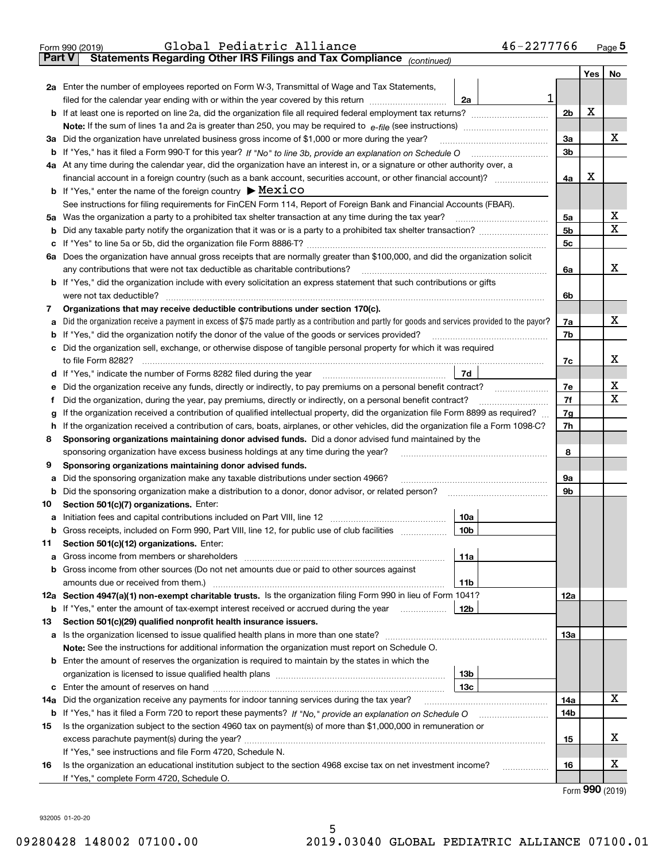|        | 46-2277766<br>Global Pediatric Alliance<br>Form 990 (2019)                                                                                                                                                                           |                |     | Page $5$                    |
|--------|--------------------------------------------------------------------------------------------------------------------------------------------------------------------------------------------------------------------------------------|----------------|-----|-----------------------------|
| Part V | Statements Regarding Other IRS Filings and Tax Compliance (continued)                                                                                                                                                                |                |     |                             |
|        |                                                                                                                                                                                                                                      |                | Yes | No                          |
|        | 2a Enter the number of employees reported on Form W-3, Transmittal of Wage and Tax Statements,                                                                                                                                       |                |     |                             |
|        | 1<br>filed for the calendar year ending with or within the year covered by this return<br>2a                                                                                                                                         |                |     |                             |
| b      |                                                                                                                                                                                                                                      | 2 <sub>b</sub> | X   |                             |
|        |                                                                                                                                                                                                                                      |                |     |                             |
|        | 3a Did the organization have unrelated business gross income of \$1,000 or more during the year?                                                                                                                                     | 3a             |     | X                           |
|        |                                                                                                                                                                                                                                      | 3b             |     |                             |
|        | 4a At any time during the calendar year, did the organization have an interest in, or a signature or other authority over, a                                                                                                         |                |     |                             |
|        | financial account in a foreign country (such as a bank account, securities account, or other financial account)?                                                                                                                     | 4a             | X   |                             |
|        | <b>b</b> If "Yes," enter the name of the foreign country $\blacktriangleright$ Mexico                                                                                                                                                |                |     |                             |
|        | See instructions for filing requirements for FinCEN Form 114, Report of Foreign Bank and Financial Accounts (FBAR).                                                                                                                  |                |     |                             |
| 5а     |                                                                                                                                                                                                                                      | 5а             |     | X                           |
| b      |                                                                                                                                                                                                                                      | 5 <sub>b</sub> |     | X                           |
| c      |                                                                                                                                                                                                                                      | 5c             |     |                             |
|        | 6a Does the organization have annual gross receipts that are normally greater than \$100,000, and did the organization solicit                                                                                                       |                |     |                             |
|        | any contributions that were not tax deductible as charitable contributions?                                                                                                                                                          | 6a             |     | x                           |
|        | <b>b</b> If "Yes," did the organization include with every solicitation an express statement that such contributions or gifts                                                                                                        |                |     |                             |
|        |                                                                                                                                                                                                                                      |                |     |                             |
|        |                                                                                                                                                                                                                                      | 6b             |     |                             |
| 7      | Organizations that may receive deductible contributions under section 170(c).                                                                                                                                                        |                |     | х                           |
| а      | Did the organization receive a payment in excess of \$75 made partly as a contribution and partly for goods and services provided to the payor?                                                                                      | 7a             |     |                             |
| b      | If "Yes," did the organization notify the donor of the value of the goods or services provided?                                                                                                                                      | 7b             |     |                             |
| c      | Did the organization sell, exchange, or otherwise dispose of tangible personal property for which it was required                                                                                                                    |                |     |                             |
|        |                                                                                                                                                                                                                                      | 7c             |     | х                           |
|        | 7d<br>d If "Yes," indicate the number of Forms 8282 filed during the year manufactured in the second of the second structure of Forms 8282 filed during the year manufactured in the Second Structure of the Second Structure of the |                |     |                             |
| е      |                                                                                                                                                                                                                                      | 7е             |     | X                           |
| f      | Did the organization, during the year, pay premiums, directly or indirectly, on a personal benefit contract?                                                                                                                         | 7f             |     | х                           |
| g      | If the organization received a contribution of qualified intellectual property, did the organization file Form 8899 as required?                                                                                                     | 7g             |     |                             |
| h.     | If the organization received a contribution of cars, boats, airplanes, or other vehicles, did the organization file a Form 1098-C?                                                                                                   | 7h             |     |                             |
| 8      | Sponsoring organizations maintaining donor advised funds. Did a donor advised fund maintained by the                                                                                                                                 |                |     |                             |
|        | sponsoring organization have excess business holdings at any time during the year?                                                                                                                                                   | 8              |     |                             |
| 9      | Sponsoring organizations maintaining donor advised funds.                                                                                                                                                                            |                |     |                             |
| а      | Did the sponsoring organization make any taxable distributions under section 4966?                                                                                                                                                   | 9а             |     |                             |
| b      | Did the sponsoring organization make a distribution to a donor, donor advisor, or related person? [[[[[[[[[[[                                                                                                                        | 9b             |     |                             |
| 10     | Section 501(c)(7) organizations. Enter:                                                                                                                                                                                              |                |     |                             |
|        | 10a<br>a Initiation fees and capital contributions included on Part VIII, line 12 [111] [11] [11] Initiation fees and capital contributions included on Part VIII, line 12                                                           |                |     |                             |
|        | 10b <br>Gross receipts, included on Form 990, Part VIII, line 12, for public use of club facilities                                                                                                                                  |                |     |                             |
| 11     | Section 501(c)(12) organizations. Enter:                                                                                                                                                                                             |                |     |                             |
| а      | 11a                                                                                                                                                                                                                                  |                |     |                             |
| b      | Gross income from other sources (Do not net amounts due or paid to other sources against                                                                                                                                             |                |     |                             |
|        | 11b                                                                                                                                                                                                                                  |                |     |                             |
|        | 12a Section 4947(a)(1) non-exempt charitable trusts. Is the organization filing Form 990 in lieu of Form 1041?                                                                                                                       | 12a            |     |                             |
|        | 12b<br><b>b</b> If "Yes," enter the amount of tax-exempt interest received or accrued during the year                                                                                                                                |                |     |                             |
| 13     | Section 501(c)(29) qualified nonprofit health insurance issuers.                                                                                                                                                                     |                |     |                             |
| а      | Is the organization licensed to issue qualified health plans in more than one state?                                                                                                                                                 | 13a            |     |                             |
|        | Note: See the instructions for additional information the organization must report on Schedule O.                                                                                                                                    |                |     |                             |
| b      | Enter the amount of reserves the organization is required to maintain by the states in which the                                                                                                                                     |                |     |                             |
|        | 13 <sub>b</sub>                                                                                                                                                                                                                      |                |     |                             |
| c      | 13c                                                                                                                                                                                                                                  |                |     |                             |
| 14a    | Did the organization receive any payments for indoor tanning services during the tax year?                                                                                                                                           | 14a            |     | х                           |
|        | <b>b</b> If "Yes," has it filed a Form 720 to report these payments? If "No," provide an explanation on Schedule O                                                                                                                   | 14b            |     |                             |
| 15     | Is the organization subject to the section 4960 tax on payment(s) of more than \$1,000,000 in remuneration or                                                                                                                        |                |     |                             |
|        | excess parachute payment(s) during the year?                                                                                                                                                                                         | 15             |     | х                           |
|        | If "Yes," see instructions and file Form 4720, Schedule N.                                                                                                                                                                           |                |     |                             |
| 16     | Is the organization an educational institution subject to the section 4968 excise tax on net investment income?                                                                                                                      | 16             |     | х                           |
|        | If "Yes," complete Form 4720, Schedule O.                                                                                                                                                                                            |                |     |                             |
|        |                                                                                                                                                                                                                                      |                |     | $F_{\text{arm}}$ 990 (2010) |

Form (2019) **990**

932005 01-20-20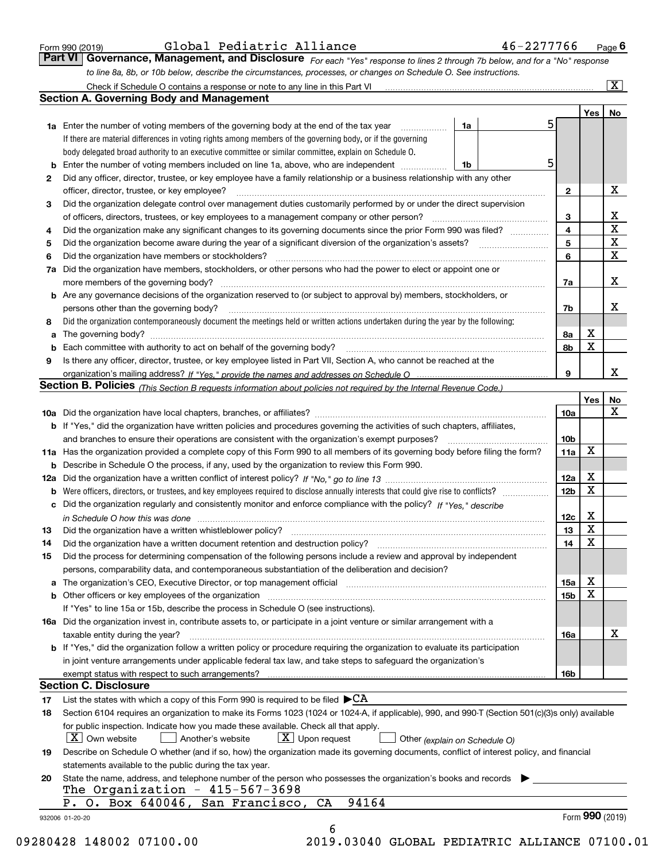|  | Form 990 (2019) |  |
|--|-----------------|--|
|  |                 |  |

| Form 990 (2019) | Global Pediatric Alliance | 46-2277766                                                                                                                    | $P$ <sub>age</sub> $6$ |
|-----------------|---------------------------|-------------------------------------------------------------------------------------------------------------------------------|------------------------|
|                 |                           | Part VI   Governance, Management, and Disclosure For each "Yes" response to lines 2 through 7b below, and for a "No" response |                        |
|                 |                           | to line 8a, 8b, or 10b below, describe the circumstances, processes, or changes on Schedule O. See instructions.              |                        |

|    |                                                                                                                                                                            |    |                 | Yes             | No                      |
|----|----------------------------------------------------------------------------------------------------------------------------------------------------------------------------|----|-----------------|-----------------|-------------------------|
|    | <b>1a</b> Enter the number of voting members of the governing body at the end of the tax year <i>manumum</i>                                                               | 1a | 5.              |                 |                         |
|    | If there are material differences in voting rights among members of the governing body, or if the governing                                                                |    |                 |                 |                         |
|    | body delegated broad authority to an executive committee or similar committee, explain on Schedule O.                                                                      |    |                 |                 |                         |
|    |                                                                                                                                                                            | 1b | 5               |                 |                         |
| 2  | Did any officer, director, trustee, or key employee have a family relationship or a business relationship with any other                                                   |    |                 |                 |                         |
|    | officer, director, trustee, or key employee?                                                                                                                               |    | $\mathbf{2}$    |                 | X                       |
| 3  | Did the organization delegate control over management duties customarily performed by or under the direct supervision                                                      |    |                 |                 |                         |
|    |                                                                                                                                                                            |    | 3               |                 | X                       |
| 4  | Did the organization make any significant changes to its governing documents since the prior Form 990 was filed?                                                           |    | 4               |                 | $\overline{\mathbf{x}}$ |
| 5  |                                                                                                                                                                            |    | 5               |                 | $\mathbf X$             |
| 6  | Did the organization have members or stockholders?                                                                                                                         |    | 6               |                 | $\mathbf X$             |
|    | 7a Did the organization have members, stockholders, or other persons who had the power to elect or appoint one or                                                          |    |                 |                 |                         |
|    |                                                                                                                                                                            |    | 7a              |                 | X                       |
|    | <b>b</b> Are any governance decisions of the organization reserved to (or subject to approval by) members, stockholders, or                                                |    |                 |                 |                         |
|    | persons other than the governing body?                                                                                                                                     |    | 7b              |                 | X                       |
| 8  | Did the organization contemporaneously document the meetings held or written actions undertaken during the year by the following:                                          |    |                 |                 |                         |
| a  |                                                                                                                                                                            |    | 8a              | X               |                         |
|    |                                                                                                                                                                            |    | 8b              | X               |                         |
| 9  | Is there any officer, director, trustee, or key employee listed in Part VII, Section A, who cannot be reached at the                                                       |    |                 |                 |                         |
|    |                                                                                                                                                                            |    | 9               |                 | x                       |
|    | Section B. Policies (This Section B requests information about policies not required by the Internal Revenue Code.)                                                        |    |                 |                 |                         |
|    |                                                                                                                                                                            |    |                 | Yes∣            | No                      |
|    |                                                                                                                                                                            |    | 10a             |                 | X                       |
|    | <b>b</b> If "Yes," did the organization have written policies and procedures governing the activities of such chapters, affiliates,                                        |    |                 |                 |                         |
|    |                                                                                                                                                                            |    | 10 <sub>b</sub> |                 |                         |
|    | 11a Has the organization provided a complete copy of this Form 990 to all members of its governing body before filing the form?                                            |    | 11a             | $\mathbf X$     |                         |
|    | <b>b</b> Describe in Schedule O the process, if any, used by the organization to review this Form 990.                                                                     |    |                 |                 |                         |
|    |                                                                                                                                                                            |    | 12a             | X               |                         |
| b  |                                                                                                                                                                            |    | 12b             | X               |                         |
|    | c Did the organization regularly and consistently monitor and enforce compliance with the policy? If "Yes," describe                                                       |    |                 |                 |                         |
|    | in Schedule O how this was done measured and contained a state of the state of the state of the state of the s                                                             |    | 12c             | X               |                         |
| 13 |                                                                                                                                                                            |    | 13              | X               |                         |
| 14 | Did the organization have a written document retention and destruction policy? manufactured and the organization have a written document retention and destruction policy? |    | 14              | $\mathbf X$     |                         |
| 15 | Did the process for determining compensation of the following persons include a review and approval by independent                                                         |    |                 |                 |                         |
|    | persons, comparability data, and contemporaneous substantiation of the deliberation and decision?                                                                          |    |                 |                 |                         |
|    |                                                                                                                                                                            |    | 15a             | X               |                         |
|    | <b>b</b> Other officers or key employees of the organization                                                                                                               |    | 15b             | $\mathbf X$     |                         |
|    | If "Yes" to line 15a or 15b, describe the process in Schedule O (see instructions).                                                                                        |    |                 |                 |                         |
|    | 16a Did the organization invest in, contribute assets to, or participate in a joint venture or similar arrangement with a                                                  |    |                 |                 |                         |
|    | taxable entity during the year?                                                                                                                                            |    | 16a             |                 | X                       |
|    | b If "Yes," did the organization follow a written policy or procedure requiring the organization to evaluate its participation                                             |    |                 |                 |                         |
|    | in joint venture arrangements under applicable federal tax law, and take steps to safequard the organization's                                                             |    |                 |                 |                         |
|    |                                                                                                                                                                            |    | 16b             |                 |                         |
|    | <b>Section C. Disclosure</b>                                                                                                                                               |    |                 |                 |                         |
| 17 | List the states with which a copy of this Form 990 is required to be filed $\blacktriangleright$ CA                                                                        |    |                 |                 |                         |
| 18 | Section 6104 requires an organization to make its Forms 1023 (1024 or 1024-A, if applicable), 990, and 990-T (Section 501(c)(3)s only) available                           |    |                 |                 |                         |
|    | for public inspection. Indicate how you made these available. Check all that apply.                                                                                        |    |                 |                 |                         |
|    | $X$ Upon request<br>  X   Own website<br>Another's website<br>Other (explain on Schedule O)                                                                                |    |                 |                 |                         |
| 19 | Describe on Schedule O whether (and if so, how) the organization made its governing documents, conflict of interest policy, and financial                                  |    |                 |                 |                         |
|    | statements available to the public during the tax year.                                                                                                                    |    |                 |                 |                         |
| 20 | State the name, address, and telephone number of the person who possesses the organization's books and records                                                             |    |                 |                 |                         |
|    | The Organization - $415-567-3698$                                                                                                                                          |    |                 |                 |                         |
|    | 94164<br>P. O. Box 640046, San Francisco,<br>CA                                                                                                                            |    |                 |                 |                         |
|    | 932006 01-20-20                                                                                                                                                            |    |                 | Form 990 (2019) |                         |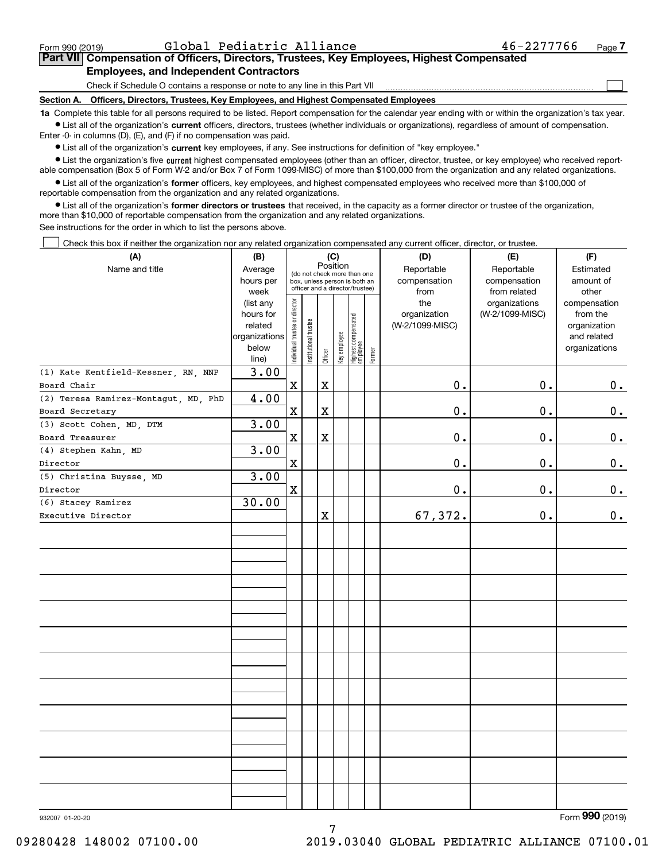$\mathcal{L}^{\text{max}}$ 

# **7Part VII Compensation of Officers, Directors, Trustees, Key Employees, Highest Compensated Employees, and Independent Contractors**

Check if Schedule O contains a response or note to any line in this Part VII

**Section A. Officers, Directors, Trustees, Key Employees, and Highest Compensated Employees**

**1a**  Complete this table for all persons required to be listed. Report compensation for the calendar year ending with or within the organization's tax year. **•** List all of the organization's current officers, directors, trustees (whether individuals or organizations), regardless of amount of compensation.

Enter -0- in columns (D), (E), and (F) if no compensation was paid.

 $\bullet$  List all of the organization's  $\,$ current key employees, if any. See instructions for definition of "key employee."

**•** List the organization's five current highest compensated employees (other than an officer, director, trustee, or key employee) who received reportable compensation (Box 5 of Form W-2 and/or Box 7 of Form 1099-MISC) of more than \$100,000 from the organization and any related organizations.

**•** List all of the organization's former officers, key employees, and highest compensated employees who received more than \$100,000 of reportable compensation from the organization and any related organizations.

**former directors or trustees**  ¥ List all of the organization's that received, in the capacity as a former director or trustee of the organization, more than \$10,000 of reportable compensation from the organization and any related organizations.

See instructions for the order in which to list the persons above.

Check this box if neither the organization nor any related organization compensated any current officer, director, or trustee.  $\mathcal{L}^{\text{max}}$ 

| (A)                                  | (B)               |                                |                       |             | (C)          |                                                                  |        | (D)             | (E)                           | (F)                   |
|--------------------------------------|-------------------|--------------------------------|-----------------------|-------------|--------------|------------------------------------------------------------------|--------|-----------------|-------------------------------|-----------------------|
| Name and title                       | Average           |                                |                       | Position    |              | (do not check more than one                                      |        | Reportable      | Reportable                    | Estimated             |
|                                      | hours per         |                                |                       |             |              | box, unless person is both an<br>officer and a director/trustee) |        | compensation    | compensation                  | amount of             |
|                                      | week<br>(list any |                                |                       |             |              |                                                                  |        | from<br>the     | from related<br>organizations | other<br>compensation |
|                                      | hours for         |                                |                       |             |              |                                                                  |        | organization    | (W-2/1099-MISC)               | from the              |
|                                      | related           |                                |                       |             |              |                                                                  |        | (W-2/1099-MISC) |                               | organization          |
|                                      | organizations     |                                |                       |             |              |                                                                  |        |                 |                               | and related           |
|                                      | below<br>line)    | Individual trustee or director | Institutional trustee | Officer     | Key employee | Highest compensated<br>  employee                                | Former |                 |                               | organizations         |
| (1) Kate Kentfield-Kessner, RN, NNP  | 3.00              |                                |                       |             |              |                                                                  |        |                 |                               |                       |
| Board Chair                          |                   | $\mathbf x$                    |                       | X           |              |                                                                  |        | $\mathbf 0$ .   | 0.                            | 0.                    |
| (2) Teresa Ramirez-Montagut, MD, PhD | 4.00              |                                |                       |             |              |                                                                  |        |                 |                               |                       |
| Board Secretary                      |                   | $\mathbf x$                    |                       | X           |              |                                                                  |        | $0$ .           | 0.                            | $\mathbf 0$ .         |
| (3) Scott Cohen, MD, DTM             | 3.00              |                                |                       |             |              |                                                                  |        |                 |                               |                       |
| Board Treasurer                      |                   | X                              |                       | $\mathbf X$ |              |                                                                  |        | $\mathbf 0$ .   | 0.                            | $\mathbf 0$ .         |
| (4) Stephen Kahn, MD                 | 3.00              |                                |                       |             |              |                                                                  |        |                 |                               |                       |
| Director                             |                   | $\mathbf X$                    |                       |             |              |                                                                  |        | $\mathbf 0$ .   | $0$ .                         | $0_{.}$               |
| (5) Christina Buysse, MD             | 3.00              |                                |                       |             |              |                                                                  |        |                 |                               |                       |
| Director                             |                   | $\mathbf X$                    |                       |             |              |                                                                  |        | $\mathbf 0$ .   | 0.                            | 0.                    |
| (6) Stacey Ramirez                   | 30.00             |                                |                       |             |              |                                                                  |        |                 |                               |                       |
| Executive Director                   |                   |                                |                       | X           |              |                                                                  |        | 67,372.         | 0.                            | 0.                    |
|                                      |                   |                                |                       |             |              |                                                                  |        |                 |                               |                       |
|                                      |                   |                                |                       |             |              |                                                                  |        |                 |                               |                       |
|                                      |                   |                                |                       |             |              |                                                                  |        |                 |                               |                       |
|                                      |                   |                                |                       |             |              |                                                                  |        |                 |                               |                       |
|                                      |                   |                                |                       |             |              |                                                                  |        |                 |                               |                       |
|                                      |                   |                                |                       |             |              |                                                                  |        |                 |                               |                       |
|                                      |                   |                                |                       |             |              |                                                                  |        |                 |                               |                       |
|                                      |                   |                                |                       |             |              |                                                                  |        |                 |                               |                       |
|                                      |                   |                                |                       |             |              |                                                                  |        |                 |                               |                       |
|                                      |                   |                                |                       |             |              |                                                                  |        |                 |                               |                       |
|                                      |                   |                                |                       |             |              |                                                                  |        |                 |                               |                       |
|                                      |                   |                                |                       |             |              |                                                                  |        |                 |                               |                       |
|                                      |                   |                                |                       |             |              |                                                                  |        |                 |                               |                       |
|                                      |                   |                                |                       |             |              |                                                                  |        |                 |                               |                       |
|                                      |                   |                                |                       |             |              |                                                                  |        |                 |                               |                       |
|                                      |                   |                                |                       |             |              |                                                                  |        |                 |                               |                       |
|                                      |                   |                                |                       |             |              |                                                                  |        |                 |                               |                       |
|                                      |                   |                                |                       |             |              |                                                                  |        |                 |                               |                       |
|                                      |                   |                                |                       |             |              |                                                                  |        |                 |                               |                       |
|                                      |                   |                                |                       |             |              |                                                                  |        |                 |                               |                       |
|                                      |                   |                                |                       |             |              |                                                                  |        |                 |                               |                       |

7

Form (2019) **990**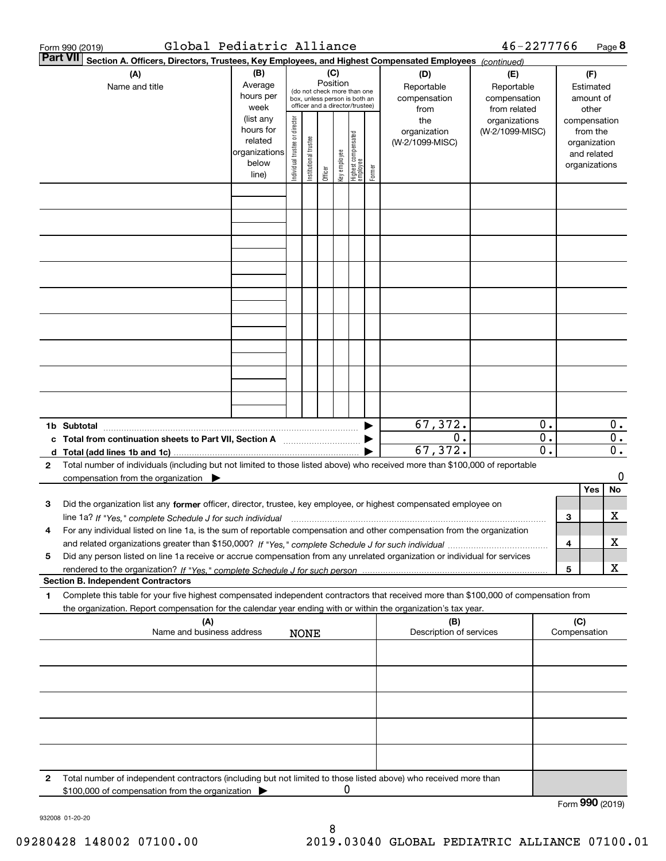|                 | Global Pediatric Alliance<br>Form 990 (2019)                                                                                                                                                                                                           |                                                                              |                                |                       |                                                                             |              |                                   |        |                                                                | 46-2277766                                                       |                                                                                                |        |                  | Page 8                               |
|-----------------|--------------------------------------------------------------------------------------------------------------------------------------------------------------------------------------------------------------------------------------------------------|------------------------------------------------------------------------------|--------------------------------|-----------------------|-----------------------------------------------------------------------------|--------------|-----------------------------------|--------|----------------------------------------------------------------|------------------------------------------------------------------|------------------------------------------------------------------------------------------------|--------|------------------|--------------------------------------|
| <b>Part VII</b> | Section A. Officers, Directors, Trustees, Key Employees, and Highest Compensated Employees (continued)                                                                                                                                                 |                                                                              |                                |                       |                                                                             |              |                                   |        |                                                                |                                                                  |                                                                                                |        |                  |                                      |
|                 | (A)<br>Name and title                                                                                                                                                                                                                                  | (B)<br>Average<br>hours per                                                  |                                |                       | (C)<br>Position<br>(do not check more than one                              |              |                                   |        | (D)<br>Reportable                                              | (E)<br>Reportable                                                |                                                                                                |        | (F)<br>Estimated |                                      |
|                 |                                                                                                                                                                                                                                                        | week<br>(list any<br>hours for<br>related<br>organizations<br>below<br>line) | Individual trustee or director | Institutional trustee | box, unless person is both an<br>officer and a director/trustee)<br>Officer | Key employee | Highest compensated<br>  employee | Former | compensation<br>from<br>the<br>organization<br>(W-2/1099-MISC) | compensation<br>from related<br>organizations<br>(W-2/1099-MISC) | amount of<br>other<br>compensation<br>from the<br>organization<br>and related<br>organizations |        |                  |                                      |
|                 |                                                                                                                                                                                                                                                        |                                                                              |                                |                       |                                                                             |              |                                   |        |                                                                |                                                                  |                                                                                                |        |                  |                                      |
|                 |                                                                                                                                                                                                                                                        |                                                                              |                                |                       |                                                                             |              |                                   |        |                                                                |                                                                  |                                                                                                |        |                  |                                      |
|                 |                                                                                                                                                                                                                                                        |                                                                              |                                |                       |                                                                             |              |                                   |        |                                                                |                                                                  |                                                                                                |        |                  |                                      |
|                 |                                                                                                                                                                                                                                                        |                                                                              |                                |                       |                                                                             |              |                                   |        |                                                                |                                                                  |                                                                                                |        |                  |                                      |
|                 |                                                                                                                                                                                                                                                        |                                                                              |                                |                       |                                                                             |              |                                   |        |                                                                |                                                                  |                                                                                                |        |                  |                                      |
|                 |                                                                                                                                                                                                                                                        |                                                                              |                                |                       |                                                                             |              |                                   |        |                                                                |                                                                  |                                                                                                |        |                  |                                      |
|                 |                                                                                                                                                                                                                                                        |                                                                              |                                |                       |                                                                             |              |                                   |        |                                                                |                                                                  |                                                                                                |        |                  |                                      |
|                 |                                                                                                                                                                                                                                                        |                                                                              |                                |                       |                                                                             |              |                                   |        |                                                                |                                                                  |                                                                                                |        |                  |                                      |
|                 | 1b Subtotal                                                                                                                                                                                                                                            |                                                                              |                                |                       |                                                                             |              |                                   |        | 67,372.<br>$\overline{0}$ .                                    |                                                                  | 0.<br>$\overline{\overline{\mathfrak{0}}}$ .                                                   |        |                  | 0.                                   |
|                 | c Total from continuation sheets to Part VII, Section A manufactor continuum<br>d Total (add lines 1b and 1c).                                                                                                                                         |                                                                              |                                |                       |                                                                             |              |                                   |        | 67,372.                                                        |                                                                  | $\overline{\mathfrak{o}}$ .                                                                    |        |                  | $\overline{0}$ .<br>$\overline{0}$ . |
| $\mathbf{2}$    | Total number of individuals (including but not limited to those listed above) who received more than \$100,000 of reportable<br>compensation from the organization $\blacktriangleright$                                                               |                                                                              |                                |                       |                                                                             |              |                                   |        |                                                                |                                                                  |                                                                                                |        | Yes              | 0<br>No                              |
| з               | Did the organization list any former officer, director, trustee, key employee, or highest compensated employee on                                                                                                                                      |                                                                              |                                |                       |                                                                             |              |                                   |        |                                                                |                                                                  |                                                                                                |        |                  | х                                    |
| 4               | For any individual listed on line 1a, is the sum of reportable compensation and other compensation from the organization                                                                                                                               |                                                                              |                                |                       |                                                                             |              |                                   |        |                                                                |                                                                  |                                                                                                | 3<br>4 |                  | х                                    |
| 5               | Did any person listed on line 1a receive or accrue compensation from any unrelated organization or individual for services                                                                                                                             |                                                                              |                                |                       |                                                                             |              |                                   |        |                                                                |                                                                  |                                                                                                | 5      |                  | X                                    |
|                 | <b>Section B. Independent Contractors</b>                                                                                                                                                                                                              |                                                                              |                                |                       |                                                                             |              |                                   |        |                                                                |                                                                  |                                                                                                |        |                  |                                      |
| 1               | Complete this table for your five highest compensated independent contractors that received more than \$100,000 of compensation from<br>the organization. Report compensation for the calendar year ending with or within the organization's tax year. |                                                                              |                                |                       |                                                                             |              |                                   |        |                                                                |                                                                  |                                                                                                |        |                  |                                      |
|                 | (A)<br>Name and business address                                                                                                                                                                                                                       |                                                                              |                                | <b>NONE</b>           |                                                                             |              |                                   |        | (B)<br>Description of services                                 |                                                                  | (C)<br>Compensation                                                                            |        |                  |                                      |
|                 |                                                                                                                                                                                                                                                        |                                                                              |                                |                       |                                                                             |              |                                   |        |                                                                |                                                                  |                                                                                                |        |                  |                                      |
|                 |                                                                                                                                                                                                                                                        |                                                                              |                                |                       |                                                                             |              |                                   |        |                                                                |                                                                  |                                                                                                |        |                  |                                      |
|                 |                                                                                                                                                                                                                                                        |                                                                              |                                |                       |                                                                             |              |                                   |        |                                                                |                                                                  |                                                                                                |        |                  |                                      |
|                 |                                                                                                                                                                                                                                                        |                                                                              |                                |                       |                                                                             |              |                                   |        |                                                                |                                                                  |                                                                                                |        |                  |                                      |
| 2               | Total number of independent contractors (including but not limited to those listed above) who received more than                                                                                                                                       |                                                                              |                                |                       |                                                                             | 0            |                                   |        |                                                                |                                                                  |                                                                                                |        |                  |                                      |
|                 | \$100,000 of compensation from the organization                                                                                                                                                                                                        |                                                                              |                                |                       |                                                                             |              |                                   |        |                                                                |                                                                  |                                                                                                |        | Form 990 (2019)  |                                      |

932008 01-20-20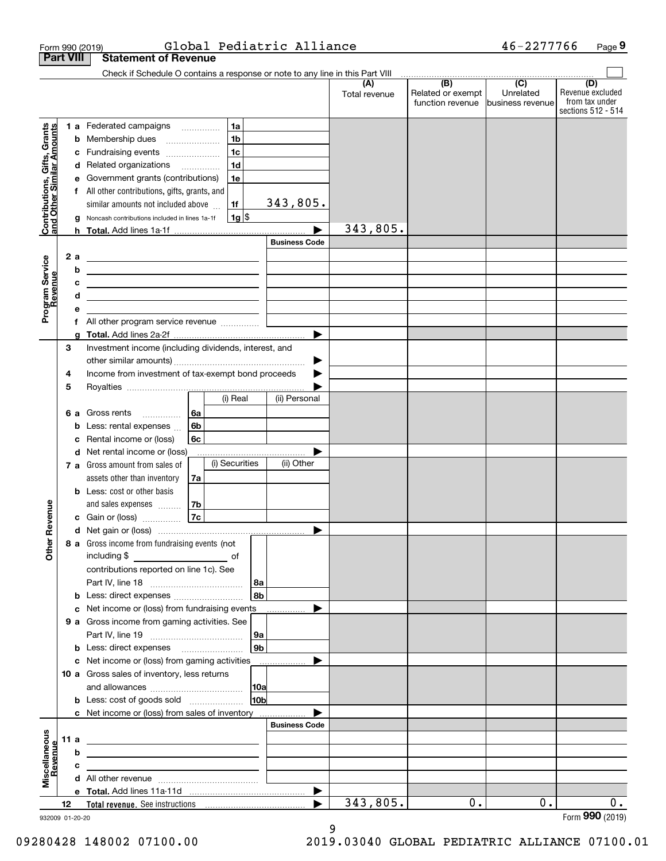| <b>Part VIII</b><br><b>Statement of Revenue</b><br>Check if Schedule O contains a response or note to any line in this Part VIII<br>(B)<br>$\overline{C}$<br>(D)<br>(A)<br>Unrelated<br>Related or exempt<br>Total revenue<br>function revenue<br>business revenue<br>1a<br>Contributions, Gifts, Grants<br>and Other Similar Amounts<br>1 a Federated campaigns<br>1 <sub>b</sub><br><b>b</b> Membership dues<br>1 <sub>c</sub><br>c Fundraising events<br>1 <sub>d</sub><br>d Related organizations<br>1e<br>Government grants (contributions)<br>е<br>f All other contributions, gifts, grants, and<br>343,805.<br>similar amounts not included above<br>1f<br>$1g$ \$<br>g Noncash contributions included in lines 1a-1f<br>343,805.<br><b>Business Code</b><br>2a<br>Program Service<br>Revenue<br>b<br><u> 1989 - Johann Stein, mars an deutscher Stein († 1989)</u><br>c<br><u> 1989 - Johann Harry Harry Harry Harry Harry Harry Harry Harry Harry Harry Harry Harry Harry Harry Harry Harry</u><br>d<br><u> 1980 - Jan Barristo, martin al II-lea (b. 1980)</u><br>е<br>f.<br>a<br>Investment income (including dividends, interest, and<br>3<br>▶<br>Income from investment of tax-exempt bond proceeds<br>4<br>5<br>(i) Real<br>(ii) Personal<br>6а<br>Gross rents<br>6а<br>$\frac{1}{2}$<br>6b<br>Less: rental expenses<br>b<br>6c<br>Rental income or (loss)<br>c<br>d Net rental income or (loss)<br>(i) Securities<br>(ii) Other<br>7 a Gross amount from sales of<br>assets other than inventory<br>7a<br><b>b</b> Less: cost or other basis<br>venue<br>and sales expenses<br>7b<br>7c<br><b>c</b> Gain or (loss) $\ldots$<br>Other Re<br>8 a Gross income from fundraising events (not<br>including \$<br>contributions reported on line 1c). See<br> 8a <br>8bl<br><b>b</b> Less: direct expenses<br>c Net income or (loss) from fundraising events<br>9 a Gross income from gaming activities. See<br> 9a  <br> 9b <br><b>b</b> Less: direct expenses <b>manually</b><br>c Net income or (loss) from gaming activities<br>10 a Gross sales of inventory, less returns<br> 10a <br>10 <sub>b</sub><br><b>b</b> Less: cost of goods sold<br>c Net income or (loss) from sales of inventory<br><b>Business Code</b><br>Miscellaneous<br>Revenue<br>11 a<br>b<br>c<br>▶<br>343,805.<br>0.<br>$0$ .<br>12 |  | Global Pediatric Alliance<br>Form 990 (2019) |  | 46-2277766 | Page 9                                                   |
|--------------------------------------------------------------------------------------------------------------------------------------------------------------------------------------------------------------------------------------------------------------------------------------------------------------------------------------------------------------------------------------------------------------------------------------------------------------------------------------------------------------------------------------------------------------------------------------------------------------------------------------------------------------------------------------------------------------------------------------------------------------------------------------------------------------------------------------------------------------------------------------------------------------------------------------------------------------------------------------------------------------------------------------------------------------------------------------------------------------------------------------------------------------------------------------------------------------------------------------------------------------------------------------------------------------------------------------------------------------------------------------------------------------------------------------------------------------------------------------------------------------------------------------------------------------------------------------------------------------------------------------------------------------------------------------------------------------------------------------------------------------------------------------------------------------------------------------------------------------------------------------------------------------------------------------------------------------------------------------------------------------------------------------------------------------------------------------------------------------------------------------------------------------------------------------------------------------------------------------------------------------------------------------------------------------------------|--|----------------------------------------------|--|------------|----------------------------------------------------------|
|                                                                                                                                                                                                                                                                                                                                                                                                                                                                                                                                                                                                                                                                                                                                                                                                                                                                                                                                                                                                                                                                                                                                                                                                                                                                                                                                                                                                                                                                                                                                                                                                                                                                                                                                                                                                                                                                                                                                                                                                                                                                                                                                                                                                                                                                                                                          |  |                                              |  |            |                                                          |
|                                                                                                                                                                                                                                                                                                                                                                                                                                                                                                                                                                                                                                                                                                                                                                                                                                                                                                                                                                                                                                                                                                                                                                                                                                                                                                                                                                                                                                                                                                                                                                                                                                                                                                                                                                                                                                                                                                                                                                                                                                                                                                                                                                                                                                                                                                                          |  |                                              |  |            |                                                          |
|                                                                                                                                                                                                                                                                                                                                                                                                                                                                                                                                                                                                                                                                                                                                                                                                                                                                                                                                                                                                                                                                                                                                                                                                                                                                                                                                                                                                                                                                                                                                                                                                                                                                                                                                                                                                                                                                                                                                                                                                                                                                                                                                                                                                                                                                                                                          |  |                                              |  |            | Revenue excluded<br>from tax under<br>sections 512 - 514 |
|                                                                                                                                                                                                                                                                                                                                                                                                                                                                                                                                                                                                                                                                                                                                                                                                                                                                                                                                                                                                                                                                                                                                                                                                                                                                                                                                                                                                                                                                                                                                                                                                                                                                                                                                                                                                                                                                                                                                                                                                                                                                                                                                                                                                                                                                                                                          |  |                                              |  |            |                                                          |
|                                                                                                                                                                                                                                                                                                                                                                                                                                                                                                                                                                                                                                                                                                                                                                                                                                                                                                                                                                                                                                                                                                                                                                                                                                                                                                                                                                                                                                                                                                                                                                                                                                                                                                                                                                                                                                                                                                                                                                                                                                                                                                                                                                                                                                                                                                                          |  |                                              |  |            |                                                          |
|                                                                                                                                                                                                                                                                                                                                                                                                                                                                                                                                                                                                                                                                                                                                                                                                                                                                                                                                                                                                                                                                                                                                                                                                                                                                                                                                                                                                                                                                                                                                                                                                                                                                                                                                                                                                                                                                                                                                                                                                                                                                                                                                                                                                                                                                                                                          |  |                                              |  |            |                                                          |
|                                                                                                                                                                                                                                                                                                                                                                                                                                                                                                                                                                                                                                                                                                                                                                                                                                                                                                                                                                                                                                                                                                                                                                                                                                                                                                                                                                                                                                                                                                                                                                                                                                                                                                                                                                                                                                                                                                                                                                                                                                                                                                                                                                                                                                                                                                                          |  |                                              |  |            |                                                          |
|                                                                                                                                                                                                                                                                                                                                                                                                                                                                                                                                                                                                                                                                                                                                                                                                                                                                                                                                                                                                                                                                                                                                                                                                                                                                                                                                                                                                                                                                                                                                                                                                                                                                                                                                                                                                                                                                                                                                                                                                                                                                                                                                                                                                                                                                                                                          |  |                                              |  |            |                                                          |
|                                                                                                                                                                                                                                                                                                                                                                                                                                                                                                                                                                                                                                                                                                                                                                                                                                                                                                                                                                                                                                                                                                                                                                                                                                                                                                                                                                                                                                                                                                                                                                                                                                                                                                                                                                                                                                                                                                                                                                                                                                                                                                                                                                                                                                                                                                                          |  |                                              |  |            |                                                          |
|                                                                                                                                                                                                                                                                                                                                                                                                                                                                                                                                                                                                                                                                                                                                                                                                                                                                                                                                                                                                                                                                                                                                                                                                                                                                                                                                                                                                                                                                                                                                                                                                                                                                                                                                                                                                                                                                                                                                                                                                                                                                                                                                                                                                                                                                                                                          |  |                                              |  |            |                                                          |
|                                                                                                                                                                                                                                                                                                                                                                                                                                                                                                                                                                                                                                                                                                                                                                                                                                                                                                                                                                                                                                                                                                                                                                                                                                                                                                                                                                                                                                                                                                                                                                                                                                                                                                                                                                                                                                                                                                                                                                                                                                                                                                                                                                                                                                                                                                                          |  |                                              |  |            |                                                          |
|                                                                                                                                                                                                                                                                                                                                                                                                                                                                                                                                                                                                                                                                                                                                                                                                                                                                                                                                                                                                                                                                                                                                                                                                                                                                                                                                                                                                                                                                                                                                                                                                                                                                                                                                                                                                                                                                                                                                                                                                                                                                                                                                                                                                                                                                                                                          |  |                                              |  |            |                                                          |
|                                                                                                                                                                                                                                                                                                                                                                                                                                                                                                                                                                                                                                                                                                                                                                                                                                                                                                                                                                                                                                                                                                                                                                                                                                                                                                                                                                                                                                                                                                                                                                                                                                                                                                                                                                                                                                                                                                                                                                                                                                                                                                                                                                                                                                                                                                                          |  |                                              |  |            |                                                          |
|                                                                                                                                                                                                                                                                                                                                                                                                                                                                                                                                                                                                                                                                                                                                                                                                                                                                                                                                                                                                                                                                                                                                                                                                                                                                                                                                                                                                                                                                                                                                                                                                                                                                                                                                                                                                                                                                                                                                                                                                                                                                                                                                                                                                                                                                                                                          |  |                                              |  |            |                                                          |
|                                                                                                                                                                                                                                                                                                                                                                                                                                                                                                                                                                                                                                                                                                                                                                                                                                                                                                                                                                                                                                                                                                                                                                                                                                                                                                                                                                                                                                                                                                                                                                                                                                                                                                                                                                                                                                                                                                                                                                                                                                                                                                                                                                                                                                                                                                                          |  |                                              |  |            |                                                          |
|                                                                                                                                                                                                                                                                                                                                                                                                                                                                                                                                                                                                                                                                                                                                                                                                                                                                                                                                                                                                                                                                                                                                                                                                                                                                                                                                                                                                                                                                                                                                                                                                                                                                                                                                                                                                                                                                                                                                                                                                                                                                                                                                                                                                                                                                                                                          |  |                                              |  |            |                                                          |
|                                                                                                                                                                                                                                                                                                                                                                                                                                                                                                                                                                                                                                                                                                                                                                                                                                                                                                                                                                                                                                                                                                                                                                                                                                                                                                                                                                                                                                                                                                                                                                                                                                                                                                                                                                                                                                                                                                                                                                                                                                                                                                                                                                                                                                                                                                                          |  |                                              |  |            |                                                          |
|                                                                                                                                                                                                                                                                                                                                                                                                                                                                                                                                                                                                                                                                                                                                                                                                                                                                                                                                                                                                                                                                                                                                                                                                                                                                                                                                                                                                                                                                                                                                                                                                                                                                                                                                                                                                                                                                                                                                                                                                                                                                                                                                                                                                                                                                                                                          |  |                                              |  |            |                                                          |
|                                                                                                                                                                                                                                                                                                                                                                                                                                                                                                                                                                                                                                                                                                                                                                                                                                                                                                                                                                                                                                                                                                                                                                                                                                                                                                                                                                                                                                                                                                                                                                                                                                                                                                                                                                                                                                                                                                                                                                                                                                                                                                                                                                                                                                                                                                                          |  |                                              |  |            |                                                          |
|                                                                                                                                                                                                                                                                                                                                                                                                                                                                                                                                                                                                                                                                                                                                                                                                                                                                                                                                                                                                                                                                                                                                                                                                                                                                                                                                                                                                                                                                                                                                                                                                                                                                                                                                                                                                                                                                                                                                                                                                                                                                                                                                                                                                                                                                                                                          |  |                                              |  |            |                                                          |
|                                                                                                                                                                                                                                                                                                                                                                                                                                                                                                                                                                                                                                                                                                                                                                                                                                                                                                                                                                                                                                                                                                                                                                                                                                                                                                                                                                                                                                                                                                                                                                                                                                                                                                                                                                                                                                                                                                                                                                                                                                                                                                                                                                                                                                                                                                                          |  |                                              |  |            |                                                          |
|                                                                                                                                                                                                                                                                                                                                                                                                                                                                                                                                                                                                                                                                                                                                                                                                                                                                                                                                                                                                                                                                                                                                                                                                                                                                                                                                                                                                                                                                                                                                                                                                                                                                                                                                                                                                                                                                                                                                                                                                                                                                                                                                                                                                                                                                                                                          |  |                                              |  |            |                                                          |
|                                                                                                                                                                                                                                                                                                                                                                                                                                                                                                                                                                                                                                                                                                                                                                                                                                                                                                                                                                                                                                                                                                                                                                                                                                                                                                                                                                                                                                                                                                                                                                                                                                                                                                                                                                                                                                                                                                                                                                                                                                                                                                                                                                                                                                                                                                                          |  |                                              |  |            |                                                          |
|                                                                                                                                                                                                                                                                                                                                                                                                                                                                                                                                                                                                                                                                                                                                                                                                                                                                                                                                                                                                                                                                                                                                                                                                                                                                                                                                                                                                                                                                                                                                                                                                                                                                                                                                                                                                                                                                                                                                                                                                                                                                                                                                                                                                                                                                                                                          |  |                                              |  |            |                                                          |
|                                                                                                                                                                                                                                                                                                                                                                                                                                                                                                                                                                                                                                                                                                                                                                                                                                                                                                                                                                                                                                                                                                                                                                                                                                                                                                                                                                                                                                                                                                                                                                                                                                                                                                                                                                                                                                                                                                                                                                                                                                                                                                                                                                                                                                                                                                                          |  |                                              |  |            |                                                          |
|                                                                                                                                                                                                                                                                                                                                                                                                                                                                                                                                                                                                                                                                                                                                                                                                                                                                                                                                                                                                                                                                                                                                                                                                                                                                                                                                                                                                                                                                                                                                                                                                                                                                                                                                                                                                                                                                                                                                                                                                                                                                                                                                                                                                                                                                                                                          |  |                                              |  |            |                                                          |
|                                                                                                                                                                                                                                                                                                                                                                                                                                                                                                                                                                                                                                                                                                                                                                                                                                                                                                                                                                                                                                                                                                                                                                                                                                                                                                                                                                                                                                                                                                                                                                                                                                                                                                                                                                                                                                                                                                                                                                                                                                                                                                                                                                                                                                                                                                                          |  |                                              |  |            |                                                          |
|                                                                                                                                                                                                                                                                                                                                                                                                                                                                                                                                                                                                                                                                                                                                                                                                                                                                                                                                                                                                                                                                                                                                                                                                                                                                                                                                                                                                                                                                                                                                                                                                                                                                                                                                                                                                                                                                                                                                                                                                                                                                                                                                                                                                                                                                                                                          |  |                                              |  |            |                                                          |
|                                                                                                                                                                                                                                                                                                                                                                                                                                                                                                                                                                                                                                                                                                                                                                                                                                                                                                                                                                                                                                                                                                                                                                                                                                                                                                                                                                                                                                                                                                                                                                                                                                                                                                                                                                                                                                                                                                                                                                                                                                                                                                                                                                                                                                                                                                                          |  |                                              |  |            |                                                          |
|                                                                                                                                                                                                                                                                                                                                                                                                                                                                                                                                                                                                                                                                                                                                                                                                                                                                                                                                                                                                                                                                                                                                                                                                                                                                                                                                                                                                                                                                                                                                                                                                                                                                                                                                                                                                                                                                                                                                                                                                                                                                                                                                                                                                                                                                                                                          |  |                                              |  |            |                                                          |
|                                                                                                                                                                                                                                                                                                                                                                                                                                                                                                                                                                                                                                                                                                                                                                                                                                                                                                                                                                                                                                                                                                                                                                                                                                                                                                                                                                                                                                                                                                                                                                                                                                                                                                                                                                                                                                                                                                                                                                                                                                                                                                                                                                                                                                                                                                                          |  |                                              |  |            |                                                          |
|                                                                                                                                                                                                                                                                                                                                                                                                                                                                                                                                                                                                                                                                                                                                                                                                                                                                                                                                                                                                                                                                                                                                                                                                                                                                                                                                                                                                                                                                                                                                                                                                                                                                                                                                                                                                                                                                                                                                                                                                                                                                                                                                                                                                                                                                                                                          |  |                                              |  |            |                                                          |
|                                                                                                                                                                                                                                                                                                                                                                                                                                                                                                                                                                                                                                                                                                                                                                                                                                                                                                                                                                                                                                                                                                                                                                                                                                                                                                                                                                                                                                                                                                                                                                                                                                                                                                                                                                                                                                                                                                                                                                                                                                                                                                                                                                                                                                                                                                                          |  |                                              |  |            |                                                          |
|                                                                                                                                                                                                                                                                                                                                                                                                                                                                                                                                                                                                                                                                                                                                                                                                                                                                                                                                                                                                                                                                                                                                                                                                                                                                                                                                                                                                                                                                                                                                                                                                                                                                                                                                                                                                                                                                                                                                                                                                                                                                                                                                                                                                                                                                                                                          |  |                                              |  |            |                                                          |
|                                                                                                                                                                                                                                                                                                                                                                                                                                                                                                                                                                                                                                                                                                                                                                                                                                                                                                                                                                                                                                                                                                                                                                                                                                                                                                                                                                                                                                                                                                                                                                                                                                                                                                                                                                                                                                                                                                                                                                                                                                                                                                                                                                                                                                                                                                                          |  |                                              |  |            |                                                          |
|                                                                                                                                                                                                                                                                                                                                                                                                                                                                                                                                                                                                                                                                                                                                                                                                                                                                                                                                                                                                                                                                                                                                                                                                                                                                                                                                                                                                                                                                                                                                                                                                                                                                                                                                                                                                                                                                                                                                                                                                                                                                                                                                                                                                                                                                                                                          |  |                                              |  |            |                                                          |
|                                                                                                                                                                                                                                                                                                                                                                                                                                                                                                                                                                                                                                                                                                                                                                                                                                                                                                                                                                                                                                                                                                                                                                                                                                                                                                                                                                                                                                                                                                                                                                                                                                                                                                                                                                                                                                                                                                                                                                                                                                                                                                                                                                                                                                                                                                                          |  |                                              |  |            |                                                          |
|                                                                                                                                                                                                                                                                                                                                                                                                                                                                                                                                                                                                                                                                                                                                                                                                                                                                                                                                                                                                                                                                                                                                                                                                                                                                                                                                                                                                                                                                                                                                                                                                                                                                                                                                                                                                                                                                                                                                                                                                                                                                                                                                                                                                                                                                                                                          |  |                                              |  |            |                                                          |
|                                                                                                                                                                                                                                                                                                                                                                                                                                                                                                                                                                                                                                                                                                                                                                                                                                                                                                                                                                                                                                                                                                                                                                                                                                                                                                                                                                                                                                                                                                                                                                                                                                                                                                                                                                                                                                                                                                                                                                                                                                                                                                                                                                                                                                                                                                                          |  |                                              |  |            |                                                          |
|                                                                                                                                                                                                                                                                                                                                                                                                                                                                                                                                                                                                                                                                                                                                                                                                                                                                                                                                                                                                                                                                                                                                                                                                                                                                                                                                                                                                                                                                                                                                                                                                                                                                                                                                                                                                                                                                                                                                                                                                                                                                                                                                                                                                                                                                                                                          |  |                                              |  |            |                                                          |
|                                                                                                                                                                                                                                                                                                                                                                                                                                                                                                                                                                                                                                                                                                                                                                                                                                                                                                                                                                                                                                                                                                                                                                                                                                                                                                                                                                                                                                                                                                                                                                                                                                                                                                                                                                                                                                                                                                                                                                                                                                                                                                                                                                                                                                                                                                                          |  |                                              |  |            |                                                          |
|                                                                                                                                                                                                                                                                                                                                                                                                                                                                                                                                                                                                                                                                                                                                                                                                                                                                                                                                                                                                                                                                                                                                                                                                                                                                                                                                                                                                                                                                                                                                                                                                                                                                                                                                                                                                                                                                                                                                                                                                                                                                                                                                                                                                                                                                                                                          |  |                                              |  |            |                                                          |
|                                                                                                                                                                                                                                                                                                                                                                                                                                                                                                                                                                                                                                                                                                                                                                                                                                                                                                                                                                                                                                                                                                                                                                                                                                                                                                                                                                                                                                                                                                                                                                                                                                                                                                                                                                                                                                                                                                                                                                                                                                                                                                                                                                                                                                                                                                                          |  |                                              |  |            |                                                          |
|                                                                                                                                                                                                                                                                                                                                                                                                                                                                                                                                                                                                                                                                                                                                                                                                                                                                                                                                                                                                                                                                                                                                                                                                                                                                                                                                                                                                                                                                                                                                                                                                                                                                                                                                                                                                                                                                                                                                                                                                                                                                                                                                                                                                                                                                                                                          |  |                                              |  |            |                                                          |
|                                                                                                                                                                                                                                                                                                                                                                                                                                                                                                                                                                                                                                                                                                                                                                                                                                                                                                                                                                                                                                                                                                                                                                                                                                                                                                                                                                                                                                                                                                                                                                                                                                                                                                                                                                                                                                                                                                                                                                                                                                                                                                                                                                                                                                                                                                                          |  |                                              |  |            |                                                          |
|                                                                                                                                                                                                                                                                                                                                                                                                                                                                                                                                                                                                                                                                                                                                                                                                                                                                                                                                                                                                                                                                                                                                                                                                                                                                                                                                                                                                                                                                                                                                                                                                                                                                                                                                                                                                                                                                                                                                                                                                                                                                                                                                                                                                                                                                                                                          |  |                                              |  |            |                                                          |
|                                                                                                                                                                                                                                                                                                                                                                                                                                                                                                                                                                                                                                                                                                                                                                                                                                                                                                                                                                                                                                                                                                                                                                                                                                                                                                                                                                                                                                                                                                                                                                                                                                                                                                                                                                                                                                                                                                                                                                                                                                                                                                                                                                                                                                                                                                                          |  |                                              |  |            |                                                          |
|                                                                                                                                                                                                                                                                                                                                                                                                                                                                                                                                                                                                                                                                                                                                                                                                                                                                                                                                                                                                                                                                                                                                                                                                                                                                                                                                                                                                                                                                                                                                                                                                                                                                                                                                                                                                                                                                                                                                                                                                                                                                                                                                                                                                                                                                                                                          |  |                                              |  |            |                                                          |
|                                                                                                                                                                                                                                                                                                                                                                                                                                                                                                                                                                                                                                                                                                                                                                                                                                                                                                                                                                                                                                                                                                                                                                                                                                                                                                                                                                                                                                                                                                                                                                                                                                                                                                                                                                                                                                                                                                                                                                                                                                                                                                                                                                                                                                                                                                                          |  |                                              |  |            |                                                          |
|                                                                                                                                                                                                                                                                                                                                                                                                                                                                                                                                                                                                                                                                                                                                                                                                                                                                                                                                                                                                                                                                                                                                                                                                                                                                                                                                                                                                                                                                                                                                                                                                                                                                                                                                                                                                                                                                                                                                                                                                                                                                                                                                                                                                                                                                                                                          |  |                                              |  |            |                                                          |
|                                                                                                                                                                                                                                                                                                                                                                                                                                                                                                                                                                                                                                                                                                                                                                                                                                                                                                                                                                                                                                                                                                                                                                                                                                                                                                                                                                                                                                                                                                                                                                                                                                                                                                                                                                                                                                                                                                                                                                                                                                                                                                                                                                                                                                                                                                                          |  |                                              |  |            |                                                          |
|                                                                                                                                                                                                                                                                                                                                                                                                                                                                                                                                                                                                                                                                                                                                                                                                                                                                                                                                                                                                                                                                                                                                                                                                                                                                                                                                                                                                                                                                                                                                                                                                                                                                                                                                                                                                                                                                                                                                                                                                                                                                                                                                                                                                                                                                                                                          |  |                                              |  |            |                                                          |
| 932009 01-20-20                                                                                                                                                                                                                                                                                                                                                                                                                                                                                                                                                                                                                                                                                                                                                                                                                                                                                                                                                                                                                                                                                                                                                                                                                                                                                                                                                                                                                                                                                                                                                                                                                                                                                                                                                                                                                                                                                                                                                                                                                                                                                                                                                                                                                                                                                                          |  |                                              |  |            | 0.<br>Form 990 (2019)                                    |

932009 01-20-20

9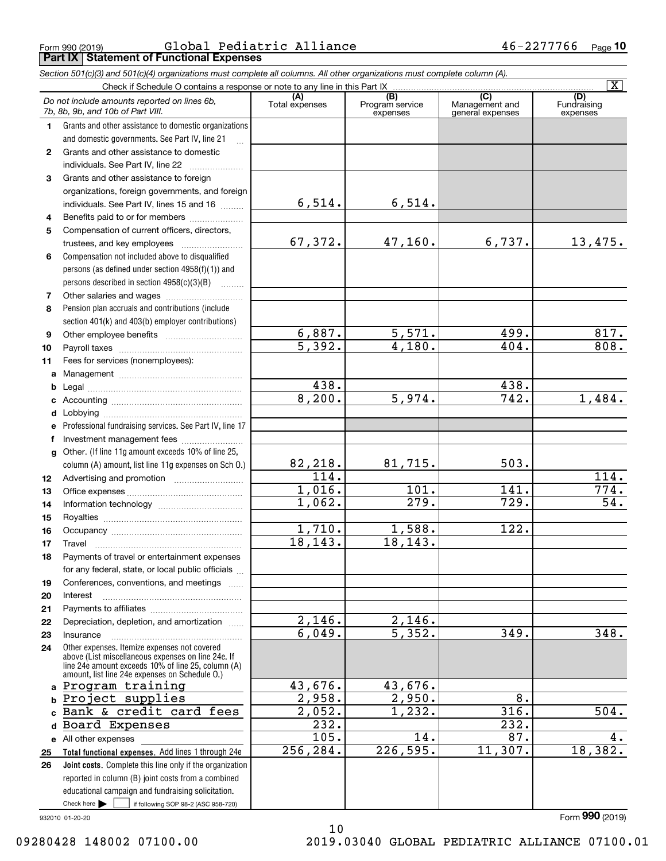Form 990 (2019) Page **Part IX Statement of Functional Expenses** Global Pediatric Alliance 46-2277766

*Section 501(c)(3) and 501(c)(4) organizations must complete all columns. All other organizations must complete column (A).*

|              | $\overline{\mathbf{x}}$                                                                                                                                                                                    |                       |                                    |                                                               |                                |  |  |  |
|--------------|------------------------------------------------------------------------------------------------------------------------------------------------------------------------------------------------------------|-----------------------|------------------------------------|---------------------------------------------------------------|--------------------------------|--|--|--|
|              | Do not include amounts reported on lines 6b,<br>7b, 8b, 9b, and 10b of Part VIII.                                                                                                                          | (A)<br>Total expenses | (B)<br>Program service<br>expenses | $\overline{\text{(C)}}$<br>Management and<br>general expenses | (D)<br>Fundraising<br>expenses |  |  |  |
| 1.           | Grants and other assistance to domestic organizations                                                                                                                                                      |                       |                                    |                                                               |                                |  |  |  |
|              | and domestic governments. See Part IV, line 21                                                                                                                                                             |                       |                                    |                                                               |                                |  |  |  |
| $\mathbf{2}$ | Grants and other assistance to domestic                                                                                                                                                                    |                       |                                    |                                                               |                                |  |  |  |
|              | individuals. See Part IV, line 22                                                                                                                                                                          |                       |                                    |                                                               |                                |  |  |  |
| 3            | Grants and other assistance to foreign                                                                                                                                                                     |                       |                                    |                                                               |                                |  |  |  |
|              | organizations, foreign governments, and foreign                                                                                                                                                            |                       |                                    |                                                               |                                |  |  |  |
|              | individuals. See Part IV, lines 15 and 16                                                                                                                                                                  | 6,514.                | 6,514.                             |                                                               |                                |  |  |  |
| 4            | Benefits paid to or for members                                                                                                                                                                            |                       |                                    |                                                               |                                |  |  |  |
| 5            | Compensation of current officers, directors,                                                                                                                                                               |                       |                                    |                                                               |                                |  |  |  |
|              | trustees, and key employees                                                                                                                                                                                | 67,372.               | 47,160.                            | 6,737.                                                        | 13,475.                        |  |  |  |
| 6            | Compensation not included above to disqualified                                                                                                                                                            |                       |                                    |                                                               |                                |  |  |  |
|              | persons (as defined under section 4958(f)(1)) and                                                                                                                                                          |                       |                                    |                                                               |                                |  |  |  |
|              | persons described in section 4958(c)(3)(B)                                                                                                                                                                 |                       |                                    |                                                               |                                |  |  |  |
| 7            |                                                                                                                                                                                                            |                       |                                    |                                                               |                                |  |  |  |
| 8            | Pension plan accruals and contributions (include                                                                                                                                                           |                       |                                    |                                                               |                                |  |  |  |
|              | section 401(k) and 403(b) employer contributions)                                                                                                                                                          |                       |                                    |                                                               |                                |  |  |  |
| 9            |                                                                                                                                                                                                            | 6,887.                | 5,571.                             | 499.                                                          | 817.                           |  |  |  |
| 10           |                                                                                                                                                                                                            | $\overline{5.392.}$   | 4,180.                             | 404.                                                          | 808.                           |  |  |  |
| 11           | Fees for services (nonemployees):                                                                                                                                                                          |                       |                                    |                                                               |                                |  |  |  |
| a            |                                                                                                                                                                                                            |                       |                                    |                                                               |                                |  |  |  |
| b            |                                                                                                                                                                                                            | 438.                  |                                    | 438.                                                          |                                |  |  |  |
| c            |                                                                                                                                                                                                            | 8,200.                | 5,974.                             | 742.                                                          | 1,484.                         |  |  |  |
| d            |                                                                                                                                                                                                            |                       |                                    |                                                               |                                |  |  |  |
| е            | Professional fundraising services. See Part IV, line 17                                                                                                                                                    |                       |                                    |                                                               |                                |  |  |  |
| f            | Investment management fees                                                                                                                                                                                 |                       |                                    |                                                               |                                |  |  |  |
| $\mathbf{q}$ | Other. (If line 11g amount exceeds 10% of line 25,                                                                                                                                                         |                       |                                    |                                                               |                                |  |  |  |
|              | column (A) amount, list line 11g expenses on Sch O.)                                                                                                                                                       | 82,218.               | 81,715.                            | 503.                                                          |                                |  |  |  |
| 12           |                                                                                                                                                                                                            | $\overline{114}$ .    |                                    |                                                               | $\overline{114}$ .             |  |  |  |
| 13           |                                                                                                                                                                                                            | 1,016.                | 101.                               | 141.                                                          | $\overline{774}$ .             |  |  |  |
| 14           |                                                                                                                                                                                                            | 1,062.                | 279.                               | 729.                                                          | $\overline{54}$ .              |  |  |  |
| 15           |                                                                                                                                                                                                            |                       |                                    |                                                               |                                |  |  |  |
| 16           |                                                                                                                                                                                                            | 1,710.                | 1,588.                             | 122.                                                          |                                |  |  |  |
| 17           | Travel                                                                                                                                                                                                     | 18, 143.              | 18, 143.                           |                                                               |                                |  |  |  |
| 18           | Payments of travel or entertainment expenses                                                                                                                                                               |                       |                                    |                                                               |                                |  |  |  |
|              | for any federal, state, or local public officials                                                                                                                                                          |                       |                                    |                                                               |                                |  |  |  |
| 19           | Conferences, conventions, and meetings                                                                                                                                                                     |                       |                                    |                                                               |                                |  |  |  |
| 20           | Interest                                                                                                                                                                                                   |                       |                                    |                                                               |                                |  |  |  |
| 21           |                                                                                                                                                                                                            |                       |                                    |                                                               |                                |  |  |  |
| 22           | Depreciation, depletion, and amortization                                                                                                                                                                  | 2,146.                | 2,146.                             |                                                               |                                |  |  |  |
| 23           | Insurance                                                                                                                                                                                                  | 6,049.                | $\overline{5,352}$ .               | 349.                                                          | 348.                           |  |  |  |
| 24           | Other expenses. Itemize expenses not covered<br>above (List miscellaneous expenses on line 24e. If<br>line 24e amount exceeds 10% of line 25, column (A)<br>amount, list line 24e expenses on Schedule O.) |                       |                                    |                                                               |                                |  |  |  |
|              | a Program training                                                                                                                                                                                         | 43,676.               | 43,676.                            |                                                               |                                |  |  |  |
| b            | Project supplies                                                                                                                                                                                           | 2,958.                | 2,950.                             | 8.                                                            |                                |  |  |  |
|              | Bank & credit card fees                                                                                                                                                                                    | 2,052.                | 1,232.                             | 316.                                                          | 504.                           |  |  |  |
| d            | Board Expenses                                                                                                                                                                                             | 232.                  |                                    | 232.                                                          |                                |  |  |  |
|              | e All other expenses                                                                                                                                                                                       | 105.                  | $\overline{14}$ .                  | $\overline{87}$ .                                             | 4.                             |  |  |  |
| 25           | Total functional expenses. Add lines 1 through 24e                                                                                                                                                         | 256,284.              | 226, 595.                          | 11,307.                                                       | 18,382.                        |  |  |  |
| 26           | <b>Joint costs.</b> Complete this line only if the organization                                                                                                                                            |                       |                                    |                                                               |                                |  |  |  |
|              | reported in column (B) joint costs from a combined                                                                                                                                                         |                       |                                    |                                                               |                                |  |  |  |
|              | educational campaign and fundraising solicitation.                                                                                                                                                         |                       |                                    |                                                               |                                |  |  |  |
|              | Check here $\blacktriangleright$<br>if following SOP 98-2 (ASC 958-720)                                                                                                                                    |                       |                                    |                                                               |                                |  |  |  |

10

932010 01-20-20

Form (2019) **990**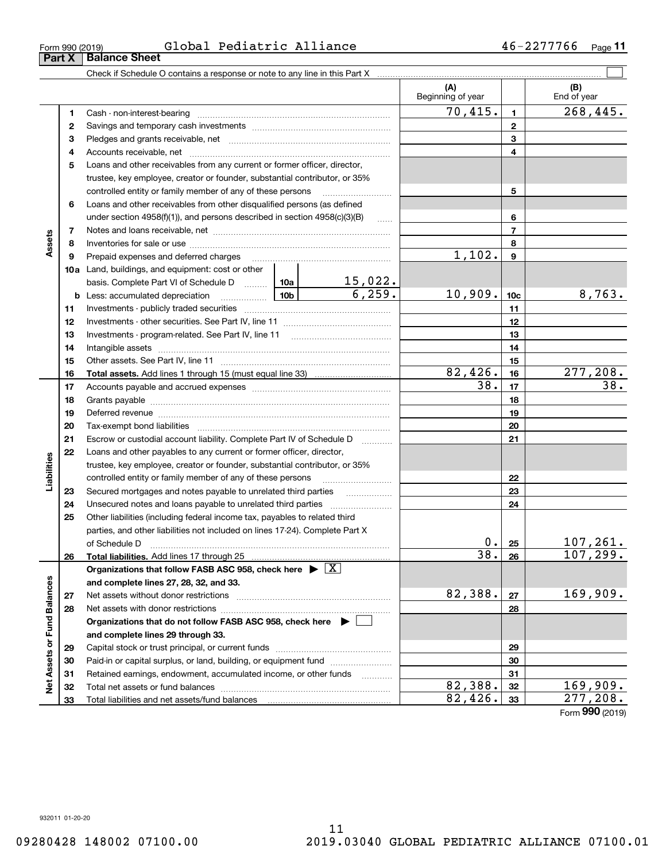**32 33**

 $82,426.$  33 277,208.

Form (2019) **990**

**33**

|                             | 1            | Cash - non-interest-bearing                                                                                                                                                                                                    |  |                     | 70,415.           | 1               | 268,445.                      |
|-----------------------------|--------------|--------------------------------------------------------------------------------------------------------------------------------------------------------------------------------------------------------------------------------|--|---------------------|-------------------|-----------------|-------------------------------|
|                             | $\mathbf{2}$ |                                                                                                                                                                                                                                |  |                     |                   | $\mathbf{2}$    |                               |
|                             | 3            |                                                                                                                                                                                                                                |  |                     |                   | 3               |                               |
|                             | 4            |                                                                                                                                                                                                                                |  |                     | 4                 |                 |                               |
|                             | 5            | Loans and other receivables from any current or former officer, director,                                                                                                                                                      |  |                     |                   |                 |                               |
|                             |              | trustee, key employee, creator or founder, substantial contributor, or 35%                                                                                                                                                     |  |                     |                   |                 |                               |
|                             |              | controlled entity or family member of any of these persons                                                                                                                                                                     |  |                     |                   | 5               |                               |
|                             | 6            | Loans and other receivables from other disqualified persons (as defined                                                                                                                                                        |  |                     |                   |                 |                               |
|                             |              | under section $4958(f)(1)$ , and persons described in section $4958(c)(3)(B)$                                                                                                                                                  |  |                     |                   | 6               |                               |
|                             | 7            |                                                                                                                                                                                                                                |  |                     |                   | $\overline{7}$  |                               |
| Assets                      | 8            |                                                                                                                                                                                                                                |  |                     |                   | 8               |                               |
|                             | 9            | Prepaid expenses and deferred charges                                                                                                                                                                                          |  |                     | 1,102.            | 9               |                               |
|                             |              | 10a Land, buildings, and equipment: cost or other                                                                                                                                                                              |  |                     |                   |                 |                               |
|                             |              | basis. Complete Part VI of Schedule D  10a                                                                                                                                                                                     |  | 15,022.             |                   |                 |                               |
|                             |              | $\begin{array}{c c c c c} \hline & & 10b & \hline \end{array}$<br><b>b</b> Less: accumulated depreciation                                                                                                                      |  | $\frac{1}{6,259.}$  | 10,909.           | 10 <sub>c</sub> | 8,763.                        |
|                             | 11           |                                                                                                                                                                                                                                |  |                     |                   | 11              |                               |
|                             | 12           |                                                                                                                                                                                                                                |  |                     |                   | 12              |                               |
|                             | 13           |                                                                                                                                                                                                                                |  |                     |                   | 13              |                               |
|                             | 14           |                                                                                                                                                                                                                                |  |                     |                   | 14              |                               |
|                             | 15           |                                                                                                                                                                                                                                |  |                     |                   | 15              |                               |
|                             | 16           |                                                                                                                                                                                                                                |  |                     | 82,426.           | 16              | 277, 208.                     |
|                             | 17           |                                                                                                                                                                                                                                |  |                     | 38.               | 17              | $\overline{38}$ .             |
|                             | 18           |                                                                                                                                                                                                                                |  |                     |                   | 18              |                               |
|                             | 19           | Deferred revenue manual contracts and contracts are all the contracts and contracts are contracted and contracts are contracted and contract are contracted and contract are contracted and contract are contracted and contra |  |                     |                   | 19              |                               |
|                             | 20           |                                                                                                                                                                                                                                |  |                     |                   | 20              |                               |
|                             | 21           | Escrow or custodial account liability. Complete Part IV of Schedule D                                                                                                                                                          |  | 1.1.1.1.1.1.1.1.1.1 |                   | 21              |                               |
|                             | 22           | Loans and other payables to any current or former officer, director,                                                                                                                                                           |  |                     |                   |                 |                               |
| Liabilities                 |              | trustee, key employee, creator or founder, substantial contributor, or 35%                                                                                                                                                     |  |                     |                   |                 |                               |
|                             |              | controlled entity or family member of any of these persons                                                                                                                                                                     |  |                     |                   | 22              |                               |
|                             | 23           | Secured mortgages and notes payable to unrelated third parties                                                                                                                                                                 |  | .                   |                   | 23              |                               |
|                             | 24           |                                                                                                                                                                                                                                |  |                     |                   | 24              |                               |
|                             | 25           | Other liabilities (including federal income tax, payables to related third                                                                                                                                                     |  |                     |                   |                 |                               |
|                             |              | parties, and other liabilities not included on lines 17-24). Complete Part X                                                                                                                                                   |  |                     | $0$ .             |                 |                               |
|                             |              | of Schedule D                                                                                                                                                                                                                  |  |                     | $\overline{38}$ . | 25              | <u> 107,261.</u><br>107, 299. |
|                             | 26           | <b>Total liabilities.</b> Add lines 17 through 25                                                                                                                                                                              |  |                     |                   | 26              |                               |
|                             |              | Organizations that follow FASB ASC 958, check here $\triangleright \lfloor X \rfloor$<br>and complete lines 27, 28, 32, and 33.                                                                                                |  |                     |                   |                 |                               |
|                             | 27           |                                                                                                                                                                                                                                |  |                     | 82,388.           | ${\bf 27}$      | 169,909.                      |
|                             | 28           | Net assets with donor restrictions                                                                                                                                                                                             |  |                     |                   | 28              |                               |
|                             |              | Organizations that do not follow FASB ASC 958, check here $\blacktriangleright$                                                                                                                                                |  |                     |                   |                 |                               |
|                             |              | and complete lines 29 through 33.                                                                                                                                                                                              |  |                     |                   |                 |                               |
| Net Assets or Fund Balances | 29           |                                                                                                                                                                                                                                |  |                     |                   | 29              |                               |
|                             | 30           | Paid-in or capital surplus, or land, building, or equipment fund                                                                                                                                                               |  |                     |                   | 30              |                               |
|                             | 31           | Retained earnings, endowment, accumulated income, or other funds                                                                                                                                                               |  | 1.1.1.1.1.1.1.1.1   |                   | 31              |                               |
|                             | 32           |                                                                                                                                                                                                                                |  |                     | 82,388.           | 32              | 169,909.                      |
|                             |              |                                                                                                                                                                                                                                |  |                     |                   |                 |                               |

### Form 990 (2019) Global Pediatric Alliance 46-2277766 <sub>Page</sub>

Check if Schedule O contains a response or note to any line in this Part X

Total liabilities and net assets/fund balances

**11**

(B)<br>End of year

 $\mathcal{L}^{\text{max}}$ 

**(A) (B)**

Beginning of year | | End of year

**Part X** | Balance Sheet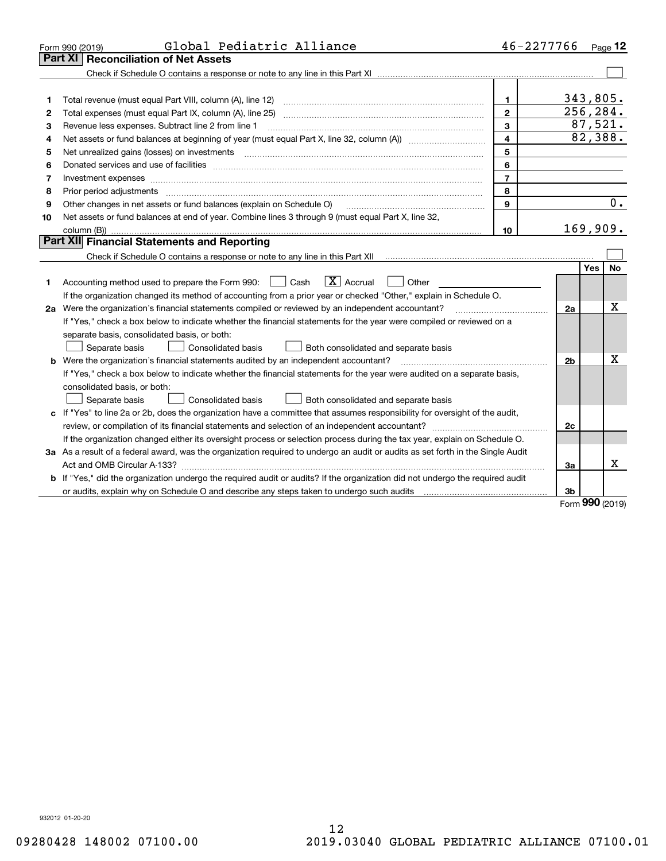|    | Global Pediatric Alliance<br>Form 990 (2019)                                                                                                                                                                                   | 46-2277766       |                |            | Page $12$ |
|----|--------------------------------------------------------------------------------------------------------------------------------------------------------------------------------------------------------------------------------|------------------|----------------|------------|-----------|
|    | <b>Reconciliation of Net Assets</b><br>Part XI                                                                                                                                                                                 |                  |                |            |           |
|    |                                                                                                                                                                                                                                |                  |                |            |           |
|    |                                                                                                                                                                                                                                |                  |                |            |           |
| 1  |                                                                                                                                                                                                                                | $\mathbf{1}$     | 343,805.       |            |           |
| 2  |                                                                                                                                                                                                                                | $\overline{2}$   | 256,284.       |            |           |
| з  | Revenue less expenses. Subtract line 2 from line 1                                                                                                                                                                             | 3                |                |            | 87,521.   |
| 4  |                                                                                                                                                                                                                                | $\overline{4}$   |                |            | 82,388.   |
| 5  |                                                                                                                                                                                                                                | 5                |                |            |           |
| 6  | Donated services and use of facilities [111] matter contracts and the service of facilities [11] matter contracts and use of facilities [11] matter contracts and the service of facilities [11] matter contracts and the serv | 6                |                |            |           |
| 7  |                                                                                                                                                                                                                                | $\overline{7}$   |                |            |           |
| 8  | Prior period adjustments                                                                                                                                                                                                       | 8                |                |            |           |
| 9  | Other changes in net assets or fund balances (explain on Schedule O)                                                                                                                                                           | $\mathbf{Q}$     |                |            | 0.        |
| 10 | Net assets or fund balances at end of year. Combine lines 3 through 9 (must equal Part X, line 32,                                                                                                                             |                  |                |            |           |
|    |                                                                                                                                                                                                                                | 10 <sup>10</sup> | 169,909.       |            |           |
|    | Part XII Financial Statements and Reporting                                                                                                                                                                                    |                  |                |            |           |
|    |                                                                                                                                                                                                                                |                  |                |            |           |
|    |                                                                                                                                                                                                                                |                  |                | <b>Yes</b> | No        |
| 1  | $\boxed{\text{X}}$ Accrual<br>Accounting method used to prepare the Form 990: <u>June</u> Cash<br>Other                                                                                                                        |                  |                |            |           |
|    | If the organization changed its method of accounting from a prior year or checked "Other," explain in Schedule O.                                                                                                              |                  |                |            |           |
|    | 2a Were the organization's financial statements compiled or reviewed by an independent accountant?                                                                                                                             |                  | 2a             |            | Χ         |
|    | If "Yes," check a box below to indicate whether the financial statements for the year were compiled or reviewed on a                                                                                                           |                  |                |            |           |
|    | separate basis, consolidated basis, or both:                                                                                                                                                                                   |                  |                |            |           |
|    | Separate basis<br>Consolidated basis<br>Both consolidated and separate basis                                                                                                                                                   |                  |                |            |           |
| b  | Were the organization's financial statements audited by an independent accountant?                                                                                                                                             |                  | 2 <sub>b</sub> |            | Χ         |
|    | If "Yes," check a box below to indicate whether the financial statements for the year were audited on a separate basis,                                                                                                        |                  |                |            |           |
|    | consolidated basis, or both:                                                                                                                                                                                                   |                  |                |            |           |
|    | Separate basis<br>Consolidated basis<br>Both consolidated and separate basis                                                                                                                                                   |                  |                |            |           |
|    | c If "Yes" to line 2a or 2b, does the organization have a committee that assumes responsibility for oversight of the audit,                                                                                                    |                  |                |            |           |
|    |                                                                                                                                                                                                                                |                  | 2c             |            |           |
|    | If the organization changed either its oversight process or selection process during the tax year, explain on Schedule O.                                                                                                      |                  |                |            |           |
|    | 3a As a result of a federal award, was the organization required to undergo an audit or audits as set forth in the Single Audit                                                                                                |                  |                |            |           |
|    | Act and OMB Circular A-133?                                                                                                                                                                                                    |                  | 3a             |            | x         |
|    | b If "Yes," did the organization undergo the required audit or audits? If the organization did not undergo the required audit                                                                                                  |                  |                |            |           |
|    | or audits, explain why on Schedule O and describe any steps taken to undergo such audits matured contains the successive or and the successive or and the successive or and the successive or and the successive or and the su |                  | 3b             | 000        |           |

Form (2019) **990**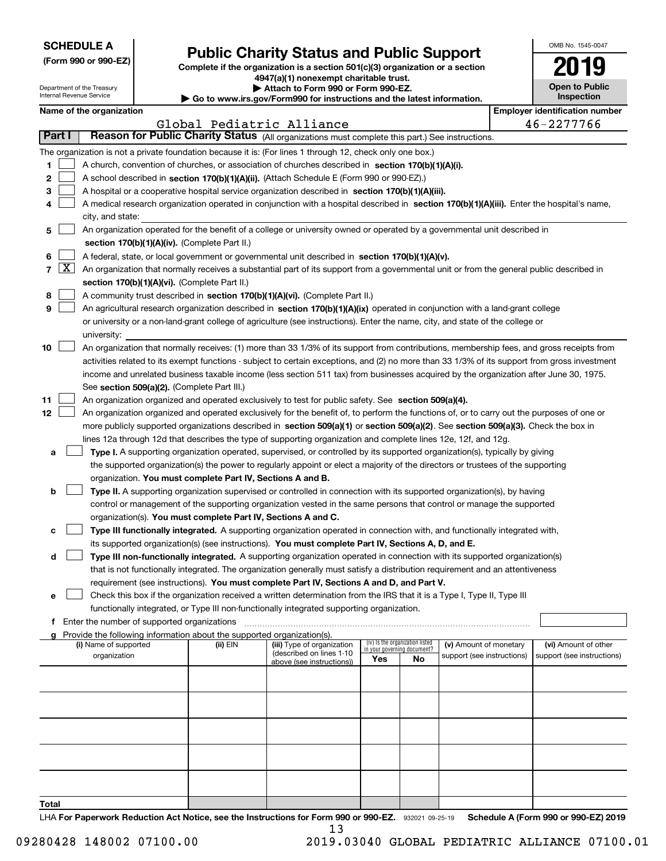| <b>SCHEDULE A</b> |
|-------------------|
|-------------------|

Department of the Treasury Internal Revenue Service

|  |  |  | (Form 990 or 990-EZ) |  |
|--|--|--|----------------------|--|
|--|--|--|----------------------|--|

## **Public Charity Status and Public Support**

**Complete if the organization is a section 501(c)(3) organization or a section 4947(a)(1) nonexempt charitable trust. | Attach to Form 990 or Form 990-EZ.** 

| OMB No. 1545-0047 |
|-------------------|
| 201!              |
| Open to Public    |

**Inspection**

|  | Name of the organization |
|--|--------------------------|
|  |                          |

|               |            | Name of the organization                                                                                                                      |          |                            |                                 |    |                            | <b>Employer identification number</b> |
|---------------|------------|-----------------------------------------------------------------------------------------------------------------------------------------------|----------|----------------------------|---------------------------------|----|----------------------------|---------------------------------------|
|               |            |                                                                                                                                               |          | Global Pediatric Alliance  |                                 |    |                            | 46-2277766                            |
|               | Part I     | Reason for Public Charity Status (All organizations must complete this part.) See instructions.                                               |          |                            |                                 |    |                            |                                       |
|               |            | The organization is not a private foundation because it is: (For lines 1 through 12, check only one box.)                                     |          |                            |                                 |    |                            |                                       |
| 1             |            | A church, convention of churches, or association of churches described in section 170(b)(1)(A)(i).                                            |          |                            |                                 |    |                            |                                       |
| 2             |            | A school described in section 170(b)(1)(A)(ii). (Attach Schedule E (Form 990 or 990-EZ).)                                                     |          |                            |                                 |    |                            |                                       |
| 3             |            | A hospital or a cooperative hospital service organization described in section 170(b)(1)(A)(iii).                                             |          |                            |                                 |    |                            |                                       |
| 4             |            | A medical research organization operated in conjunction with a hospital described in section 170(b)(1)(A)(iii). Enter the hospital's name,    |          |                            |                                 |    |                            |                                       |
|               |            | city, and state:                                                                                                                              |          |                            |                                 |    |                            |                                       |
| 5             |            | An organization operated for the benefit of a college or university owned or operated by a governmental unit described in                     |          |                            |                                 |    |                            |                                       |
|               |            | section 170(b)(1)(A)(iv). (Complete Part II.)                                                                                                 |          |                            |                                 |    |                            |                                       |
| 6             |            | A federal, state, or local government or governmental unit described in section 170(b)(1)(A)(v).                                              |          |                            |                                 |    |                            |                                       |
|               | $7 \times$ | An organization that normally receives a substantial part of its support from a governmental unit or from the general public described in     |          |                            |                                 |    |                            |                                       |
|               |            | section 170(b)(1)(A)(vi). (Complete Part II.)                                                                                                 |          |                            |                                 |    |                            |                                       |
| 8             |            | A community trust described in section 170(b)(1)(A)(vi). (Complete Part II.)                                                                  |          |                            |                                 |    |                            |                                       |
| 9             |            | An agricultural research organization described in section 170(b)(1)(A)(ix) operated in conjunction with a land-grant college                 |          |                            |                                 |    |                            |                                       |
|               |            | or university or a non-land-grant college of agriculture (see instructions). Enter the name, city, and state of the college or                |          |                            |                                 |    |                            |                                       |
|               |            | university:                                                                                                                                   |          |                            |                                 |    |                            |                                       |
| 10            |            | An organization that normally receives: (1) more than 33 1/3% of its support from contributions, membership fees, and gross receipts from     |          |                            |                                 |    |                            |                                       |
|               |            | activities related to its exempt functions - subject to certain exceptions, and (2) no more than 33 1/3% of its support from gross investment |          |                            |                                 |    |                            |                                       |
|               |            | income and unrelated business taxable income (less section 511 tax) from businesses acquired by the organization after June 30, 1975.         |          |                            |                                 |    |                            |                                       |
|               |            | See section 509(a)(2). (Complete Part III.)                                                                                                   |          |                            |                                 |    |                            |                                       |
| 11            |            | An organization organized and operated exclusively to test for public safety. See section 509(a)(4).                                          |          |                            |                                 |    |                            |                                       |
| 12            |            | An organization organized and operated exclusively for the benefit of, to perform the functions of, or to carry out the purposes of one or    |          |                            |                                 |    |                            |                                       |
|               |            | more publicly supported organizations described in section 509(a)(1) or section 509(a)(2). See section 509(a)(3). Check the box in            |          |                            |                                 |    |                            |                                       |
|               |            | lines 12a through 12d that describes the type of supporting organization and complete lines 12e, 12f, and 12g.                                |          |                            |                                 |    |                            |                                       |
| а             |            | Type I. A supporting organization operated, supervised, or controlled by its supported organization(s), typically by giving                   |          |                            |                                 |    |                            |                                       |
|               |            | the supported organization(s) the power to regularly appoint or elect a majority of the directors or trustees of the supporting               |          |                            |                                 |    |                            |                                       |
|               |            | organization. You must complete Part IV, Sections A and B.                                                                                    |          |                            |                                 |    |                            |                                       |
| b             |            | Type II. A supporting organization supervised or controlled in connection with its supported organization(s), by having                       |          |                            |                                 |    |                            |                                       |
|               |            | control or management of the supporting organization vested in the same persons that control or manage the supported                          |          |                            |                                 |    |                            |                                       |
|               |            | organization(s). You must complete Part IV, Sections A and C.                                                                                 |          |                            |                                 |    |                            |                                       |
| с             |            | Type III functionally integrated. A supporting organization operated in connection with, and functionally integrated with,                    |          |                            |                                 |    |                            |                                       |
|               |            | its supported organization(s) (see instructions). You must complete Part IV, Sections A, D, and E.                                            |          |                            |                                 |    |                            |                                       |
| d             |            | Type III non-functionally integrated. A supporting organization operated in connection with its supported organization(s)                     |          |                            |                                 |    |                            |                                       |
|               |            | that is not functionally integrated. The organization generally must satisfy a distribution requirement and an attentiveness                  |          |                            |                                 |    |                            |                                       |
|               |            | requirement (see instructions). You must complete Part IV, Sections A and D, and Part V.                                                      |          |                            |                                 |    |                            |                                       |
|               |            | Check this box if the organization received a written determination from the IRS that it is a Type I, Type II, Type III                       |          |                            |                                 |    |                            |                                       |
|               |            | functionally integrated, or Type III non-functionally integrated supporting organization.                                                     |          |                            |                                 |    |                            |                                       |
|               |            | f Enter the number of supported organizations                                                                                                 |          |                            |                                 |    |                            |                                       |
|               |            | g Provide the following information about the supported organization(s).<br>(i) Name of supported                                             | (ii) EIN | (iii) Type of organization | (iv) Is the organization listed |    | (v) Amount of monetary     | (vi) Amount of other                  |
|               |            | organization                                                                                                                                  |          | (described on lines 1-10   | in your governing document?     |    | support (see instructions) | support (see instructions)            |
|               |            |                                                                                                                                               |          | above (see instructions))  | Yes                             | No |                            |                                       |
|               |            |                                                                                                                                               |          |                            |                                 |    |                            |                                       |
|               |            |                                                                                                                                               |          |                            |                                 |    |                            |                                       |
|               |            |                                                                                                                                               |          |                            |                                 |    |                            |                                       |
|               |            |                                                                                                                                               |          |                            |                                 |    |                            |                                       |
|               |            |                                                                                                                                               |          |                            |                                 |    |                            |                                       |
|               |            |                                                                                                                                               |          |                            |                                 |    |                            |                                       |
|               |            |                                                                                                                                               |          |                            |                                 |    |                            |                                       |
|               |            |                                                                                                                                               |          |                            |                                 |    |                            |                                       |
|               |            |                                                                                                                                               |          |                            |                                 |    |                            |                                       |
| To <u>tal</u> |            |                                                                                                                                               |          |                            |                                 |    |                            |                                       |

LHA For Paperwork Reduction Act Notice, see the Instructions for Form 990 or 990-EZ. 932021 09-25-19 Schedule A (Form 990 or 990-EZ) 2019 13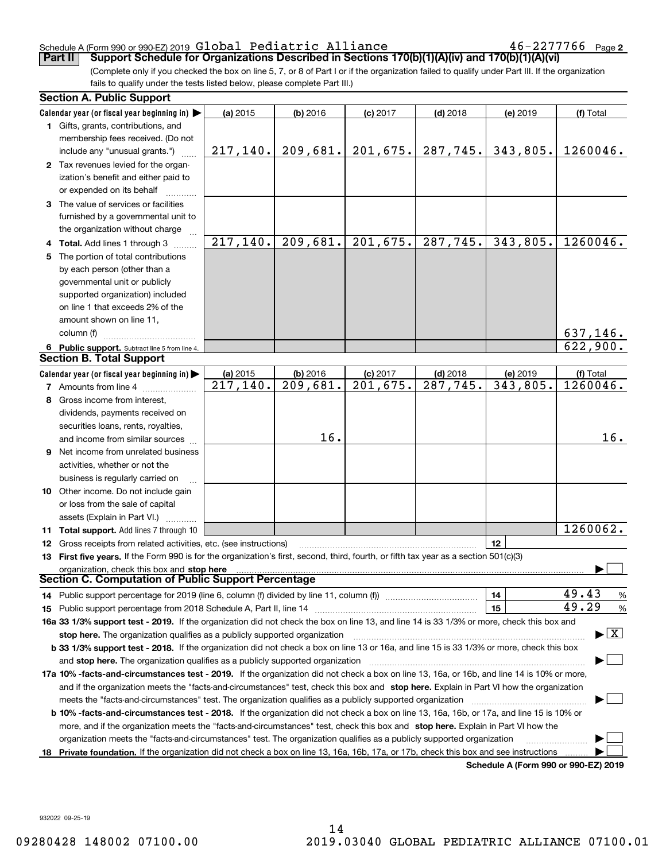#### Schedule A (Form 990 or 990-EZ) 2019 Page Global Pediatric Alliance 46-2277766

 $46 - 2277766$  Page 2

(Complete only if you checked the box on line 5, 7, or 8 of Part I or if the organization failed to qualify under Part III. If the organization fails to qualify under the tests listed below, please complete Part III.) **Part II Support Schedule for Organizations Described in Sections 170(b)(1)(A)(iv) and 170(b)(1)(A)(vi)**

|    | <b>Section A. Public Support</b>                                                                                                               |           |                        |            |                         |                                      |                                 |
|----|------------------------------------------------------------------------------------------------------------------------------------------------|-----------|------------------------|------------|-------------------------|--------------------------------------|---------------------------------|
|    | Calendar year (or fiscal year beginning in) $\blacktriangleright$                                                                              | (a) 2015  | (b) 2016               | $(c)$ 2017 | $(d)$ 2018              | (e) 2019                             | (f) Total                       |
|    | <b>1</b> Gifts, grants, contributions, and                                                                                                     |           |                        |            |                         |                                      |                                 |
|    | membership fees received. (Do not                                                                                                              |           |                        |            |                         |                                      |                                 |
|    | include any "unusual grants.")                                                                                                                 | 217,140.  | 209,681.               | 201,675.   | 287,745.                | 343,805.                             | 1260046.                        |
|    | 2 Tax revenues levied for the organ-                                                                                                           |           |                        |            |                         |                                      |                                 |
|    | ization's benefit and either paid to                                                                                                           |           |                        |            |                         |                                      |                                 |
|    | or expended on its behalf                                                                                                                      |           |                        |            |                         |                                      |                                 |
|    | 3 The value of services or facilities                                                                                                          |           |                        |            |                         |                                      |                                 |
|    | furnished by a governmental unit to                                                                                                            |           |                        |            |                         |                                      |                                 |
|    | the organization without charge                                                                                                                |           |                        |            |                         |                                      |                                 |
|    | 4 Total. Add lines 1 through 3                                                                                                                 | 217, 140. | 209,681.               | 201,675.   | $\overline{287}$ , 745. | 343,805.                             | 1260046.                        |
| 5. | The portion of total contributions                                                                                                             |           |                        |            |                         |                                      |                                 |
|    | by each person (other than a                                                                                                                   |           |                        |            |                         |                                      |                                 |
|    | governmental unit or publicly                                                                                                                  |           |                        |            |                         |                                      |                                 |
|    | supported organization) included                                                                                                               |           |                        |            |                         |                                      |                                 |
|    | on line 1 that exceeds 2% of the                                                                                                               |           |                        |            |                         |                                      |                                 |
|    | amount shown on line 11,                                                                                                                       |           |                        |            |                         |                                      |                                 |
|    | column (f)                                                                                                                                     |           |                        |            |                         |                                      | <u>637,146.</u>                 |
|    | 6 Public support. Subtract line 5 from line 4.                                                                                                 |           |                        |            |                         |                                      | 622,900.                        |
|    | <b>Section B. Total Support</b>                                                                                                                |           |                        |            |                         |                                      |                                 |
|    | Calendar year (or fiscal year beginning in)                                                                                                    | (a) 2015  | $(b)$ 2016             | $(c)$ 2017 | $(d)$ 2018              | (e) 2019                             | (f) Total                       |
|    | <b>7</b> Amounts from line 4                                                                                                                   | 217,140.  | $\overline{209,681}$ . | 201,675.   | 287,745.                | 343,805.                             | 1260046.                        |
|    | 8 Gross income from interest,                                                                                                                  |           |                        |            |                         |                                      |                                 |
|    | dividends, payments received on                                                                                                                |           |                        |            |                         |                                      |                                 |
|    | securities loans, rents, royalties,                                                                                                            |           |                        |            |                         |                                      |                                 |
|    | and income from similar sources                                                                                                                |           | 16.                    |            |                         |                                      | 16.                             |
|    | <b>9</b> Net income from unrelated business                                                                                                    |           |                        |            |                         |                                      |                                 |
|    | activities, whether or not the                                                                                                                 |           |                        |            |                         |                                      |                                 |
|    | business is regularly carried on                                                                                                               |           |                        |            |                         |                                      |                                 |
|    | <b>10</b> Other income. Do not include gain                                                                                                    |           |                        |            |                         |                                      |                                 |
|    | or loss from the sale of capital                                                                                                               |           |                        |            |                         |                                      |                                 |
|    | assets (Explain in Part VI.)                                                                                                                   |           |                        |            |                         |                                      |                                 |
|    | <b>11 Total support.</b> Add lines 7 through 10                                                                                                |           |                        |            |                         |                                      | 1260062.                        |
|    | <b>12</b> Gross receipts from related activities, etc. (see instructions)                                                                      |           |                        |            |                         | 12                                   |                                 |
|    | 13 First five years. If the Form 990 is for the organization's first, second, third, fourth, or fifth tax year as a section 501(c)(3)          |           |                        |            |                         |                                      |                                 |
|    | organization, check this box and stop here                                                                                                     |           |                        |            |                         |                                      |                                 |
|    | Section C. Computation of Public Support Percentage                                                                                            |           |                        |            |                         |                                      |                                 |
|    | 14 Public support percentage for 2019 (line 6, column (f) divided by line 11, column (f) <i>manumeronominimi</i> ng                            |           |                        |            |                         | 14                                   | 49.43<br>$\frac{9}{6}$          |
|    |                                                                                                                                                |           |                        |            |                         | 15                                   | 49.29<br>$\frac{9}{6}$          |
|    | 16a 33 1/3% support test - 2019. If the organization did not check the box on line 13, and line 14 is 33 1/3% or more, check this box and      |           |                        |            |                         |                                      |                                 |
|    | stop here. The organization qualifies as a publicly supported organization                                                                     |           |                        |            |                         |                                      | $\blacktriangleright$ $\vert$ X |
|    | b 33 1/3% support test - 2018. If the organization did not check a box on line 13 or 16a, and line 15 is 33 1/3% or more, check this box       |           |                        |            |                         |                                      |                                 |
|    | and stop here. The organization qualifies as a publicly supported organization                                                                 |           |                        |            |                         |                                      |                                 |
|    | 17a 10% -facts-and-circumstances test - 2019. If the organization did not check a box on line 13, 16a, or 16b, and line 14 is 10% or more,     |           |                        |            |                         |                                      |                                 |
|    | and if the organization meets the "facts-and-circumstances" test, check this box and stop here. Explain in Part VI how the organization        |           |                        |            |                         |                                      |                                 |
|    | meets the "facts-and-circumstances" test. The organization qualifies as a publicly supported organization                                      |           |                        |            |                         |                                      |                                 |
|    | <b>b 10% -facts-and-circumstances test - 2018.</b> If the organization did not check a box on line 13, 16a, 16b, or 17a, and line 15 is 10% or |           |                        |            |                         |                                      |                                 |
|    | more, and if the organization meets the "facts-and-circumstances" test, check this box and stop here. Explain in Part VI how the               |           |                        |            |                         |                                      |                                 |
|    | organization meets the "facts-and-circumstances" test. The organization qualifies as a publicly supported organization                         |           |                        |            |                         |                                      |                                 |
|    | 18 Private foundation. If the organization did not check a box on line 13, 16a, 16b, 17a, or 17b, check this box and see instructions          |           |                        |            |                         |                                      |                                 |
|    |                                                                                                                                                |           |                        |            |                         | Schedule A (Form 990 or 990-F7) 2019 |                                 |

**Schedule A (Form 990 or 990-EZ) 2019**

932022 09-25-19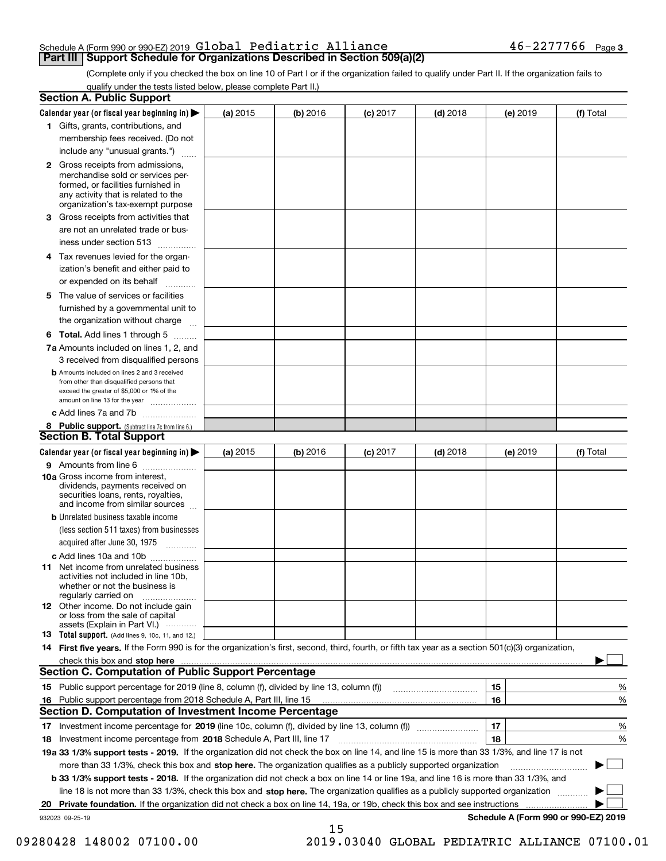### Schedule A (Form 990 or 990-EZ) 2019 Page Global Pediatric Alliance 46-2277766

(Complete only if you checked the box on line 10 of Part I or if the organization failed to qualify under Part II. If the organization fails to qualify under the tests listed below, please complete Part II.)

|    | <b>Section A. Public Support</b>                                                                                                                                                                                       |            |          |                 |            |          |                                      |
|----|------------------------------------------------------------------------------------------------------------------------------------------------------------------------------------------------------------------------|------------|----------|-----------------|------------|----------|--------------------------------------|
|    | Calendar year (or fiscal year beginning in) $\blacktriangleright$                                                                                                                                                      | (a) 2015   | (b) 2016 | <b>(c)</b> 2017 | $(d)$ 2018 | (e) 2019 | (f) Total                            |
|    | 1 Gifts, grants, contributions, and                                                                                                                                                                                    |            |          |                 |            |          |                                      |
|    | membership fees received. (Do not                                                                                                                                                                                      |            |          |                 |            |          |                                      |
|    | include any "unusual grants.")                                                                                                                                                                                         |            |          |                 |            |          |                                      |
|    | <b>2</b> Gross receipts from admissions,<br>merchandise sold or services per-<br>formed, or facilities furnished in<br>any activity that is related to the<br>organization's tax-exempt purpose                        |            |          |                 |            |          |                                      |
|    | 3 Gross receipts from activities that<br>are not an unrelated trade or bus-                                                                                                                                            |            |          |                 |            |          |                                      |
|    | iness under section 513                                                                                                                                                                                                |            |          |                 |            |          |                                      |
|    | 4 Tax revenues levied for the organ-                                                                                                                                                                                   |            |          |                 |            |          |                                      |
|    | ization's benefit and either paid to<br>or expended on its behalf<br>.                                                                                                                                                 |            |          |                 |            |          |                                      |
|    | 5 The value of services or facilities<br>furnished by a governmental unit to                                                                                                                                           |            |          |                 |            |          |                                      |
|    | the organization without charge                                                                                                                                                                                        |            |          |                 |            |          |                                      |
|    | <b>6 Total.</b> Add lines 1 through 5                                                                                                                                                                                  |            |          |                 |            |          |                                      |
|    | 7a Amounts included on lines 1, 2, and<br>3 received from disqualified persons                                                                                                                                         |            |          |                 |            |          |                                      |
|    | <b>b</b> Amounts included on lines 2 and 3 received<br>from other than disqualified persons that<br>exceed the greater of \$5,000 or 1% of the<br>amount on line 13 for the year                                       |            |          |                 |            |          |                                      |
|    | c Add lines 7a and 7b                                                                                                                                                                                                  |            |          |                 |            |          |                                      |
|    | 8 Public support. (Subtract line 7c from line 6.)<br><b>Section B. Total Support</b>                                                                                                                                   |            |          |                 |            |          |                                      |
|    | Calendar year (or fiscal year beginning in)                                                                                                                                                                            | (a) $2015$ | (b) 2016 | <b>(c)</b> 2017 | $(d)$ 2018 | (e) 2019 | (f) Total                            |
|    | 9 Amounts from line 6                                                                                                                                                                                                  |            |          |                 |            |          |                                      |
|    | <b>10a</b> Gross income from interest,<br>dividends, payments received on<br>securities loans, rents, royalties,<br>and income from similar sources                                                                    |            |          |                 |            |          |                                      |
|    | <b>b</b> Unrelated business taxable income<br>(less section 511 taxes) from businesses                                                                                                                                 |            |          |                 |            |          |                                      |
|    | acquired after June 30, 1975                                                                                                                                                                                           |            |          |                 |            |          |                                      |
|    | c Add lines 10a and 10b<br>11 Net income from unrelated business<br>activities not included in line 10b,<br>whether or not the business is<br>regularly carried on                                                     |            |          |                 |            |          |                                      |
|    | 12 Other income. Do not include gain<br>or loss from the sale of capital<br>assets (Explain in Part VI.)                                                                                                               |            |          |                 |            |          |                                      |
|    | 13 Total support. (Add lines 9, 10c, 11, and 12.)                                                                                                                                                                      |            |          |                 |            |          |                                      |
|    | 14 First five years. If the Form 990 is for the organization's first, second, third, fourth, or fifth tax year as a section 501(c)(3) organization,                                                                    |            |          |                 |            |          |                                      |
|    | check this box and stop here <b>contained and stop here contained and stop here contained a stop here contained a stop here contained a stop here contained a stop here contained a stop here contained a stop her</b> |            |          |                 |            |          |                                      |
|    | <b>Section C. Computation of Public Support Percentage</b>                                                                                                                                                             |            |          |                 |            |          |                                      |
|    |                                                                                                                                                                                                                        |            |          |                 |            | 15       | %                                    |
|    | 16 Public support percentage from 2018 Schedule A, Part III, line 15                                                                                                                                                   |            |          |                 |            | 16       | %                                    |
|    | <b>Section D. Computation of Investment Income Percentage</b>                                                                                                                                                          |            |          |                 |            |          |                                      |
| 17 | Investment income percentage for 2019 (line 10c, column (f), divided by line 13, column (f))                                                                                                                           |            |          |                 |            | 17       | $\%$                                 |
| 18 | Investment income percentage from 2018 Schedule A, Part III, line 17                                                                                                                                                   |            |          |                 |            | 18       | %                                    |
|    | 19a 33 1/3% support tests - 2019. If the organization did not check the box on line 14, and line 15 is more than 33 1/3%, and line 17 is not                                                                           |            |          |                 |            |          |                                      |
|    | more than 33 1/3%, check this box and stop here. The organization qualifies as a publicly supported organization                                                                                                       |            |          |                 |            |          | ▶                                    |
|    | b 33 1/3% support tests - 2018. If the organization did not check a box on line 14 or line 19a, and line 16 is more than 33 1/3%, and                                                                                  |            |          |                 |            |          |                                      |
|    | line 18 is not more than 33 1/3%, check this box and stop here. The organization qualifies as a publicly supported organization                                                                                        |            |          |                 |            |          |                                      |
| 20 | Private foundation. If the organization did not check a box on line 14, 19a, or 19b, check this box and see instructions                                                                                               |            |          |                 |            |          |                                      |
|    | 932023 09-25-19                                                                                                                                                                                                        |            | 15       |                 |            |          | Schedule A (Form 990 or 990-EZ) 2019 |

09280428 148002 07100.00 2019.03040 GLOBAL PEDIATRIC ALLIANCE 07100.01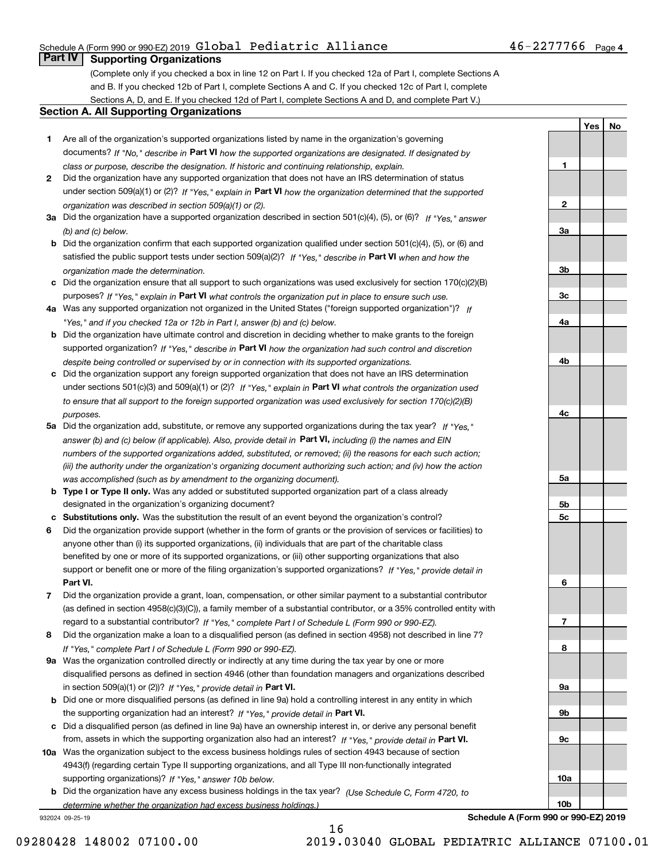### Schedule A (Form 990 or 990-EZ) 2019 Page Global Pediatric Alliance 46-2277766

### **Part IV Supporting Organizations**

(Complete only if you checked a box in line 12 on Part I. If you checked 12a of Part I, complete Sections A and B. If you checked 12b of Part I, complete Sections A and C. If you checked 12c of Part I, complete Sections A, D, and E. If you checked 12d of Part I, complete Sections A and D, and complete Part V.)

#### **Section A. All Supporting Organizations**

- **1** Are all of the organization's supported organizations listed by name in the organization's governing documents? If "No," describe in **Part VI** how the supported organizations are designated. If designated by *class or purpose, describe the designation. If historic and continuing relationship, explain.*
- **2** Did the organization have any supported organization that does not have an IRS determination of status under section 509(a)(1) or (2)? If "Yes," explain in Part VI how the organization determined that the supported *organization was described in section 509(a)(1) or (2).*
- **3a** Did the organization have a supported organization described in section 501(c)(4), (5), or (6)? If "Yes," answer *(b) and (c) below.*
- **b** Did the organization confirm that each supported organization qualified under section 501(c)(4), (5), or (6) and satisfied the public support tests under section 509(a)(2)? If "Yes," describe in **Part VI** when and how the *organization made the determination.*
- **c**Did the organization ensure that all support to such organizations was used exclusively for section 170(c)(2)(B) purposes? If "Yes," explain in **Part VI** what controls the organization put in place to ensure such use.
- **4a***If* Was any supported organization not organized in the United States ("foreign supported organization")? *"Yes," and if you checked 12a or 12b in Part I, answer (b) and (c) below.*
- **b** Did the organization have ultimate control and discretion in deciding whether to make grants to the foreign supported organization? If "Yes," describe in **Part VI** how the organization had such control and discretion *despite being controlled or supervised by or in connection with its supported organizations.*
- **c** Did the organization support any foreign supported organization that does not have an IRS determination under sections 501(c)(3) and 509(a)(1) or (2)? If "Yes," explain in **Part VI** what controls the organization used *to ensure that all support to the foreign supported organization was used exclusively for section 170(c)(2)(B) purposes.*
- **5a** Did the organization add, substitute, or remove any supported organizations during the tax year? If "Yes," answer (b) and (c) below (if applicable). Also, provide detail in **Part VI,** including (i) the names and EIN *numbers of the supported organizations added, substituted, or removed; (ii) the reasons for each such action; (iii) the authority under the organization's organizing document authorizing such action; and (iv) how the action was accomplished (such as by amendment to the organizing document).*
- **b** Type I or Type II only. Was any added or substituted supported organization part of a class already designated in the organization's organizing document?
- **cSubstitutions only.**  Was the substitution the result of an event beyond the organization's control?
- **6** Did the organization provide support (whether in the form of grants or the provision of services or facilities) to **Part VI.** *If "Yes," provide detail in* support or benefit one or more of the filing organization's supported organizations? anyone other than (i) its supported organizations, (ii) individuals that are part of the charitable class benefited by one or more of its supported organizations, or (iii) other supporting organizations that also
- **7**Did the organization provide a grant, loan, compensation, or other similar payment to a substantial contributor *If "Yes," complete Part I of Schedule L (Form 990 or 990-EZ).* regard to a substantial contributor? (as defined in section 4958(c)(3)(C)), a family member of a substantial contributor, or a 35% controlled entity with
- **8** Did the organization make a loan to a disqualified person (as defined in section 4958) not described in line 7? *If "Yes," complete Part I of Schedule L (Form 990 or 990-EZ).*
- **9a** Was the organization controlled directly or indirectly at any time during the tax year by one or more in section 509(a)(1) or (2))? If "Yes," *provide detail in* <code>Part VI.</code> disqualified persons as defined in section 4946 (other than foundation managers and organizations described
- **b** Did one or more disqualified persons (as defined in line 9a) hold a controlling interest in any entity in which the supporting organization had an interest? If "Yes," provide detail in P**art VI**.
- **c**Did a disqualified person (as defined in line 9a) have an ownership interest in, or derive any personal benefit from, assets in which the supporting organization also had an interest? If "Yes," provide detail in P**art VI.**
- **10a** Was the organization subject to the excess business holdings rules of section 4943 because of section supporting organizations)? If "Yes," answer 10b below. 4943(f) (regarding certain Type II supporting organizations, and all Type III non-functionally integrated
- **b** Did the organization have any excess business holdings in the tax year? (Use Schedule C, Form 4720, to *determine whether the organization had excess business holdings.)*

16

932024 09-25-19

**Schedule A (Form 990 or 990-EZ) 2019**

**1**

**2**

**3a**

**3b**

**3c**

**4a**

**4b**

**4c**

**5a**

**5b5c**

**6**

**7**

**8**

**9a**

**9b**

**9c**

**10a**

**10b**

**YesNo**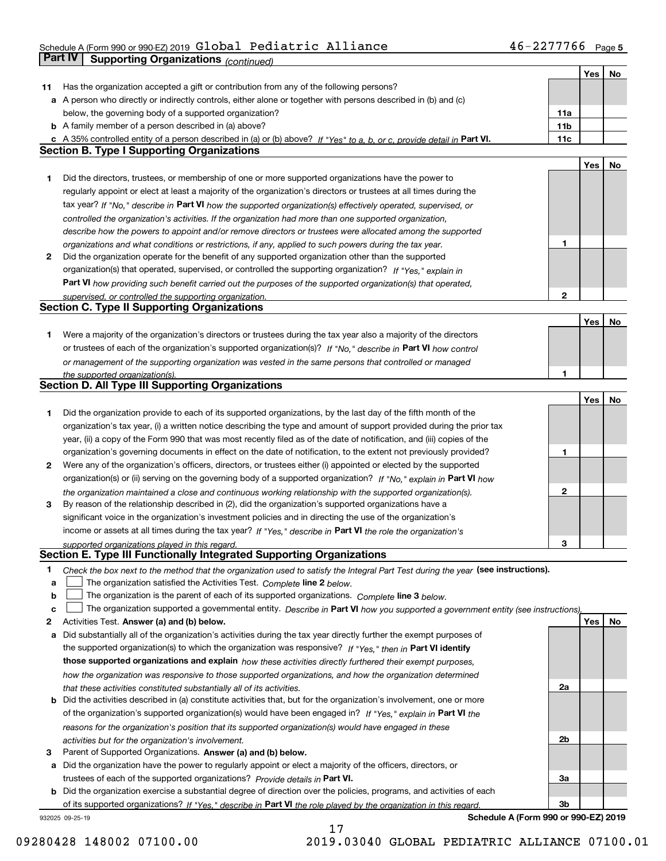### Schedule A (Form 990 or 990-EZ) 2019 Page Global Pediatric Alliance 46-2277766 **Part IV Supporting Organizations** *(continued)*

|    |                                                                                                                                   |                 | Yes | No |
|----|-----------------------------------------------------------------------------------------------------------------------------------|-----------------|-----|----|
| 11 | Has the organization accepted a gift or contribution from any of the following persons?                                           |                 |     |    |
|    | a A person who directly or indirectly controls, either alone or together with persons described in (b) and (c)                    |                 |     |    |
|    | below, the governing body of a supported organization?                                                                            | 11a             |     |    |
|    | <b>b</b> A family member of a person described in (a) above?                                                                      | 11 <sub>b</sub> |     |    |
|    | c A 35% controlled entity of a person described in (a) or (b) above? If "Yes" to a, b, or c, provide detail in Part VI.           | 11c             |     |    |
|    | <b>Section B. Type I Supporting Organizations</b>                                                                                 |                 |     |    |
|    |                                                                                                                                   |                 | Yes | No |
| 1  | Did the directors, trustees, or membership of one or more supported organizations have the power to                               |                 |     |    |
|    | regularly appoint or elect at least a majority of the organization's directors or trustees at all times during the                |                 |     |    |
|    | tax year? If "No," describe in Part VI how the supported organization(s) effectively operated, supervised, or                     |                 |     |    |
|    | controlled the organization's activities. If the organization had more than one supported organization,                           |                 |     |    |
|    | describe how the powers to appoint and/or remove directors or trustees were allocated among the supported                         |                 |     |    |
|    | organizations and what conditions or restrictions, if any, applied to such powers during the tax year.                            | 1               |     |    |
| 2  | Did the organization operate for the benefit of any supported organization other than the supported                               |                 |     |    |
|    | organization(s) that operated, supervised, or controlled the supporting organization? If "Yes," explain in                        |                 |     |    |
|    | Part VI how providing such benefit carried out the purposes of the supported organization(s) that operated,                       |                 |     |    |
|    | supervised, or controlled the supporting organization.                                                                            | $\mathbf{2}$    |     |    |
|    | <b>Section C. Type II Supporting Organizations</b>                                                                                |                 |     |    |
|    |                                                                                                                                   |                 | Yes | No |
| 1  | Were a majority of the organization's directors or trustees during the tax year also a majority of the directors                  |                 |     |    |
|    | or trustees of each of the organization's supported organization(s)? If "No," describe in Part VI how control                     |                 |     |    |
|    | or management of the supporting organization was vested in the same persons that controlled or managed                            |                 |     |    |
|    | the supported organization(s).                                                                                                    | 1               |     |    |
|    | Section D. All Type III Supporting Organizations                                                                                  |                 |     |    |
|    |                                                                                                                                   |                 | Yes | No |
| 1  | Did the organization provide to each of its supported organizations, by the last day of the fifth month of the                    |                 |     |    |
|    | organization's tax year, (i) a written notice describing the type and amount of support provided during the prior tax             |                 |     |    |
|    | year, (ii) a copy of the Form 990 that was most recently filed as of the date of notification, and (iii) copies of the            |                 |     |    |
|    | organization's governing documents in effect on the date of notification, to the extent not previously provided?                  | 1               |     |    |
| 2  | Were any of the organization's officers, directors, or trustees either (i) appointed or elected by the supported                  |                 |     |    |
|    | organization(s) or (ii) serving on the governing body of a supported organization? If "No," explain in Part VI how                |                 |     |    |
|    | the organization maintained a close and continuous working relationship with the supported organization(s).                       | $\mathbf{2}$    |     |    |
| 3  | By reason of the relationship described in (2), did the organization's supported organizations have a                             |                 |     |    |
|    | significant voice in the organization's investment policies and in directing the use of the organization's                        |                 |     |    |
|    | income or assets at all times during the tax year? If "Yes," describe in Part VI the role the organization's                      |                 |     |    |
|    | supported organizations played in this regard.                                                                                    | 3               |     |    |
|    | Section E. Type III Functionally Integrated Supporting Organizations                                                              |                 |     |    |
| 1  | Check the box next to the method that the organization used to satisfy the Integral Part Test during the year (see instructions). |                 |     |    |
| а  | The organization satisfied the Activities Test. Complete line 2 below.                                                            |                 |     |    |
| b  | The organization is the parent of each of its supported organizations. Complete line 3 below.                                     |                 |     |    |
| c  | The organization supported a governmental entity. Describe in Part VI how you supported a government entity (see instructions).   |                 |     |    |
| 2  | Activities Test. Answer (a) and (b) below.                                                                                        |                 | Yes | No |
| а  | Did substantially all of the organization's activities during the tax year directly further the exempt purposes of                |                 |     |    |
|    | the supported organization(s) to which the organization was responsive? If "Yes," then in Part VI identify                        |                 |     |    |
|    | those supported organizations and explain how these activities directly furthered their exempt purposes,                          |                 |     |    |
|    | how the organization was responsive to those supported organizations, and how the organization determined                         |                 |     |    |
|    | that these activities constituted substantially all of its activities.                                                            | 2a              |     |    |
| b  | Did the activities described in (a) constitute activities that, but for the organization's involvement, one or more               |                 |     |    |
|    | of the organization's supported organization(s) would have been engaged in? If "Yes," explain in Part VI the                      |                 |     |    |
|    | reasons for the organization's position that its supported organization(s) would have engaged in these                            |                 |     |    |
|    | activities but for the organization's involvement.                                                                                | 2b              |     |    |
| З  | Parent of Supported Organizations. Answer (a) and (b) below.                                                                      |                 |     |    |
| а  | Did the organization have the power to regularly appoint or elect a majority of the officers, directors, or                       |                 |     |    |
|    | trustees of each of the supported organizations? Provide details in Part VI.                                                      | За              |     |    |
| b  | Did the organization exercise a substantial degree of direction over the policies, programs, and activities of each               |                 |     |    |
|    | of its supported organizations? If "Yes," describe in Part VI the role played by the organization in this regard.                 | 3b              |     |    |
|    |                                                                                                                                   |                 |     |    |

17

932025 09-25-19

**Schedule A (Form 990 or 990-EZ) 2019**

09280428 148002 07100.00 2019.03040 GLOBAL PEDIATRIC ALLIANCE 07100.01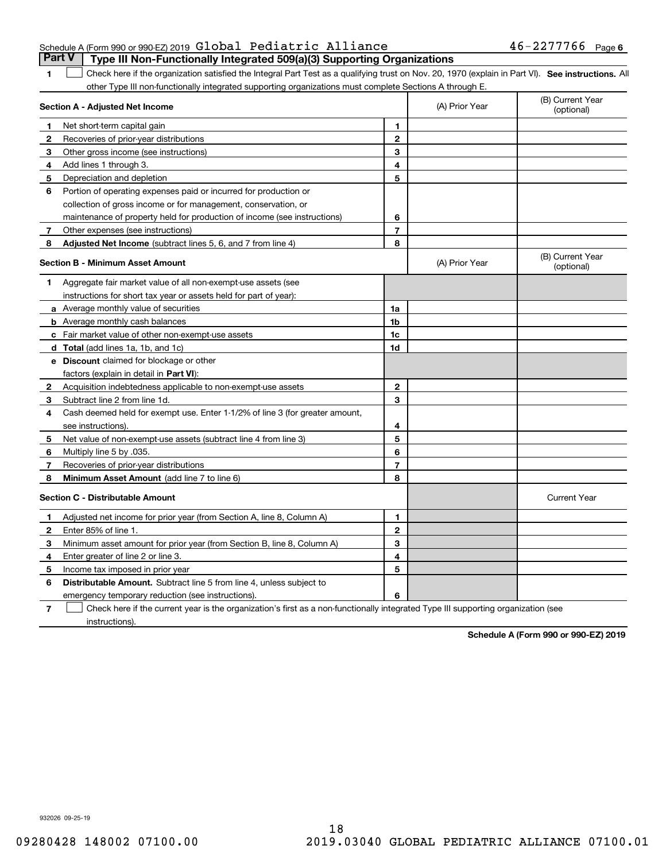|  | Schedule A (Form 990 or 990-EZ) 2019 Global Pediatric Alliance |  |                                                                                       | $46 - 2277766$ Page 6 |  |
|--|----------------------------------------------------------------|--|---------------------------------------------------------------------------------------|-----------------------|--|
|  |                                                                |  | <b>Part V</b> Type III Non-Functionally Integrated 509(a)(3) Supporting Organizations |                       |  |

1 Check here if the organization satisfied the Integral Part Test as a qualifying trust on Nov. 20, 1970 (explain in Part VI). See instructions. All other Type III non-functionally integrated supporting organizations must complete Sections A through E.

|              | Section A - Adjusted Net Income                                              | (A) Prior Year | (B) Current Year<br>(optional) |                                |
|--------------|------------------------------------------------------------------------------|----------------|--------------------------------|--------------------------------|
| 1            | Net short-term capital gain                                                  | 1              |                                |                                |
| $\mathbf{2}$ | Recoveries of prior-year distributions                                       | $\overline{2}$ |                                |                                |
| 3            | Other gross income (see instructions)                                        | 3              |                                |                                |
| 4            | Add lines 1 through 3.                                                       | 4              |                                |                                |
| 5            | Depreciation and depletion                                                   | 5              |                                |                                |
| 6            | Portion of operating expenses paid or incurred for production or             |                |                                |                                |
|              | collection of gross income or for management, conservation, or               |                |                                |                                |
|              | maintenance of property held for production of income (see instructions)     | 6              |                                |                                |
| 7            | Other expenses (see instructions)                                            | $\overline{7}$ |                                |                                |
| 8            | Adjusted Net Income (subtract lines 5, 6, and 7 from line 4)                 | 8              |                                |                                |
|              | <b>Section B - Minimum Asset Amount</b>                                      |                | (A) Prior Year                 | (B) Current Year<br>(optional) |
| 1            | Aggregate fair market value of all non-exempt-use assets (see                |                |                                |                                |
|              | instructions for short tax year or assets held for part of year):            |                |                                |                                |
|              | a Average monthly value of securities                                        | 1a             |                                |                                |
|              | <b>b</b> Average monthly cash balances                                       | 1b             |                                |                                |
|              | c Fair market value of other non-exempt-use assets                           | 1c             |                                |                                |
|              | d Total (add lines 1a, 1b, and 1c)                                           | 1d             |                                |                                |
|              | <b>e</b> Discount claimed for blockage or other                              |                |                                |                                |
|              | factors (explain in detail in <b>Part VI</b> ):                              |                |                                |                                |
| 2            | Acquisition indebtedness applicable to non-exempt-use assets                 | $\mathbf{2}$   |                                |                                |
| З            | Subtract line 2 from line 1d.                                                | 3              |                                |                                |
| 4            | Cash deemed held for exempt use. Enter 1-1/2% of line 3 (for greater amount, |                |                                |                                |
|              | see instructions).                                                           | 4              |                                |                                |
| 5            | Net value of non-exempt-use assets (subtract line 4 from line 3)             | 5              |                                |                                |
| 6            | Multiply line 5 by .035.                                                     | 6              |                                |                                |
| 7            | Recoveries of prior-year distributions                                       | $\overline{7}$ |                                |                                |
| 8            | Minimum Asset Amount (add line 7 to line 6)                                  | 8              |                                |                                |
|              | <b>Section C - Distributable Amount</b>                                      |                |                                | <b>Current Year</b>            |
| 1            | Adjusted net income for prior year (from Section A, line 8, Column A)        | 1              |                                |                                |
| 2            | Enter 85% of line 1.                                                         | $\overline{2}$ |                                |                                |
| 3            | Minimum asset amount for prior year (from Section B, line 8, Column A)       | 3              |                                |                                |
| 4            | Enter greater of line 2 or line 3.                                           | 4              |                                |                                |
| 5            | Income tax imposed in prior year                                             | 5              |                                |                                |
| 6            | <b>Distributable Amount.</b> Subtract line 5 from line 4, unless subject to  |                |                                |                                |
|              | emergency temporary reduction (see instructions).                            | 6              |                                |                                |
|              |                                                                              |                |                                |                                |

**7**Check here if the current year is the organization's first as a non-functionally integrated Type III supporting organization (see instructions).

**Schedule A (Form 990 or 990-EZ) 2019**

932026 09-25-19

**1**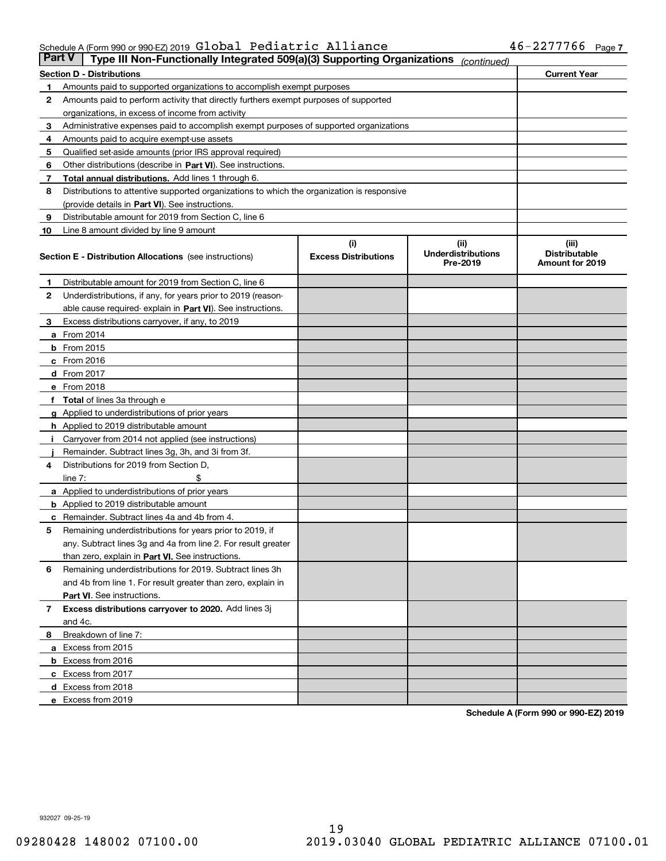#### Schedule A (Form 990 or 990-EZ) 2019 <code>Global Pediatric Alliance</code>  $46-2277766$  Page Global Pediatric Alliance 46-2277766

| <b>Part V</b> | Type III Non-Functionally Integrated 509(a)(3) Supporting Organizations                    |                                    | (continued)                                    |                                                  |
|---------------|--------------------------------------------------------------------------------------------|------------------------------------|------------------------------------------------|--------------------------------------------------|
|               | <b>Section D - Distributions</b>                                                           |                                    |                                                | <b>Current Year</b>                              |
| 1             | Amounts paid to supported organizations to accomplish exempt purposes                      |                                    |                                                |                                                  |
| 2             | Amounts paid to perform activity that directly furthers exempt purposes of supported       |                                    |                                                |                                                  |
|               | organizations, in excess of income from activity                                           |                                    |                                                |                                                  |
| 3             | Administrative expenses paid to accomplish exempt purposes of supported organizations      |                                    |                                                |                                                  |
| 4             | Amounts paid to acquire exempt-use assets                                                  |                                    |                                                |                                                  |
| 5             | Qualified set-aside amounts (prior IRS approval required)                                  |                                    |                                                |                                                  |
| 6             | Other distributions (describe in Part VI). See instructions.                               |                                    |                                                |                                                  |
| 7             | <b>Total annual distributions.</b> Add lines 1 through 6.                                  |                                    |                                                |                                                  |
| 8             | Distributions to attentive supported organizations to which the organization is responsive |                                    |                                                |                                                  |
|               | (provide details in Part VI). See instructions.                                            |                                    |                                                |                                                  |
| 9             | Distributable amount for 2019 from Section C, line 6                                       |                                    |                                                |                                                  |
| 10            | Line 8 amount divided by line 9 amount                                                     |                                    |                                                |                                                  |
|               | <b>Section E - Distribution Allocations</b> (see instructions)                             | (i)<br><b>Excess Distributions</b> | (iii)<br><b>Underdistributions</b><br>Pre-2019 | (iii)<br><b>Distributable</b><br>Amount for 2019 |
| 1             | Distributable amount for 2019 from Section C, line 6                                       |                                    |                                                |                                                  |
| 2             | Underdistributions, if any, for years prior to 2019 (reason-                               |                                    |                                                |                                                  |
|               | able cause required- explain in Part VI). See instructions.                                |                                    |                                                |                                                  |
| З             | Excess distributions carryover, if any, to 2019                                            |                                    |                                                |                                                  |
|               | <b>a</b> From 2014                                                                         |                                    |                                                |                                                  |
|               | <b>b</b> From 2015                                                                         |                                    |                                                |                                                  |
|               | $c$ From 2016                                                                              |                                    |                                                |                                                  |
|               | d From 2017                                                                                |                                    |                                                |                                                  |
|               | e From 2018                                                                                |                                    |                                                |                                                  |
|               | Total of lines 3a through e                                                                |                                    |                                                |                                                  |
| g             | Applied to underdistributions of prior years                                               |                                    |                                                |                                                  |
|               | <b>h</b> Applied to 2019 distributable amount                                              |                                    |                                                |                                                  |
|               | Carryover from 2014 not applied (see instructions)                                         |                                    |                                                |                                                  |
|               | Remainder. Subtract lines 3g, 3h, and 3i from 3f.                                          |                                    |                                                |                                                  |
| 4             | Distributions for 2019 from Section D,                                                     |                                    |                                                |                                                  |
|               | line $7:$                                                                                  |                                    |                                                |                                                  |
|               | <b>a</b> Applied to underdistributions of prior years                                      |                                    |                                                |                                                  |
|               | <b>b</b> Applied to 2019 distributable amount                                              |                                    |                                                |                                                  |
|               | c Remainder. Subtract lines 4a and 4b from 4.                                              |                                    |                                                |                                                  |
| 5             | Remaining underdistributions for years prior to 2019, if                                   |                                    |                                                |                                                  |
|               | any. Subtract lines 3g and 4a from line 2. For result greater                              |                                    |                                                |                                                  |
|               | than zero, explain in Part VI. See instructions.                                           |                                    |                                                |                                                  |
| 6             | Remaining underdistributions for 2019. Subtract lines 3h                                   |                                    |                                                |                                                  |
|               | and 4b from line 1. For result greater than zero, explain in                               |                                    |                                                |                                                  |
|               | Part VI. See instructions.                                                                 |                                    |                                                |                                                  |
| 7             | Excess distributions carryover to 2020. Add lines 3j                                       |                                    |                                                |                                                  |
|               | and 4c.                                                                                    |                                    |                                                |                                                  |
| 8             | Breakdown of line 7:                                                                       |                                    |                                                |                                                  |
|               | a Excess from 2015                                                                         |                                    |                                                |                                                  |
|               | <b>b</b> Excess from 2016                                                                  |                                    |                                                |                                                  |
|               | c Excess from 2017                                                                         |                                    |                                                |                                                  |
|               | d Excess from 2018                                                                         |                                    |                                                |                                                  |
|               | e Excess from 2019                                                                         |                                    |                                                |                                                  |

**Schedule A (Form 990 or 990-EZ) 2019**

932027 09-25-19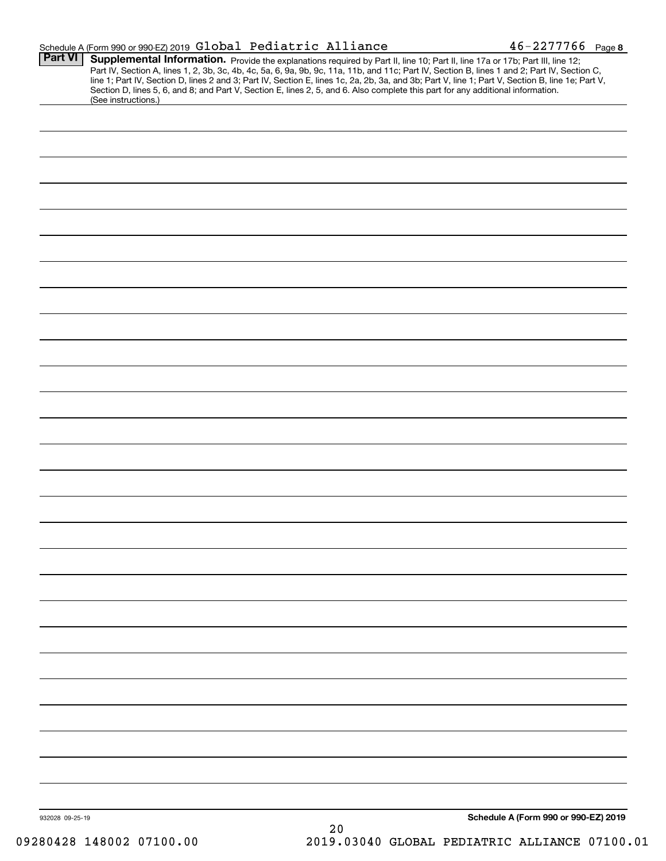|                 | Schedule A (Form 990 or 990-EZ) 2019 Global Pediatric Alliance                                                                                                                                                                                                                                                                                                                                                                                                                                                                                                                              |  | $46 - 2277766$ Page 8                |
|-----------------|---------------------------------------------------------------------------------------------------------------------------------------------------------------------------------------------------------------------------------------------------------------------------------------------------------------------------------------------------------------------------------------------------------------------------------------------------------------------------------------------------------------------------------------------------------------------------------------------|--|--------------------------------------|
| <b>Part VI</b>  | Supplemental Information. Provide the explanations required by Part II, line 10; Part II, line 17a or 17b; Part III, line 12;<br>Part IV, Section A, lines 1, 2, 3b, 3c, 4b, 4c, 5a, 6, 9a, 9b, 9c, 11a, 11b, and 11c; Part IV, Section B, lines 1 and 2; Part IV, Section C,<br>line 1; Part IV, Section D, lines 2 and 3; Part IV, Section E, lines 1c, 2a, 2b, 3a, and 3b; Part V, line 1; Part V, Section B, line 1e; Part V,<br>Section D, lines 5, 6, and 8; and Part V, Section E, lines 2, 5, and 6. Also complete this part for any additional information.<br>(See instructions.) |  |                                      |
|                 |                                                                                                                                                                                                                                                                                                                                                                                                                                                                                                                                                                                             |  |                                      |
|                 |                                                                                                                                                                                                                                                                                                                                                                                                                                                                                                                                                                                             |  |                                      |
|                 |                                                                                                                                                                                                                                                                                                                                                                                                                                                                                                                                                                                             |  |                                      |
|                 |                                                                                                                                                                                                                                                                                                                                                                                                                                                                                                                                                                                             |  |                                      |
|                 |                                                                                                                                                                                                                                                                                                                                                                                                                                                                                                                                                                                             |  |                                      |
|                 |                                                                                                                                                                                                                                                                                                                                                                                                                                                                                                                                                                                             |  |                                      |
|                 |                                                                                                                                                                                                                                                                                                                                                                                                                                                                                                                                                                                             |  |                                      |
|                 |                                                                                                                                                                                                                                                                                                                                                                                                                                                                                                                                                                                             |  |                                      |
|                 |                                                                                                                                                                                                                                                                                                                                                                                                                                                                                                                                                                                             |  |                                      |
|                 |                                                                                                                                                                                                                                                                                                                                                                                                                                                                                                                                                                                             |  |                                      |
|                 |                                                                                                                                                                                                                                                                                                                                                                                                                                                                                                                                                                                             |  |                                      |
|                 |                                                                                                                                                                                                                                                                                                                                                                                                                                                                                                                                                                                             |  |                                      |
|                 |                                                                                                                                                                                                                                                                                                                                                                                                                                                                                                                                                                                             |  |                                      |
|                 |                                                                                                                                                                                                                                                                                                                                                                                                                                                                                                                                                                                             |  |                                      |
|                 |                                                                                                                                                                                                                                                                                                                                                                                                                                                                                                                                                                                             |  |                                      |
|                 |                                                                                                                                                                                                                                                                                                                                                                                                                                                                                                                                                                                             |  |                                      |
|                 |                                                                                                                                                                                                                                                                                                                                                                                                                                                                                                                                                                                             |  |                                      |
|                 |                                                                                                                                                                                                                                                                                                                                                                                                                                                                                                                                                                                             |  |                                      |
|                 |                                                                                                                                                                                                                                                                                                                                                                                                                                                                                                                                                                                             |  |                                      |
|                 |                                                                                                                                                                                                                                                                                                                                                                                                                                                                                                                                                                                             |  |                                      |
|                 |                                                                                                                                                                                                                                                                                                                                                                                                                                                                                                                                                                                             |  |                                      |
|                 |                                                                                                                                                                                                                                                                                                                                                                                                                                                                                                                                                                                             |  |                                      |
|                 |                                                                                                                                                                                                                                                                                                                                                                                                                                                                                                                                                                                             |  |                                      |
|                 |                                                                                                                                                                                                                                                                                                                                                                                                                                                                                                                                                                                             |  |                                      |
|                 |                                                                                                                                                                                                                                                                                                                                                                                                                                                                                                                                                                                             |  |                                      |
|                 |                                                                                                                                                                                                                                                                                                                                                                                                                                                                                                                                                                                             |  |                                      |
|                 |                                                                                                                                                                                                                                                                                                                                                                                                                                                                                                                                                                                             |  |                                      |
|                 |                                                                                                                                                                                                                                                                                                                                                                                                                                                                                                                                                                                             |  |                                      |
|                 |                                                                                                                                                                                                                                                                                                                                                                                                                                                                                                                                                                                             |  |                                      |
|                 |                                                                                                                                                                                                                                                                                                                                                                                                                                                                                                                                                                                             |  |                                      |
| 932028 09-25-19 |                                                                                                                                                                                                                                                                                                                                                                                                                                                                                                                                                                                             |  | Schedule A (Form 990 or 990-EZ) 2019 |

20 09280428 148002 07100.00 2019.03040 GLOBAL PEDIATRIC ALLIANCE 07100.01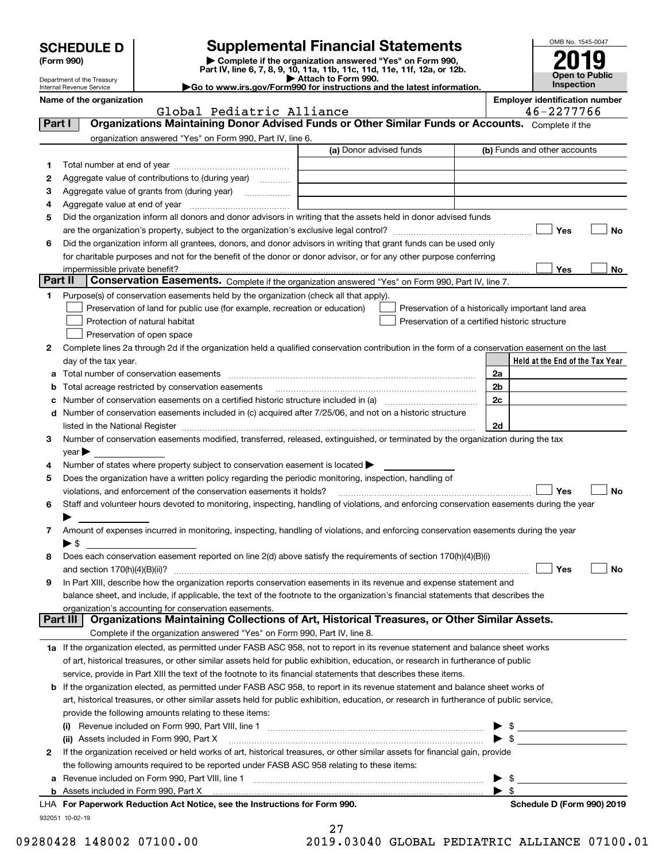| <b>SCHEDULE D</b> |  |
|-------------------|--|
|-------------------|--|

| (Form 990) |  |
|------------|--|
|------------|--|

# **Supplemental Financial Statements**

(Form 990)<br>
Pepartment of the Treasury<br>
Department of the Treasury<br>
Department of the Treasury<br>
Department of the Treasury<br> **Co to www.irs.gov/Form990 for instructions and the latest information.**<br> **Co to www.irs.gov/Form9** 



Department of the Treasury Internal Revenue Service

|         | Name of the organization<br>Global Pediatric Alliance                                                                                                 |                         |  | <b>Employer identification number</b><br>46-2277766 |
|---------|-------------------------------------------------------------------------------------------------------------------------------------------------------|-------------------------|--|-----------------------------------------------------|
| Part I  | Organizations Maintaining Donor Advised Funds or Other Similar Funds or Accounts. Complete if the                                                     |                         |  |                                                     |
|         | organization answered "Yes" on Form 990, Part IV, line 6.                                                                                             |                         |  |                                                     |
|         |                                                                                                                                                       | (a) Donor advised funds |  | (b) Funds and other accounts                        |
| 1       |                                                                                                                                                       |                         |  |                                                     |
| 2       | Aggregate value of contributions to (during year)                                                                                                     |                         |  |                                                     |
| з       | Aggregate value of grants from (during year)                                                                                                          |                         |  |                                                     |
| 4       |                                                                                                                                                       |                         |  |                                                     |
| 5       | Did the organization inform all donors and donor advisors in writing that the assets held in donor advised funds                                      |                         |  |                                                     |
|         |                                                                                                                                                       |                         |  | Yes<br>No                                           |
| 6       | Did the organization inform all grantees, donors, and donor advisors in writing that grant funds can be used only                                     |                         |  |                                                     |
|         | for charitable purposes and not for the benefit of the donor or donor advisor, or for any other purpose conferring                                    |                         |  |                                                     |
|         |                                                                                                                                                       |                         |  | Yes<br>No                                           |
| Part II | Conservation Easements. Complete if the organization answered "Yes" on Form 990, Part IV, line 7.                                                     |                         |  |                                                     |
| 1       | Purpose(s) of conservation easements held by the organization (check all that apply).                                                                 |                         |  |                                                     |
|         | Preservation of land for public use (for example, recreation or education)                                                                            |                         |  | Preservation of a historically important land area  |
|         | Protection of natural habitat                                                                                                                         |                         |  | Preservation of a certified historic structure      |
|         | Preservation of open space                                                                                                                            |                         |  |                                                     |
| 2       | Complete lines 2a through 2d if the organization held a qualified conservation contribution in the form of a conservation easement on the last        |                         |  |                                                     |
|         | day of the tax year.                                                                                                                                  |                         |  | Held at the End of the Tax Year                     |
| а       |                                                                                                                                                       |                         |  | 2a                                                  |
| b       | Total acreage restricted by conservation easements                                                                                                    |                         |  | 2 <sub>b</sub>                                      |
| с       |                                                                                                                                                       |                         |  | 2c                                                  |
| d       | Number of conservation easements included in (c) acquired after 7/25/06, and not on a historic structure                                              |                         |  |                                                     |
|         |                                                                                                                                                       |                         |  | 2d                                                  |
| 3       | Number of conservation easements modified, transferred, released, extinguished, or terminated by the organization during the tax                      |                         |  |                                                     |
|         | $\mathsf{year}$                                                                                                                                       |                         |  |                                                     |
| 4       | Number of states where property subject to conservation easement is located >                                                                         |                         |  |                                                     |
| 5       | Does the organization have a written policy regarding the periodic monitoring, inspection, handling of                                                |                         |  |                                                     |
|         | violations, and enforcement of the conservation easements it holds?                                                                                   |                         |  | Yes<br>No                                           |
| 6       | Staff and volunteer hours devoted to monitoring, inspecting, handling of violations, and enforcing conservation easements during the year             |                         |  |                                                     |
|         |                                                                                                                                                       |                         |  |                                                     |
| 7       | Amount of expenses incurred in monitoring, inspecting, handling of violations, and enforcing conservation easements during the year                   |                         |  |                                                     |
|         | $\blacktriangleright$ \$                                                                                                                              |                         |  |                                                     |
| 8       | Does each conservation easement reported on line 2(d) above satisfy the requirements of section 170(h)(4)(B)(i)                                       |                         |  |                                                     |
|         |                                                                                                                                                       |                         |  | Yes<br>No                                           |
|         | In Part XIII, describe how the organization reports conservation easements in its revenue and expense statement and                                   |                         |  |                                                     |
|         | balance sheet, and include, if applicable, the text of the footnote to the organization's financial statements that describes the                     |                         |  |                                                     |
|         | organization's accounting for conservation easements.<br>Organizations Maintaining Collections of Art, Historical Treasures, or Other Similar Assets. |                         |  |                                                     |
|         | Part III                                                                                                                                              |                         |  |                                                     |
|         | Complete if the organization answered "Yes" on Form 990, Part IV, line 8.                                                                             |                         |  |                                                     |
|         | 1a If the organization elected, as permitted under FASB ASC 958, not to report in its revenue statement and balance sheet works                       |                         |  |                                                     |
|         | of art, historical treasures, or other similar assets held for public exhibition, education, or research in furtherance of public                     |                         |  |                                                     |
|         | service, provide in Part XIII the text of the footnote to its financial statements that describes these items.                                        |                         |  |                                                     |
| b       | If the organization elected, as permitted under FASB ASC 958, to report in its revenue statement and balance sheet works of                           |                         |  |                                                     |
|         | art, historical treasures, or other similar assets held for public exhibition, education, or research in furtherance of public service,               |                         |  |                                                     |
|         | provide the following amounts relating to these items:                                                                                                |                         |  |                                                     |
|         | (i) Revenue included on Form 990, Part VIII, line 1 [1] [1] [1] [1] [1] [1] [1] Revenue included on Form 990, Part VIII, line 1                       |                         |  | $\triangleright$ \$                                 |
|         | (ii) Assets included in Form 990, Part X                                                                                                              |                         |  | $\blacktriangleright$ \$                            |
| 2       | If the organization received or held works of art, historical treasures, or other similar assets for financial gain, provide                          |                         |  |                                                     |
|         | the following amounts required to be reported under FASB ASC 958 relating to these items:                                                             |                         |  |                                                     |
| а       |                                                                                                                                                       |                         |  | \$<br>$\blacktriangleright$ s                       |
|         | <b>b</b> Assets included in Form 990, Part X                                                                                                          |                         |  | Schedule D (Form 990) 2019                          |
|         | LHA For Paperwork Reduction Act Notice, see the Instructions for Form 990.<br>932051 10-02-19                                                         |                         |  |                                                     |
|         |                                                                                                                                                       |                         |  |                                                     |

27 09280428 148002 07100.00 2019.03040 GLOBAL PEDIATRIC ALLIANCE 07100.01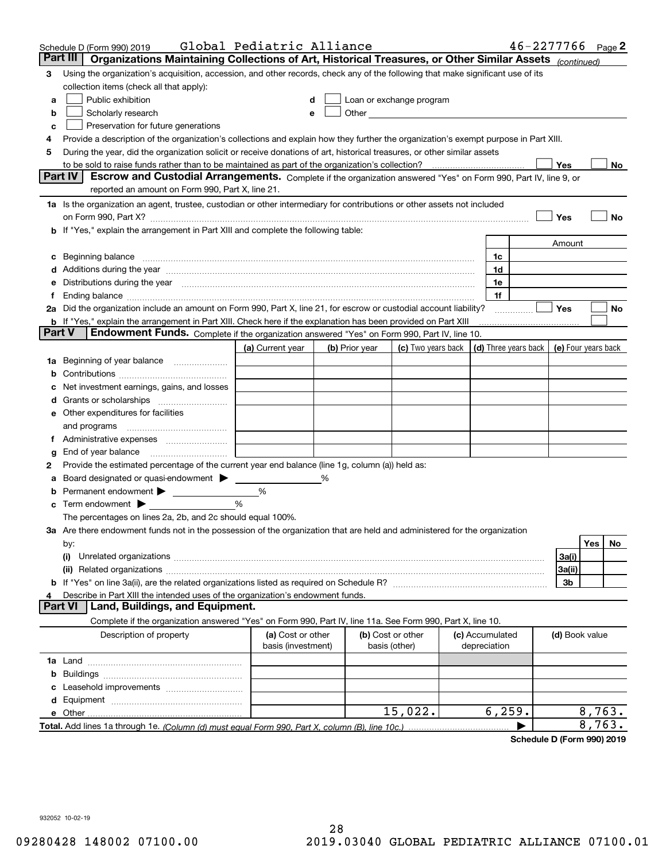|        | Schedule D (Form 990) 2019                                                                                                                                                                                                     | Global Pediatric Alliance               |                                      |  |                                                                                                                                                                                                                               |  |                                            | $46 - 2277766$ Page 2 |                |        |     |
|--------|--------------------------------------------------------------------------------------------------------------------------------------------------------------------------------------------------------------------------------|-----------------------------------------|--------------------------------------|--|-------------------------------------------------------------------------------------------------------------------------------------------------------------------------------------------------------------------------------|--|--------------------------------------------|-----------------------|----------------|--------|-----|
|        | Part III<br>Organizations Maintaining Collections of Art, Historical Treasures, or Other Similar Assets (continued)                                                                                                            |                                         |                                      |  |                                                                                                                                                                                                                               |  |                                            |                       |                |        |     |
| 3      | Using the organization's acquisition, accession, and other records, check any of the following that make significant use of its                                                                                                |                                         |                                      |  |                                                                                                                                                                                                                               |  |                                            |                       |                |        |     |
|        | collection items (check all that apply):                                                                                                                                                                                       |                                         |                                      |  |                                                                                                                                                                                                                               |  |                                            |                       |                |        |     |
| a      | Public exhibition                                                                                                                                                                                                              |                                         |                                      |  | Loan or exchange program                                                                                                                                                                                                      |  |                                            |                       |                |        |     |
| b      | Scholarly research                                                                                                                                                                                                             |                                         |                                      |  | Other and the contract of the contract of the contract of the contract of the contract of the contract of the contract of the contract of the contract of the contract of the contract of the contract of the contract of the |  |                                            |                       |                |        |     |
| с      | Preservation for future generations                                                                                                                                                                                            |                                         |                                      |  |                                                                                                                                                                                                                               |  |                                            |                       |                |        |     |
| 4      | Provide a description of the organization's collections and explain how they further the organization's exempt purpose in Part XIII.                                                                                           |                                         |                                      |  |                                                                                                                                                                                                                               |  |                                            |                       |                |        |     |
| 5      | During the year, did the organization solicit or receive donations of art, historical treasures, or other similar assets                                                                                                       |                                         |                                      |  |                                                                                                                                                                                                                               |  |                                            |                       |                |        |     |
|        | to be sold to raise funds rather than to be maintained as part of the organization's collection?                                                                                                                               |                                         |                                      |  |                                                                                                                                                                                                                               |  |                                            |                       | Yes            |        | No  |
|        | <b>Part IV</b><br>Escrow and Custodial Arrangements. Complete if the organization answered "Yes" on Form 990, Part IV, line 9, or                                                                                              |                                         |                                      |  |                                                                                                                                                                                                                               |  |                                            |                       |                |        |     |
|        | reported an amount on Form 990, Part X, line 21.                                                                                                                                                                               |                                         |                                      |  |                                                                                                                                                                                                                               |  |                                            |                       |                |        |     |
|        | 1a Is the organization an agent, trustee, custodian or other intermediary for contributions or other assets not included                                                                                                       |                                         |                                      |  |                                                                                                                                                                                                                               |  |                                            |                       |                |        |     |
|        | on Form 990, Part X? [11] matter contracts and contracts and contracts are contracted as a form 990, Part X?                                                                                                                   |                                         |                                      |  |                                                                                                                                                                                                                               |  |                                            |                       | Yes            |        | No  |
|        | b If "Yes," explain the arrangement in Part XIII and complete the following table:                                                                                                                                             |                                         |                                      |  |                                                                                                                                                                                                                               |  |                                            |                       |                |        |     |
|        |                                                                                                                                                                                                                                |                                         |                                      |  |                                                                                                                                                                                                                               |  |                                            |                       | Amount         |        |     |
| c      | Beginning balance <b>contract to the contract of the contract of the contract of the contract of the contract of t</b>                                                                                                         |                                         |                                      |  |                                                                                                                                                                                                                               |  | 1c                                         |                       |                |        |     |
|        | Additions during the year manufactured and an account of the state of the state of the state of the state of the state of the state of the state of the state of the state of the state of the state of the state of the state |                                         |                                      |  |                                                                                                                                                                                                                               |  | 1d                                         |                       |                |        |     |
|        | Distributions during the year manufactured and an account of the state of the state of the state of the state o                                                                                                                |                                         |                                      |  |                                                                                                                                                                                                                               |  | 1e                                         |                       |                |        |     |
| Ť.     |                                                                                                                                                                                                                                |                                         |                                      |  |                                                                                                                                                                                                                               |  | 1f                                         |                       |                |        |     |
|        | 2a Did the organization include an amount on Form 990, Part X, line 21, for escrow or custodial account liability?                                                                                                             |                                         |                                      |  |                                                                                                                                                                                                                               |  |                                            |                       | Yes            |        | No  |
| Part V | <b>b</b> If "Yes," explain the arrangement in Part XIII. Check here if the explanation has been provided on Part XIII<br>Endowment Funds. Complete if the organization answered "Yes" on Form 990, Part IV, line 10.           |                                         |                                      |  |                                                                                                                                                                                                                               |  |                                            |                       |                |        |     |
|        |                                                                                                                                                                                                                                |                                         |                                      |  |                                                                                                                                                                                                                               |  |                                            |                       |                |        |     |
|        |                                                                                                                                                                                                                                | (a) Current year                        | (c) Two years back<br>(b) Prior year |  |                                                                                                                                                                                                                               |  | (d) Three years back   (e) Four years back |                       |                |        |     |
| 1a     | Beginning of year balance                                                                                                                                                                                                      |                                         |                                      |  |                                                                                                                                                                                                                               |  |                                            |                       |                |        |     |
|        |                                                                                                                                                                                                                                |                                         |                                      |  |                                                                                                                                                                                                                               |  |                                            |                       |                |        |     |
|        | Net investment earnings, gains, and losses                                                                                                                                                                                     |                                         |                                      |  |                                                                                                                                                                                                                               |  |                                            |                       |                |        |     |
| d      | e Other expenditures for facilities                                                                                                                                                                                            |                                         |                                      |  |                                                                                                                                                                                                                               |  |                                            |                       |                |        |     |
|        |                                                                                                                                                                                                                                |                                         |                                      |  |                                                                                                                                                                                                                               |  |                                            |                       |                |        |     |
|        | and programs                                                                                                                                                                                                                   |                                         |                                      |  |                                                                                                                                                                                                                               |  |                                            |                       |                |        |     |
|        | End of year balance                                                                                                                                                                                                            |                                         |                                      |  |                                                                                                                                                                                                                               |  |                                            |                       |                |        |     |
| g<br>2 | Provide the estimated percentage of the current year end balance (line 1g, column (a)) held as:                                                                                                                                |                                         |                                      |  |                                                                                                                                                                                                                               |  |                                            |                       |                |        |     |
| а      | Board designated or quasi-endowment                                                                                                                                                                                            |                                         | %                                    |  |                                                                                                                                                                                                                               |  |                                            |                       |                |        |     |
|        | Permanent endowment > <u>example</u>                                                                                                                                                                                           | %                                       |                                      |  |                                                                                                                                                                                                                               |  |                                            |                       |                |        |     |
|        | Term endowment $\blacktriangleright$                                                                                                                                                                                           | %                                       |                                      |  |                                                                                                                                                                                                                               |  |                                            |                       |                |        |     |
|        | The percentages on lines 2a, 2b, and 2c should equal 100%.                                                                                                                                                                     |                                         |                                      |  |                                                                                                                                                                                                                               |  |                                            |                       |                |        |     |
|        | 3a Are there endowment funds not in the possession of the organization that are held and administered for the organization                                                                                                     |                                         |                                      |  |                                                                                                                                                                                                                               |  |                                            |                       |                |        |     |
|        | by:                                                                                                                                                                                                                            |                                         |                                      |  |                                                                                                                                                                                                                               |  |                                            |                       |                | Yes    | No. |
|        | (i)                                                                                                                                                                                                                            |                                         |                                      |  |                                                                                                                                                                                                                               |  |                                            |                       | 3a(i)          |        |     |
|        |                                                                                                                                                                                                                                |                                         |                                      |  |                                                                                                                                                                                                                               |  |                                            |                       | 3a(ii)         |        |     |
|        |                                                                                                                                                                                                                                |                                         |                                      |  |                                                                                                                                                                                                                               |  |                                            |                       | 3b             |        |     |
| 4      | Describe in Part XIII the intended uses of the organization's endowment funds.                                                                                                                                                 |                                         |                                      |  |                                                                                                                                                                                                                               |  |                                            |                       |                |        |     |
|        | Land, Buildings, and Equipment.<br>Part VI                                                                                                                                                                                     |                                         |                                      |  |                                                                                                                                                                                                                               |  |                                            |                       |                |        |     |
|        | Complete if the organization answered "Yes" on Form 990, Part IV, line 11a. See Form 990, Part X, line 10.                                                                                                                     |                                         |                                      |  |                                                                                                                                                                                                                               |  |                                            |                       |                |        |     |
|        | Description of property                                                                                                                                                                                                        | (a) Cost or other<br>basis (investment) |                                      |  | (b) Cost or other<br>basis (other)                                                                                                                                                                                            |  | (c) Accumulated<br>depreciation            |                       | (d) Book value |        |     |
|        |                                                                                                                                                                                                                                |                                         |                                      |  |                                                                                                                                                                                                                               |  |                                            |                       |                |        |     |
| b      |                                                                                                                                                                                                                                |                                         |                                      |  |                                                                                                                                                                                                                               |  |                                            |                       |                |        |     |
|        |                                                                                                                                                                                                                                |                                         |                                      |  |                                                                                                                                                                                                                               |  |                                            |                       |                |        |     |
|        |                                                                                                                                                                                                                                |                                         |                                      |  |                                                                                                                                                                                                                               |  |                                            |                       |                |        |     |
|        |                                                                                                                                                                                                                                |                                         |                                      |  | 15,022.                                                                                                                                                                                                                       |  | 6, 259.                                    |                       |                | 8,763. |     |
|        |                                                                                                                                                                                                                                |                                         |                                      |  |                                                                                                                                                                                                                               |  |                                            |                       |                | 8,763. |     |
|        |                                                                                                                                                                                                                                |                                         |                                      |  |                                                                                                                                                                                                                               |  |                                            |                       |                |        |     |

**Schedule D (Form 990) 2019**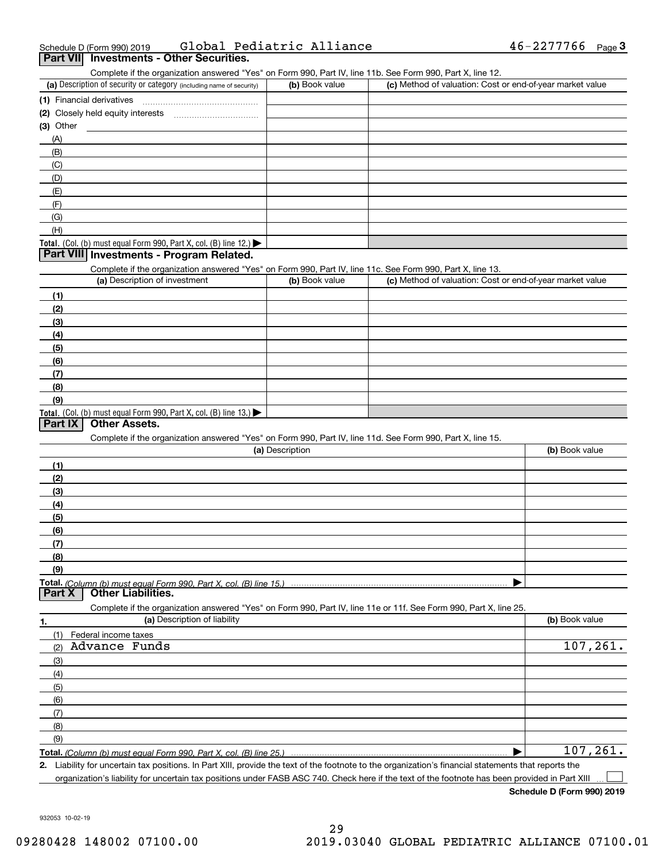| Schedule D (Form 990) 2019 |                                          | Global Pediatric Alliance | $46 - 2277766$ Page |  |
|----------------------------|------------------------------------------|---------------------------|---------------------|--|
|                            | Part VII Investments - Other Securities. |                           |                     |  |

Complete if the organization answered "Yes" on Form 990, Part IV, line 11b. See Form 990, Part X, line 12.

| complete in the organization anomology root of it child ooo; ranking, mich is occur of it coo, ranking it is |                |                                                           |
|--------------------------------------------------------------------------------------------------------------|----------------|-----------------------------------------------------------|
| (a) Description of security or category (including name of security)                                         | (b) Book value | (c) Method of valuation: Cost or end-of-year market value |
| (1) Financial derivatives                                                                                    |                |                                                           |
| (2) Closely held equity interests                                                                            |                |                                                           |
| (3) Other                                                                                                    |                |                                                           |
| (A)                                                                                                          |                |                                                           |
| (B)                                                                                                          |                |                                                           |
| (C)                                                                                                          |                |                                                           |
| (D)                                                                                                          |                |                                                           |
| (E)                                                                                                          |                |                                                           |
| (F)                                                                                                          |                |                                                           |
| (G)                                                                                                          |                |                                                           |
| (H)                                                                                                          |                |                                                           |
| Total. (Col. (b) must equal Form 990, Part X, col. (B) line 12.) $\blacktriangleright$                       |                |                                                           |

#### **Part VIII Investments - Program Related.**

Complete if the organization answered "Yes" on Form 990, Part IV, line 11c. See Form 990, Part X, line 13.

| (a) Description of investment                                                          | (b) Book value | (c) Method of valuation: Cost or end-of-year market value |
|----------------------------------------------------------------------------------------|----------------|-----------------------------------------------------------|
| (1)                                                                                    |                |                                                           |
| (2)                                                                                    |                |                                                           |
| $\frac{1}{2}$                                                                          |                |                                                           |
| (4)                                                                                    |                |                                                           |
| (5)                                                                                    |                |                                                           |
| (6)                                                                                    |                |                                                           |
| (7)                                                                                    |                |                                                           |
| (8)                                                                                    |                |                                                           |
| (9)                                                                                    |                |                                                           |
| Total. (Col. (b) must equal Form 990, Part X, col. (B) line 13.) $\blacktriangleright$ |                |                                                           |

### **Part IX Other Assets.**

Complete if the organization answered "Yes" on Form 990, Part IV, line 11d. See Form 990, Part X, line 15.

| (a) Description                                                                                                                       | (b) Book value |
|---------------------------------------------------------------------------------------------------------------------------------------|----------------|
|                                                                                                                                       |                |
| (2)                                                                                                                                   |                |
| (3)                                                                                                                                   |                |
| (4)                                                                                                                                   |                |
| (5)                                                                                                                                   |                |
| (6)                                                                                                                                   |                |
|                                                                                                                                       |                |
| (8)                                                                                                                                   |                |
| (9)                                                                                                                                   |                |
|                                                                                                                                       |                |
| Total. (Column (b) must equal Form 990, Part X, col. (B) line 15.) ………………………………………………………………………………………<br>  Part X   Other Liabilities. |                |

**1.(a)** Description of liability **Book value** Book value Book value Book value Book value **Total.**  *(Column (b) must equal Form 990, Part X, col. (B) line 25.)* Complete if the organization answered "Yes" on Form 990, Part IV, line 11e or 11f. See Form 990, Part X, line 25. (1)(2)(3)(4)(5) (6)(7)(8)(9)Federal income taxes  $\blacktriangleright$ Advance Funds 107,261. 107,261.

**2.**Liability for uncertain tax positions. In Part XIII, provide the text of the footnote to the organization's financial statements that reports the

organization's liability for uncertain tax positions under FASB ASC 740. Check here if the text of the footnote has been provided in Part XIII

**Schedule D (Form 990) 2019**

 $\mathcal{L}^{\text{max}}$ 

932053 10-02-19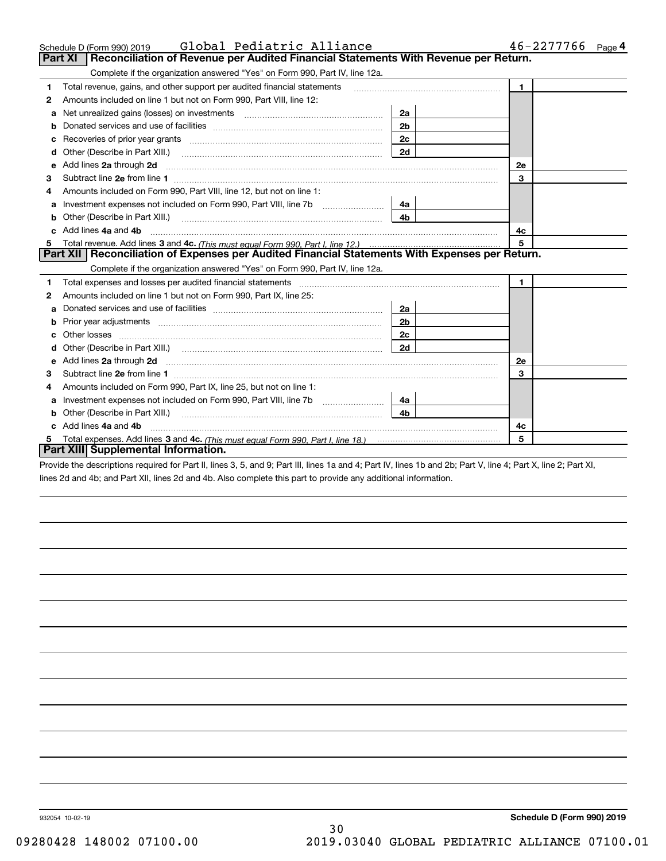|    | Global Pediatric Alliance<br>Schedule D (Form 990) 2019                                                                                                                                                                        | 46-2277766<br>Page <sup>4</sup> |              |
|----|--------------------------------------------------------------------------------------------------------------------------------------------------------------------------------------------------------------------------------|---------------------------------|--------------|
|    | Reconciliation of Revenue per Audited Financial Statements With Revenue per Return.<br>Part XI                                                                                                                                 |                                 |              |
|    | Complete if the organization answered "Yes" on Form 990, Part IV, line 12a.                                                                                                                                                    |                                 |              |
| 1  | Total revenue, gains, and other support per audited financial statements                                                                                                                                                       |                                 | $\mathbf{1}$ |
| 2  | Amounts included on line 1 but not on Form 990, Part VIII, line 12:                                                                                                                                                            |                                 |              |
| a  | Net unrealized gains (losses) on investments [11] matter contracts and the unrealized gains (losses) on investments                                                                                                            | 2a                              |              |
|    |                                                                                                                                                                                                                                | 2 <sub>b</sub>                  |              |
|    |                                                                                                                                                                                                                                | 2c                              |              |
|    |                                                                                                                                                                                                                                | 2d                              |              |
| е  | Add lines 2a through 2d <b>must be a constructed as the constant of the constant of the constant of the construction</b>                                                                                                       |                                 | <b>2e</b>    |
| 3  |                                                                                                                                                                                                                                |                                 | 3            |
| 4  | Amounts included on Form 990. Part VIII, line 12, but not on line 1:                                                                                                                                                           |                                 |              |
|    |                                                                                                                                                                                                                                | 4a                              |              |
| b  |                                                                                                                                                                                                                                | 4 <sub>b</sub>                  |              |
| c. | Add lines 4a and 4b                                                                                                                                                                                                            |                                 | 4c           |
| 5  |                                                                                                                                                                                                                                |                                 | 5            |
|    | Part XII   Reconciliation of Expenses per Audited Financial Statements With Expenses per Return.                                                                                                                               |                                 |              |
|    | Complete if the organization answered "Yes" on Form 990, Part IV, line 12a.                                                                                                                                                    |                                 |              |
| 1  | Total expenses and losses per audited financial statements [11] [12] manuscription control expenses and losses per audited financial statements [12] manuscription of the statements [12] manuscription of the statements [12] |                                 | $\mathbf{1}$ |
| 2  | Amounts included on line 1 but not on Form 990, Part IX, line 25:                                                                                                                                                              |                                 |              |
| a  |                                                                                                                                                                                                                                | 2a                              |              |
|    |                                                                                                                                                                                                                                | 2 <sub>b</sub>                  |              |
| c  |                                                                                                                                                                                                                                | 2 <sub>c</sub>                  |              |
|    |                                                                                                                                                                                                                                | 2d                              |              |
|    |                                                                                                                                                                                                                                |                                 | <b>2e</b>    |
| 3  |                                                                                                                                                                                                                                |                                 | 3            |
| 4  | Amounts included on Form 990, Part IX, line 25, but not on line 1:                                                                                                                                                             |                                 |              |
| a  | Investment expenses not included on Form 990, Part VIII, line 7b [1000000000000000000000000000000000                                                                                                                           | 4a                              |              |
|    |                                                                                                                                                                                                                                | 4b.                             |              |
|    | Add lines 4a and 4b                                                                                                                                                                                                            |                                 | 4c           |
|    |                                                                                                                                                                                                                                |                                 | 5            |
|    | Part XIII Supplemental Information.                                                                                                                                                                                            |                                 |              |

Provide the descriptions required for Part II, lines 3, 5, and 9; Part III, lines 1a and 4; Part IV, lines 1b and 2b; Part V, line 4; Part X, line 2; Part XI, lines 2d and 4b; and Part XII, lines 2d and 4b. Also complete this part to provide any additional information.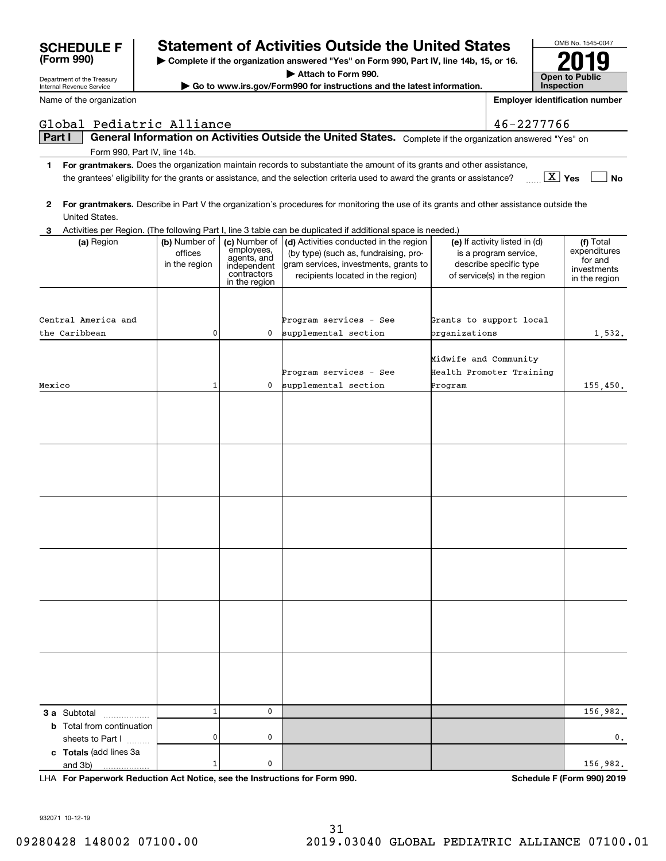| Global Pediatric Alliance                            |                                           |                                                                                           |                                                                                                                                                                                                                                                      | 46-2277766                                                                                                      |                                                                      |
|------------------------------------------------------|-------------------------------------------|-------------------------------------------------------------------------------------------|------------------------------------------------------------------------------------------------------------------------------------------------------------------------------------------------------------------------------------------------------|-----------------------------------------------------------------------------------------------------------------|----------------------------------------------------------------------|
| Part I                                               |                                           |                                                                                           | General Information on Activities Outside the United States. Complete if the organization answered "Yes" on                                                                                                                                          |                                                                                                                 |                                                                      |
| Form 990, Part IV, line 14b.                         |                                           |                                                                                           |                                                                                                                                                                                                                                                      |                                                                                                                 |                                                                      |
| 1                                                    |                                           |                                                                                           | For grantmakers. Does the organization maintain records to substantiate the amount of its grants and other assistance,<br>the grantees' eligibility for the grants or assistance, and the selection criteria used to award the grants or assistance? |                                                                                                                 | $\boxed{\text{X}}$ Yes<br><b>No</b>                                  |
| $\mathbf{2}$<br>United States.                       |                                           |                                                                                           | For grantmakers. Describe in Part V the organization's procedures for monitoring the use of its grants and other assistance outside the                                                                                                              |                                                                                                                 |                                                                      |
| 3                                                    |                                           |                                                                                           | Activities per Region. (The following Part I, line 3 table can be duplicated if additional space is needed.)                                                                                                                                         |                                                                                                                 |                                                                      |
| (a) Region                                           | (b) Number of<br>offices<br>in the region | (c) Number of<br>employees,<br>agents, and<br>independent<br>contractors<br>in the region | (d) Activities conducted in the region<br>(by type) (such as, fundraising, pro-<br>gram services, investments, grants to<br>recipients located in the region)                                                                                        | (e) If activity listed in (d)<br>is a program service,<br>describe specific type<br>of service(s) in the region | (f) Total<br>expenditures<br>for and<br>investments<br>in the region |
|                                                      |                                           |                                                                                           |                                                                                                                                                                                                                                                      |                                                                                                                 |                                                                      |
| Central America and<br>the Caribbean                 | 0                                         | 0                                                                                         | Program services - See<br>supplemental section                                                                                                                                                                                                       | Grants to support local                                                                                         |                                                                      |
|                                                      |                                           |                                                                                           |                                                                                                                                                                                                                                                      | organizations                                                                                                   | 1,532.                                                               |
|                                                      |                                           | 0                                                                                         | Program services - See                                                                                                                                                                                                                               | Midwife and Community<br>Health Promoter Training                                                               |                                                                      |
| Mexico                                               | 1                                         |                                                                                           | supplemental section                                                                                                                                                                                                                                 | Program                                                                                                         | 155,450.                                                             |
|                                                      |                                           |                                                                                           |                                                                                                                                                                                                                                                      |                                                                                                                 |                                                                      |
|                                                      |                                           |                                                                                           |                                                                                                                                                                                                                                                      |                                                                                                                 |                                                                      |
|                                                      |                                           |                                                                                           |                                                                                                                                                                                                                                                      |                                                                                                                 |                                                                      |
|                                                      |                                           |                                                                                           |                                                                                                                                                                                                                                                      |                                                                                                                 |                                                                      |
|                                                      |                                           |                                                                                           |                                                                                                                                                                                                                                                      |                                                                                                                 |                                                                      |
|                                                      |                                           |                                                                                           |                                                                                                                                                                                                                                                      |                                                                                                                 |                                                                      |
| <b>3 a</b> Subtotal                                  | $\mathbf 1$                               | 0                                                                                         |                                                                                                                                                                                                                                                      |                                                                                                                 | 156,982.                                                             |
| <b>b</b> Total from continuation<br>sheets to Part I | 0                                         | 0                                                                                         |                                                                                                                                                                                                                                                      |                                                                                                                 | 0.                                                                   |
| c Totals (add lines 3a<br>and 3b)                    | 1                                         | 0                                                                                         |                                                                                                                                                                                                                                                      |                                                                                                                 | 156,982.                                                             |

**For Paperwork Reduction Act Notice, see the Instructions for Form 990. Schedule F (Form 990) 2019** LHA

932071 10-12-19

Department of the Treasury Internal Revenue Service

**(Form 990)**

Name of the organization



# **SCHEDULE F Statement of Activities Outside the United States**

**| Complete if the organization answered "Yes" on Form 990, Part IV, line 14b, 15, or 16. | Attach to Form 990.**

**Open to Public I**ion

| Go to www.irs.gov/Form990 for instructions and the latest information. | Inspection                     |
|------------------------------------------------------------------------|--------------------------------|
|                                                                        | Employer identification number |

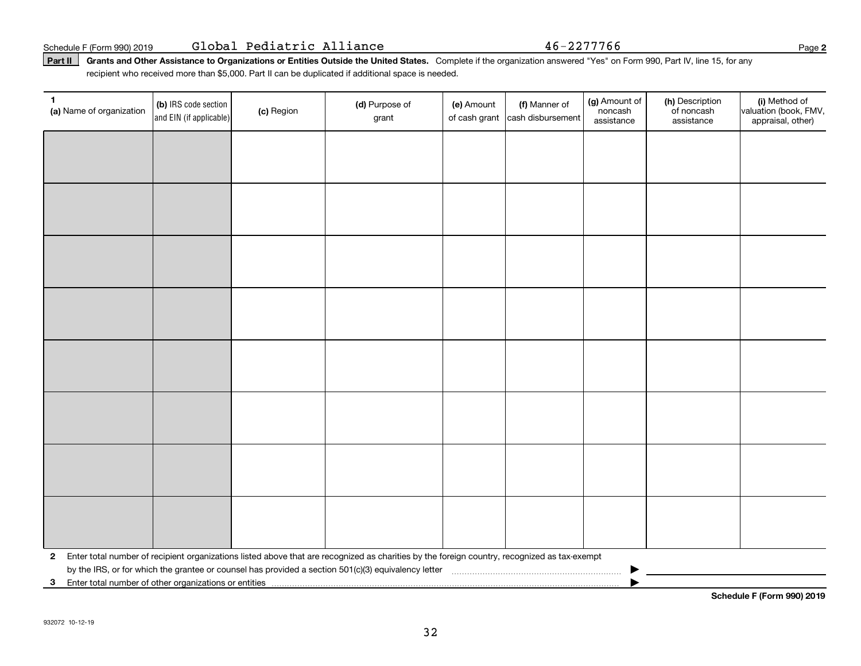Schedule F (Form 990) 2019 Page Global Pediatric Alliance 46-2277766

Part II | Grants and Other Assistance to Organizations or Entities Outside the United States. Complete if the organization answered "Yes" on Form 990, Part IV, line 15, for any recipient who received more than \$5,000. Part II can be duplicated if additional space is needed.

| 1<br>(a) Name of organization | (b) IRS code section<br>and EIN (if applicable)         | (c) Region | (d) Purpose of<br>grant                                                                                                                      | (e) Amount<br>of cash grant | (f) Manner of<br>cash disbursement | (g) Amount of<br>noncash<br>assistance | (h) Description<br>of noncash<br>assistance | (i) Method of<br>valuation (book, FMV,<br>appraisal, other) |  |
|-------------------------------|---------------------------------------------------------|------------|----------------------------------------------------------------------------------------------------------------------------------------------|-----------------------------|------------------------------------|----------------------------------------|---------------------------------------------|-------------------------------------------------------------|--|
|                               |                                                         |            |                                                                                                                                              |                             |                                    |                                        |                                             |                                                             |  |
|                               |                                                         |            |                                                                                                                                              |                             |                                    |                                        |                                             |                                                             |  |
|                               |                                                         |            |                                                                                                                                              |                             |                                    |                                        |                                             |                                                             |  |
|                               |                                                         |            |                                                                                                                                              |                             |                                    |                                        |                                             |                                                             |  |
|                               |                                                         |            |                                                                                                                                              |                             |                                    |                                        |                                             |                                                             |  |
|                               |                                                         |            |                                                                                                                                              |                             |                                    |                                        |                                             |                                                             |  |
|                               |                                                         |            |                                                                                                                                              |                             |                                    |                                        |                                             |                                                             |  |
|                               |                                                         |            |                                                                                                                                              |                             |                                    |                                        |                                             |                                                             |  |
|                               |                                                         |            |                                                                                                                                              |                             |                                    |                                        |                                             |                                                             |  |
|                               |                                                         |            |                                                                                                                                              |                             |                                    |                                        |                                             |                                                             |  |
|                               |                                                         |            |                                                                                                                                              |                             |                                    |                                        |                                             |                                                             |  |
|                               |                                                         |            |                                                                                                                                              |                             |                                    |                                        |                                             |                                                             |  |
|                               |                                                         |            |                                                                                                                                              |                             |                                    |                                        |                                             |                                                             |  |
|                               |                                                         |            |                                                                                                                                              |                             |                                    |                                        |                                             |                                                             |  |
|                               |                                                         |            |                                                                                                                                              |                             |                                    |                                        |                                             |                                                             |  |
|                               |                                                         |            |                                                                                                                                              |                             |                                    |                                        |                                             |                                                             |  |
| $\mathbf{2}$                  |                                                         |            | Enter total number of recipient organizations listed above that are recognized as charities by the foreign country, recognized as tax-exempt |                             |                                    |                                        |                                             |                                                             |  |
|                               | 3 Enter total number of other organizations or entities |            |                                                                                                                                              |                             |                                    |                                        |                                             |                                                             |  |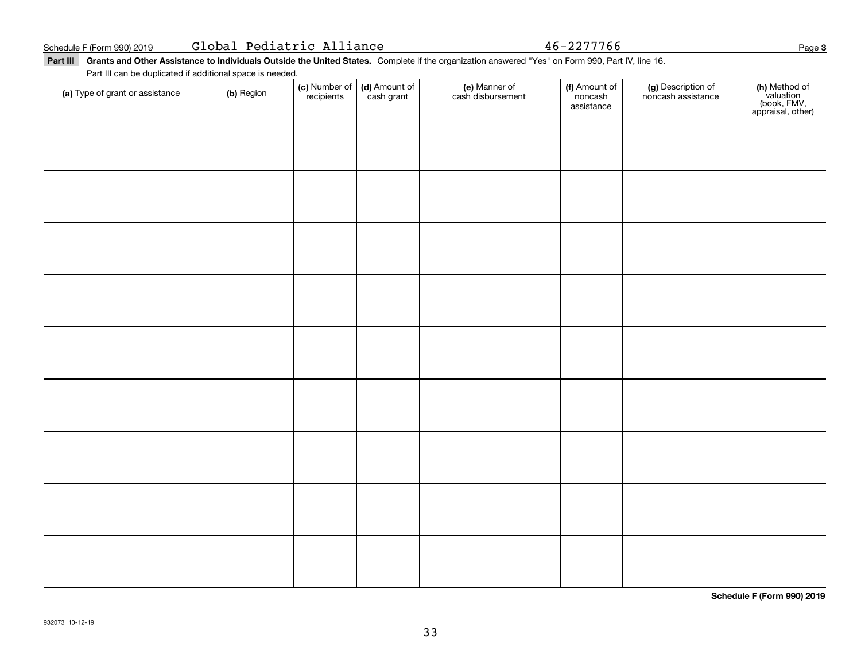| Global Pediatric Alliance |  |  |  |
|---------------------------|--|--|--|
|---------------------------|--|--|--|

Global Pediatric Alliance 46-2277766

Part III Grants and Other Assistance to Individuals Outside the United States. Complete if the organization answered "Yes" on Form 990, Part IV, line 16. Part III can be duplicated if additional space is needed.

| (a) Type of grant or assistance | (b) Region | (c) Number of<br>recipients | (d) Amount of<br>cash grant | (e) Manner of<br>cash disbursement | (f) Amount of<br>noncash<br>assistance | (g) Description of<br>noncash assistance | (h) Method of<br>valuation<br>(book, FMV,<br>appraisal, other) |
|---------------------------------|------------|-----------------------------|-----------------------------|------------------------------------|----------------------------------------|------------------------------------------|----------------------------------------------------------------|
|                                 |            |                             |                             |                                    |                                        |                                          |                                                                |
|                                 |            |                             |                             |                                    |                                        |                                          |                                                                |
|                                 |            |                             |                             |                                    |                                        |                                          |                                                                |
|                                 |            |                             |                             |                                    |                                        |                                          |                                                                |
|                                 |            |                             |                             |                                    |                                        |                                          |                                                                |
|                                 |            |                             |                             |                                    |                                        |                                          |                                                                |
|                                 |            |                             |                             |                                    |                                        |                                          |                                                                |
|                                 |            |                             |                             |                                    |                                        |                                          |                                                                |
|                                 |            |                             |                             |                                    |                                        |                                          |                                                                |
|                                 |            |                             |                             |                                    |                                        |                                          |                                                                |
|                                 |            |                             |                             |                                    |                                        |                                          |                                                                |

**Schedule F (Form 990) 2019**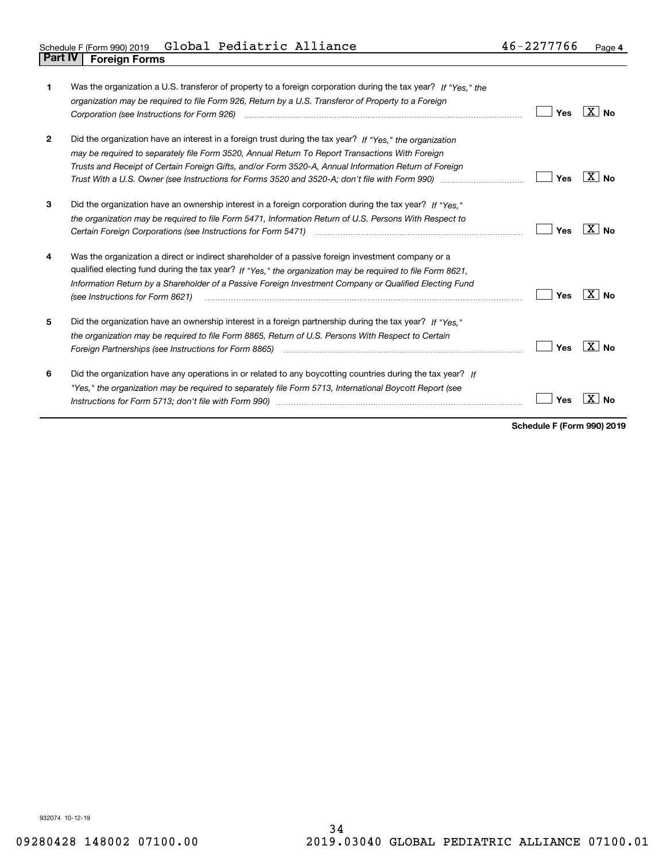| 1            | Was the organization a U.S. transferor of property to a foreign corporation during the tax year? If "Yes," the<br>organization may be required to file Form 926, Return by a U.S. Transferor of Property to a Foreign                                                                                                                                                                                                                  | Yes | $X \mid N_{0}$      |
|--------------|----------------------------------------------------------------------------------------------------------------------------------------------------------------------------------------------------------------------------------------------------------------------------------------------------------------------------------------------------------------------------------------------------------------------------------------|-----|---------------------|
| $\mathbf{2}$ | Did the organization have an interest in a foreign trust during the tax year? If "Yes." the organization<br>may be required to separately file Form 3520, Annual Return To Report Transactions With Foreign<br>Trusts and Receipt of Certain Foreign Gifts, and/or Form 3520-A, Annual Information Return of Foreign<br>Trust With a U.S. Owner (see Instructions for Forms 3520 and 3520-A; don't file with Form 990) manu-manu-manu- | Yes | $X \mid N_{0}$      |
| 3            | Did the organization have an ownership interest in a foreign corporation during the tax year? If "Yes."<br>the organization may be required to file Form 5471, Information Return of U.S. Persons With Respect to                                                                                                                                                                                                                      | Yes | $X \mid N_0$        |
| 4            | Was the organization a direct or indirect shareholder of a passive foreign investment company or a<br>qualified electing fund during the tax year? If "Yes," the organization may be required to file Form 8621,<br>Information Return by a Shareholder of a Passive Foreign Investment Company or Qualified Electing Fund<br>(see Instructions for Form 8621)                                                                         | Yes | $X $ No             |
| 5            | Did the organization have an ownership interest in a foreign partnership during the tax year? If "Yes."<br>the organization may be required to file Form 8865, Return of U.S. Persons With Respect to Certain<br>Foreign Partnerships (see Instructions for Form 8865)                                                                                                                                                                 | Yes | $X \mid N_{\Omega}$ |
| 6            | Did the organization have any operations in or related to any boycotting countries during the tax year? If<br>"Yes," the organization may be required to separately file Form 5713, International Boycott Report (see                                                                                                                                                                                                                  | Yes | No                  |

**Schedule F (Form 990) 2019**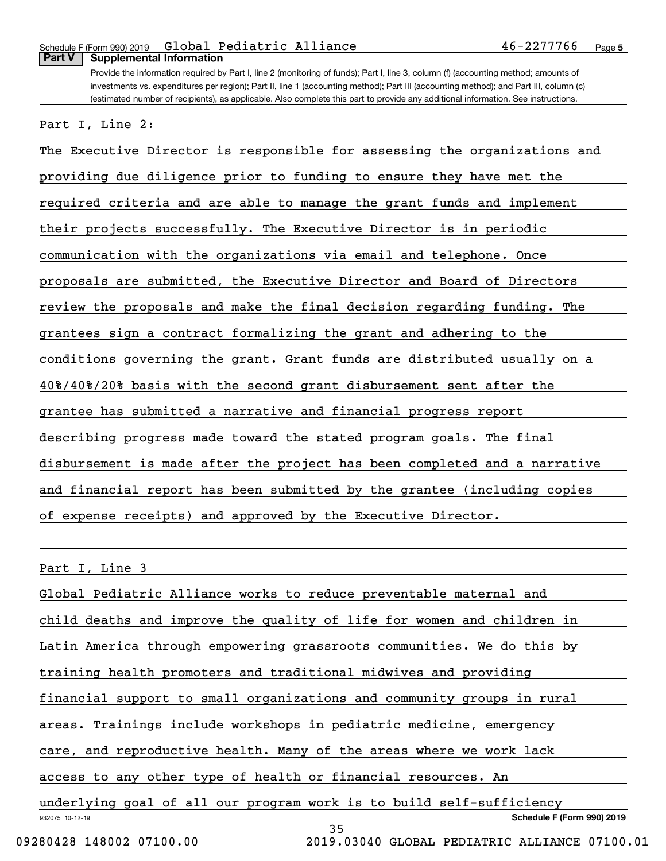### **Part V Supplemental Information**

Provide the information required by Part I, line 2 (monitoring of funds); Part I, line 3, column (f) (accounting method; amounts of investments vs. expenditures per region); Part II, line 1 (accounting method); Part III (accounting method); and Part III, column (c) (estimated number of recipients), as applicable. Also complete this part to provide any additional information. See instructions.

Part I, Line 2:

The Executive Director is responsible for assessing the organizations and providing due diligence prior to funding to ensure they have met the required criteria and are able to manage the grant funds and implement their projects successfully. The Executive Director is in periodic communication with the organizations via email and telephone. Once proposals are submitted, the Executive Director and Board of Directors review the proposals and make the final decision regarding funding. The grantees sign a contract formalizing the grant and adhering to the conditions governing the grant. Grant funds are distributed usually on a 40%/40%/20% basis with the second grant disbursement sent after the grantee has submitted a narrative and financial progress report describing progress made toward the stated program goals. The final disbursement is made after the project has been completed and a narrative and financial report has been submitted by the grantee (including copies of expense receipts) and approved by the Executive Director.

Part I, Line 3

| Global Pediatric Alliance works to reduce preventable maternal and  |                                                                        |
|---------------------------------------------------------------------|------------------------------------------------------------------------|
|                                                                     | child deaths and improve the quality of life for women and children in |
|                                                                     | Latin America through empowering grassroots communities. We do this by |
| training health promoters and traditional midwives and providing    |                                                                        |
|                                                                     | financial support to small organizations and community groups in rural |
| areas. Trainings include workshops in pediatric medicine, emergency |                                                                        |
| care, and reproductive health. Many of the areas where we work lack |                                                                        |
| access to any other type of health or financial resources. An       |                                                                        |
|                                                                     | underlying goal of all our program work is to build self-sufficiency   |
| 932075 10-12-19                                                     | <b>Schedule F (Form 990) 2019</b><br>35                                |
| 09280428 148002 07100.00                                            | 2019.03040 GLOBAL PEDIATRIC ALLIANCE 07100.01                          |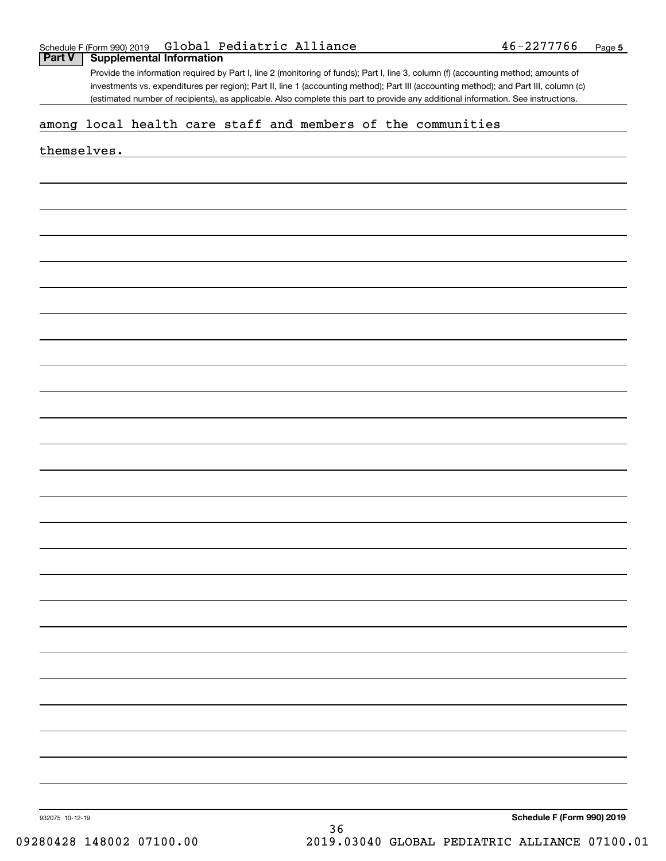Provide the information required by Part I, line 2 (monitoring of funds); Part I, line 3, column (f) (accounting method; amounts of investments vs. expenditures per region); Part II, line 1 (accounting method); Part III (accounting method); and Part III, column (c) (estimated number of recipients), as applicable. Also complete this part to provide any additional information. See instructions.

### among local health care staff and members of the communities

#### themselves.

**Schedule F (Form 990) 2019**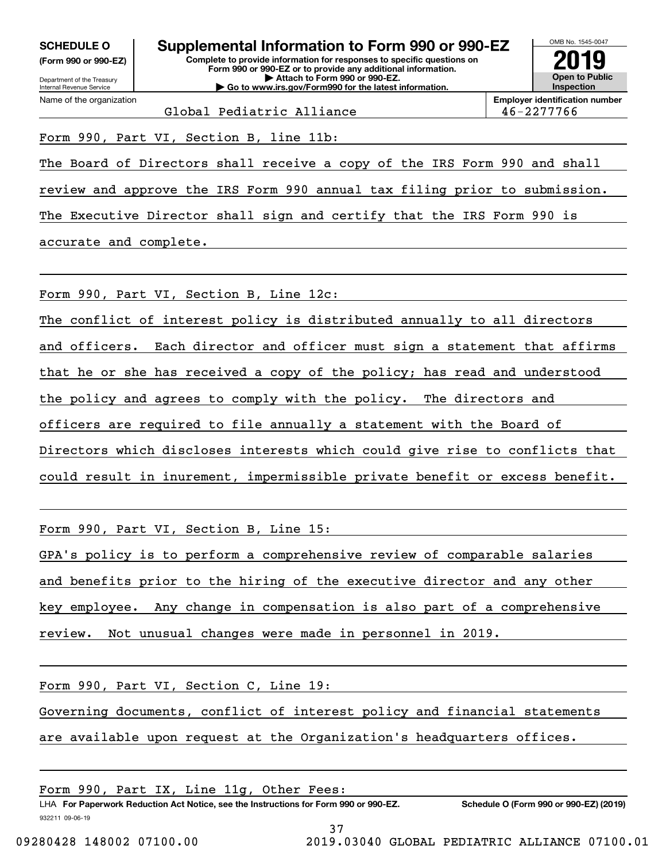**(Form 990 or 990-EZ)**

**Complete to provide information for responses to specific questions on Form 990 or 990-EZ or to provide any additional information. | Attach to Form 990 or 990-EZ. | Go to www.irs.gov/Form990 for the latest information. SCHEDULE O Supplemental Information to Form 990 or 990-EZ**



**Employer identification number** Global Pediatric Alliance  $\vert$  46-2277766

Form 990, Part VI, Section B, line 11b:

The Board of Directors shall receive a copy of the IRS Form 990 and shall

review and approve the IRS Form 990 annual tax filing prior to submission.

The Executive Director shall sign and certify that the IRS Form 990 is

accurate and complete.

Form 990, Part VI, Section B, Line 12c:

The conflict of interest policy is distributed annually to all directors and officers. Each director and officer must sign a statement that affirms that he or she has received a copy of the policy; has read and understood the policy and agrees to comply with the policy. The directors and officers are required to file annually a statement with the Board of Directors which discloses interests which could give rise to conflicts that could result in inurement, impermissible private benefit or excess benefit.

Form 990, Part VI, Section B, Line 15:

GPA's policy is to perform a comprehensive review of comparable salaries

and benefits prior to the hiring of the executive director and any other

key employee. Any change in compensation is also part of a comprehensive

review. Not unusual changes were made in personnel in 2019.

Form 990, Part VI, Section C, Line 19:

Governing documents, conflict of interest policy and financial statements

are available upon request at the Organization's headquarters offices.

932211 09-06-19 LHA For Paperwork Reduction Act Notice, see the Instructions for Form 990 or 990-EZ. Schedule O (Form 990 or 990-EZ) (2019) Form 990, Part IX, Line 11g, Other Fees: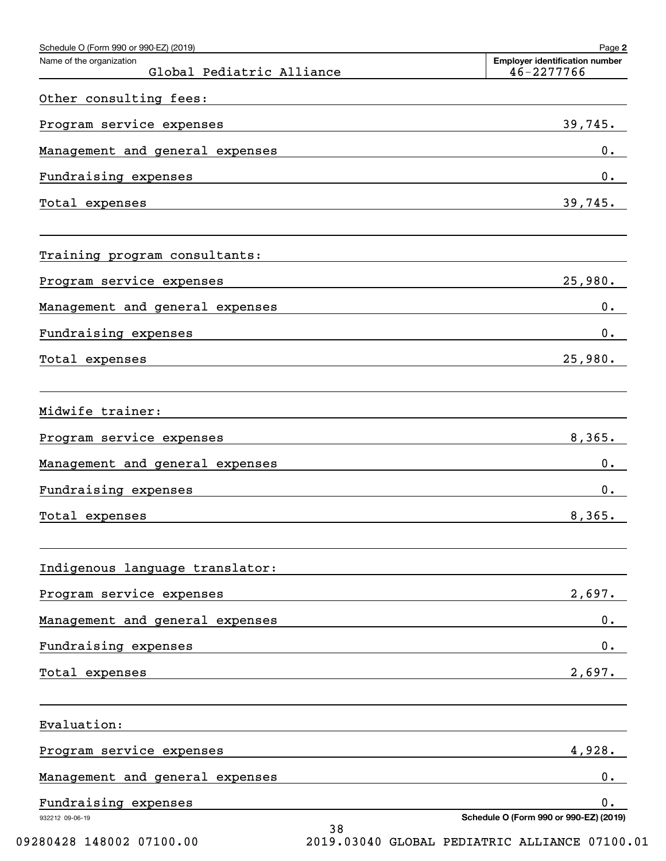| Schedule O (Form 990 or 990-EZ) (2019)                                                                                                 | Page 2                                              |
|----------------------------------------------------------------------------------------------------------------------------------------|-----------------------------------------------------|
| Name of the organization<br>Global Pediatric Alliance                                                                                  | <b>Employer identification number</b><br>46-2277766 |
| Other consulting fees:                                                                                                                 |                                                     |
| Program service expenses                                                                                                               | 39,745.                                             |
| Management and general expenses                                                                                                        | 0.                                                  |
| Fundraising expenses and a series of the series of the series of the series of the series of the series of the                         | $0$ .                                               |
| Total expenses<br><u> 1989 - Johann John Stein, markin film ar yn y brenin y brenin y brenin y brenin y brenin y brenin y brenin y</u> | 39,745.                                             |
| Training program consultants:                                                                                                          |                                                     |
| Program service expenses                                                                                                               | 25,980.                                             |
| Management and general expenses                                                                                                        | 0.                                                  |
| Fundraising expenses                                                                                                                   | $0$ .                                               |
| Total expenses<br><u> 1989 - Johann Stein, mars an deutscher Stein und der Stein und der Stein und der Stein und der Stein und der</u> | 25,980.                                             |
| Midwife trainer:                                                                                                                       |                                                     |
| Program service expenses                                                                                                               | 8,365.                                              |
| Management and general expenses                                                                                                        | 0.                                                  |
| Fundraising expenses                                                                                                                   | $0$ .                                               |
| Total expenses                                                                                                                         | 8,365.                                              |
| Indigenous language translator:                                                                                                        |                                                     |
| Program service expenses                                                                                                               | 2,697.                                              |
| Management and general expenses                                                                                                        | $0$ .                                               |
| Fundraising expenses                                                                                                                   | $0$ .                                               |
| Total expenses                                                                                                                         | 2,697.                                              |
| Evaluation:                                                                                                                            |                                                     |
| Program service expenses                                                                                                               | 4,928.                                              |
| Management and general expenses                                                                                                        | 0.                                                  |
| Fundraising expenses                                                                                                                   | 0.                                                  |
| 932212 09-06-19<br>38                                                                                                                  | Schedule O (Form 990 or 990-EZ) (2019)              |

09280428 148002 07100.00 2019.03040 GLOBAL PEDIATRIC ALLIANCE 07100.01